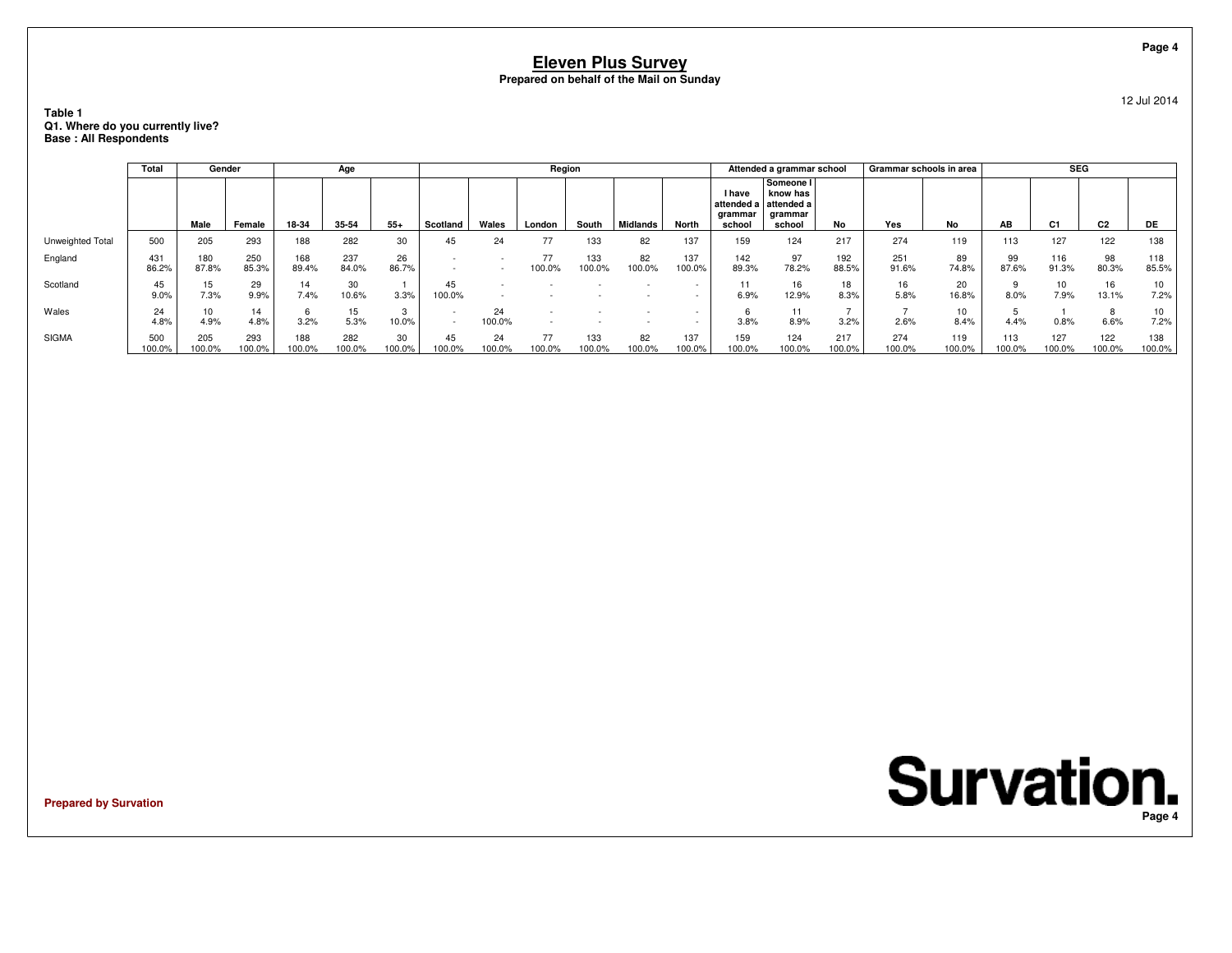### **Table 1 Q1. Where do you currently live?Base : All Respondents**

|                  | Total         | Gender       |               |               | Age           |              |                                                      |              | Region       |               |                 |               |                                                      | Attended a grammar school                  |               | Grammar schools in area |               |               | <b>SEG</b>     |                |               |
|------------------|---------------|--------------|---------------|---------------|---------------|--------------|------------------------------------------------------|--------------|--------------|---------------|-----------------|---------------|------------------------------------------------------|--------------------------------------------|---------------|-------------------------|---------------|---------------|----------------|----------------|---------------|
|                  |               | Male         | Female        | 18-34         | 35-54         | $55+$        | Scotland                                             | Wales        | London       | South         | <b>Midlands</b> | North         | I have<br>attended a attended a<br>grammar<br>school | Someone I<br>know has<br>grammar<br>school | No            | Yes                     | No            | AB            | C <sub>1</sub> | C <sub>2</sub> | DE            |
| Unweighted Total | 500           | 205          | 293           | 188           | 282           | 30           | 45                                                   | 24           |              | 133           | 82              | 137           | 159                                                  | 124                                        | 217           | 274                     | 119           | 113           | 127            | 122            | 138           |
| England          | 431<br>86.2%  | 180<br>87.8% | 250<br>85.3%  | 168<br>89.4%  | 237<br>84.0%  | 26<br>86.7%  |                                                      |              | 77<br>100.0% | 133<br>100.0% | 82<br>100.0%    | 137<br>100.0% | 142<br>89.3%                                         | 97<br>78.2%                                | 192<br>88.5%  | 251<br>91.6%            | 89<br>74.8%   | 99<br>87.6%   | 116<br>91.3%   | 98<br>80.3%    | 118<br>85.5%  |
| Scotland         | 45<br>9.0%    | 15<br>7.3%   | 29<br>9.9%    | 14<br>7.4%    | 30<br>10.6%   | 3.3%         | 45<br>100.0%                                         |              |              |               |                 |               | 11<br>6.9%                                           | 16<br>12.9%                                | 18<br>8.3%    | 16<br>5.8%              | 20<br>16.8%   | 8.0%          | 7.9%           | 16<br>13.1%    | 10<br>7.2%    |
| Wales            | 24<br>4.8%    | 10<br>4.9%   | 14<br>4.8%    | 3.2%          | 15<br>5.3%    | 10.0%        | $\overline{\phantom{a}}$<br>$\overline{\phantom{a}}$ | 24<br>100.0% |              |               |                 |               | 3.8%                                                 | 8.9%                                       | 3.2%          | 2.6%                    | 10<br>8.4%    | 4.4%          | 0.8%           | 8<br>6.6%      | 10<br>7.2%    |
| <b>SIGMA</b>     | 500<br>100.0% | 205<br>00.0% | 293<br>100.0% | 188<br>100.0% | 282<br>100.0% | 30<br>100.0% | 45<br>100.0%                                         | 24<br>100.0% | 77<br>100.0% | 133<br>100.0% | 82<br>100.0%    | 137<br>100.0% | 159<br>100.0%                                        | 124<br>100.0%                              | 217<br>100.0% | 274<br>100.0%           | 119<br>100.0% | 113<br>100.0% | 127<br>100.0%  | 122<br>100.0%  | 138<br>100.0% |

**Prepared by Survation**

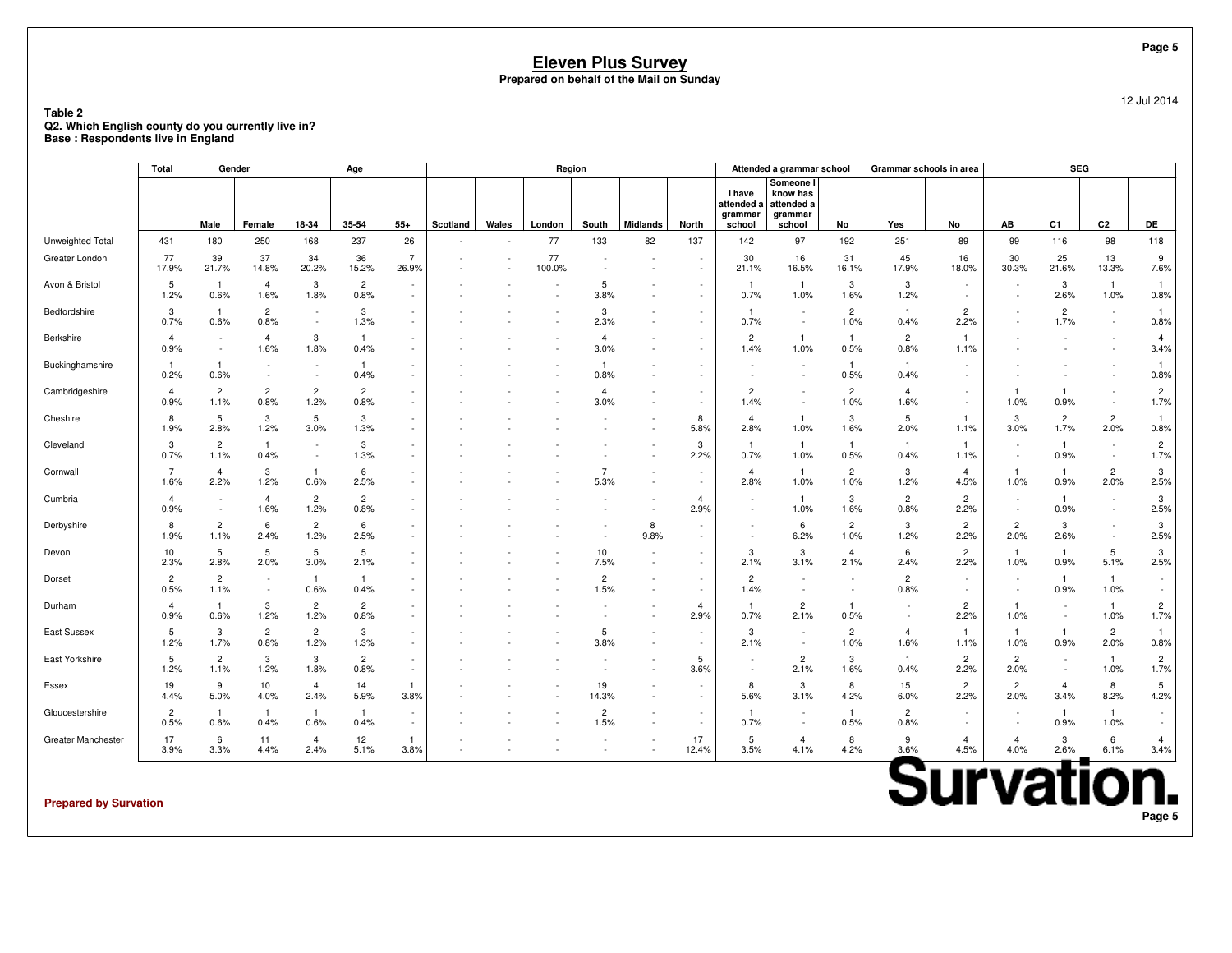**Table 2 Q2. Which English county do you currently live in?Base : Respondents live in England**

|                    | <b>Total</b>           | Gender                 |                        |                                 | Age                    |                         |          |       | Region       |                        |                                                      |                                                      |                                    | Attended a grammar school                                           |                        | Grammar schools in area |                                                      |                        | <b>SEG</b>             |                          |                        |
|--------------------|------------------------|------------------------|------------------------|---------------------------------|------------------------|-------------------------|----------|-------|--------------|------------------------|------------------------------------------------------|------------------------------------------------------|------------------------------------|---------------------------------------------------------------------|------------------------|-------------------------|------------------------------------------------------|------------------------|------------------------|--------------------------|------------------------|
|                    |                        | Male                   | Female                 | 18-34                           | 35-54                  | $55+$                   | Scotland | Wales | London       | South                  | <b>Midlands</b>                                      | North                                                | <b>I</b> have<br>grammar<br>school | Someone I<br>know has<br>attended a attended a<br>grammar<br>school | No                     | Yes                     | No                                                   | AB                     | C <sub>1</sub>         | C <sub>2</sub>           | DE                     |
| Unweighted Total   | 431                    | 180                    | 250                    | 168                             | 237                    | 26                      |          |       | 77           | 133                    | 82                                                   | 137                                                  | 142                                | 97                                                                  | 192                    | 251                     | 89                                                   | 99                     | 116                    | 98                       | 118                    |
| Greater London     | 77<br>17.9%            | 39<br>21.7%            | 37<br>14.8%            | 34<br>20.2%                     | 36<br>15.2%            | $\overline{7}$<br>26.9% |          |       | 77<br>100.0% |                        | $\overline{\phantom{a}}$<br>$\overline{\phantom{a}}$ | $\overline{\phantom{a}}$<br>$\overline{\phantom{a}}$ | 30<br>21.1%                        | 16<br>16.5%                                                         | 31<br>16.1%            | 45<br>17.9%             | 16<br>18.0%                                          | 30<br>30.3%            | 25<br>21.6%            | 13<br>13.3%              | 9<br>7.6%              |
| Avon & Bristol     | 5<br>1.2%              | 0.6%                   | $\overline{4}$<br>1.6% | 3<br>1.8%                       | $\overline{2}$<br>0.8% |                         |          |       |              | 5<br>3.8%              |                                                      | $\overline{\phantom{a}}$<br>$\overline{\phantom{a}}$ | -1<br>0.7%                         | $\overline{1}$<br>1.0%                                              | 3<br>1.6%              | 3<br>1.2%               | $\overline{\phantom{a}}$<br>$\overline{\phantom{a}}$ |                        | 3<br>2.6%              | $\overline{1}$<br>1.0%   | $\mathbf{1}$<br>0.8%   |
| Bedfordshire       | 3<br>0.7%              | 0.6%                   | $\overline{c}$<br>0.8% | $\sim$                          | 3<br>1.3%              | $\sim$                  |          |       |              | 3<br>2.3%              |                                                      |                                                      | -1<br>0.7%                         | $\sim$                                                              | $\overline{2}$<br>1.0% | -1<br>0.4%              | $\overline{2}$<br>2.2%                               |                        | $\overline{2}$<br>1.7% |                          | 1<br>0.8%              |
| Berkshire          | $\overline{4}$<br>0.9% | $\sim$<br>$\sim$       | $\overline{4}$<br>1.6% | 3<br>1.8%                       | -1.<br>0.4%            |                         |          |       |              | $\overline{4}$<br>3.0% |                                                      |                                                      | $\overline{2}$<br>1.4%             | $\overline{1}$<br>1.0%                                              | $\mathbf{1}$<br>0.5%   | $\overline{2}$<br>0.8%  | 1.1%                                                 |                        |                        |                          | $\overline{4}$<br>3.4% |
| Buckinghamshire    | -1<br>0.2%             | 0.6%                   |                        | . .<br>$\overline{\phantom{a}}$ | $\overline{1}$<br>0.4% |                         |          |       |              | -1<br>0.8%             |                                                      |                                                      |                                    | $\overline{\phantom{a}}$<br>$\sim$                                  | $\mathbf{1}$<br>0.5%   | -1<br>0.4%              |                                                      |                        |                        |                          | 0.8%                   |
| Cambridgeshire     | $\overline{4}$<br>0.9% | $\overline{2}$<br>1.1% | $\overline{2}$<br>0.8% | $\overline{2}$<br>1.2%          | $\overline{2}$<br>0.8% |                         |          |       |              | $\overline{4}$<br>3.0% | ٠                                                    |                                                      | $\overline{2}$<br>1.4%             | $\sim$                                                              | $\overline{c}$<br>1.0% | 4<br>1.6%               | $\sim$                                               | 1<br>1.0%              | 0.9%                   |                          | $\overline{2}$<br>1.7% |
| Cheshire           | 8<br>1.9%              | -5<br>2.8%             | 3<br>1.2%              | 5<br>3.0%                       | 3<br>1.3%              |                         |          |       |              |                        |                                                      | 8<br>5.8%                                            | 4<br>2.8%                          | $\overline{1}$<br>1.0%                                              | 3<br>1.6%              | 5<br>2.0%               | -1<br>1.1%                                           | 3<br>3.0%              | $\overline{2}$<br>1.7% | $\overline{2}$<br>2.0%   | $\mathbf{1}$<br>0.8%   |
| Cleveland          | 3<br>0.7%              | $\overline{c}$<br>1.1% | $\mathbf{1}$<br>0.4%   | $\sim$                          | 3<br>1.3%              |                         |          |       |              |                        | $\sim$                                               | 3<br>2.2%                                            | $\overline{1}$<br>0.7%             | $\mathbf{1}$<br>1.0%                                                | $\mathbf{1}$<br>0.5%   | $\mathbf{1}$<br>0.4%    | 1.1%                                                 | $\sim$                 | $\mathbf{1}$<br>0.9%   | $\overline{\phantom{a}}$ | $\overline{2}$<br>1.7% |
| Cornwall           | $\overline{7}$<br>1.6% | $\overline{a}$<br>2.2% | 3<br>1.2%              | -1<br>0.6%                      | 6<br>2.5%              |                         |          |       |              | $\overline{7}$<br>5.3% |                                                      |                                                      | $\overline{4}$<br>2.8%             | $\overline{1}$<br>1.0%                                              | $\overline{c}$<br>1.0% | 3<br>1.2%               | $\overline{4}$<br>4.5%                               | $\mathbf{1}$<br>1.0%   | 0.9%                   | $\overline{c}$<br>2.0%   | 3<br>2.5%              |
| Cumbria            | 4<br>0.9%              | $\sim$                 | $\overline{4}$<br>1.6% | $\overline{2}$<br>1.2%          | $\overline{2}$<br>0.8% |                         |          |       |              |                        |                                                      | $\overline{4}$<br>2.9%                               |                                    | $\overline{1}$<br>1.0%                                              | 3<br>1.6%              | $\overline{2}$<br>0.8%  | $\overline{2}$<br>2.2%                               | $\sim$                 | -1<br>0.9%             |                          | 3<br>2.5%              |
| Derbyshire         | 8<br>1.9%              | $\overline{2}$<br>1.1% | 6<br>2.4%              | $\overline{2}$<br>1.2%          | 6<br>2.5%              |                         |          |       |              |                        | 8<br>9.8%                                            |                                                      |                                    | 6<br>6.2%                                                           | $\overline{c}$<br>1.0% | 3<br>1.2%               | $\overline{2}$<br>2.2%                               | $\overline{2}$<br>2.0% | 3<br>2.6%              | $\overline{\phantom{a}}$ | 3<br>2.5%              |
| Devon              | 10<br>2.3%             | 5<br>2.8%              | 5<br>2.0%              | 5<br>3.0%                       | 5<br>2.1%              |                         |          |       |              | 10<br>7.5%             |                                                      |                                                      | 3<br>2.1%                          | 3<br>3.1%                                                           | $\overline{4}$<br>2.1% | 6<br>2.4%               | $\overline{c}$<br>2.2%                               | $\mathbf{1}$<br>1.0%   | $\overline{1}$<br>0.9% | 5<br>5.1%                | 3<br>2.5%              |
| Dorset             | 2<br>0.5%              | $\overline{2}$<br>1.1% | $\sim$                 | $\mathbf{1}$<br>0.6%            | $\mathbf{1}$<br>0.4%   |                         |          |       |              | $\overline{2}$<br>1.5% | $\overline{\phantom{a}}$                             |                                                      | $\overline{2}$<br>1.4%             | $\overline{\phantom{a}}$<br>$\sim$                                  | $\sim$                 | $\overline{2}$<br>0.8%  | $\overline{\phantom{a}}$                             |                        | $\overline{1}$<br>0.9% | $\mathbf{1}$<br>1.0%     | $\sim$<br>$\sim$       |
| Durham             | $\overline{4}$<br>0.9% | 0.6%                   | 3<br>1.2%              | $\overline{2}$<br>1.2%          | $\overline{2}$<br>0.8% |                         |          |       |              |                        | $\overline{\phantom{a}}$                             | $\overline{4}$<br>2.9%                               | -1<br>0.7%                         | $\overline{c}$<br>2.1%                                              | 0.5%                   |                         | $\overline{c}$<br>2.2%                               | $\mathbf{1}$<br>1.0%   |                        | $\mathbf{1}$<br>1.0%     | $\overline{2}$<br>1.7% |
| East Sussex        | 5<br>1.2%              | 3<br>1.7%              | $\overline{2}$<br>0.8% | $\overline{c}$<br>1.2%          | 3<br>1.3%              |                         |          |       |              | 5<br>3.8%              |                                                      |                                                      | 3<br>2.1%                          | $\overline{\phantom{a}}$<br>$\overline{\phantom{a}}$                | $\overline{2}$<br>1.0% | $\overline{4}$<br>1.6%  | -1<br>1.1%                                           | $\mathbf{1}$<br>1.0%   | $\overline{1}$<br>0.9% | $\overline{c}$<br>2.0%   | $\mathbf{1}$<br>0.8%   |
| East Yorkshire     | 5<br>1.2%              | $\overline{2}$<br>1.1% | 3<br>1.2%              | 3<br>1.8%                       | $\overline{2}$<br>0.8% | $\sim$                  |          |       |              |                        |                                                      | 5<br>3.6%                                            |                                    | $\overline{2}$<br>2.1%                                              | 3<br>1.6%              | -1<br>0.4%              | $\overline{c}$<br>2.2%                               | $\overline{2}$<br>2.0% | $\sim$                 | $\mathbf{1}$<br>1.0%     | $\overline{2}$<br>1.7% |
| Essex              | 19<br>4.4%             | 9<br>5.0%              | 10<br>4.0%             | $\overline{4}$<br>2.4%          | 14<br>5.9%             | -1<br>3.8%              |          |       |              | 19<br>14.3%            | $\overline{\phantom{a}}$                             | $\overline{\phantom{a}}$                             | 8<br>5.6%                          | 3<br>3.1%                                                           | 8<br>4.2%              | 15<br>6.0%              | $\overline{2}$<br>2.2%                               | $\overline{c}$<br>2.0% | $\overline{4}$<br>3.4% | 8<br>8.2%                | 5<br>4.2%              |
| Gloucestershire    | $\overline{c}$<br>0.5% | -1<br>0.6%             | -1<br>0.4%             | $\mathbf{1}$<br>0.6%            | $\overline{1}$<br>0.4% |                         |          |       |              | $\overline{2}$<br>1.5% |                                                      |                                                      | -1<br>0.7%                         | $\overline{\phantom{a}}$<br>$\overline{\phantom{a}}$                | $\mathbf{1}$<br>0.5%   | $\overline{2}$<br>0.8%  |                                                      |                        | -1<br>0.9%             | $\mathbf{1}$<br>1.0%     | $\sim$<br>$\sim$       |
| Greater Manchester | 17<br>3.9%             | 6<br>3.3%              | 11<br>4.4%             | $\overline{4}$<br>2.4%          | 12<br>5.1%             | -1<br>3.8%              |          |       |              |                        |                                                      | 17<br>12.4%                                          | 5<br>3.5%                          | $\overline{4}$<br>4.1%                                              | 8<br>4.2%              | 9<br>3.6%               | $\overline{4}$<br>4.5%                               | $\overline{4}$<br>4.0% | 3<br>2.6%              | 6<br>6.1%                | $\overline{4}$<br>3.4% |

**Prepared by Survation**

12 Jul 2014

**Page 5**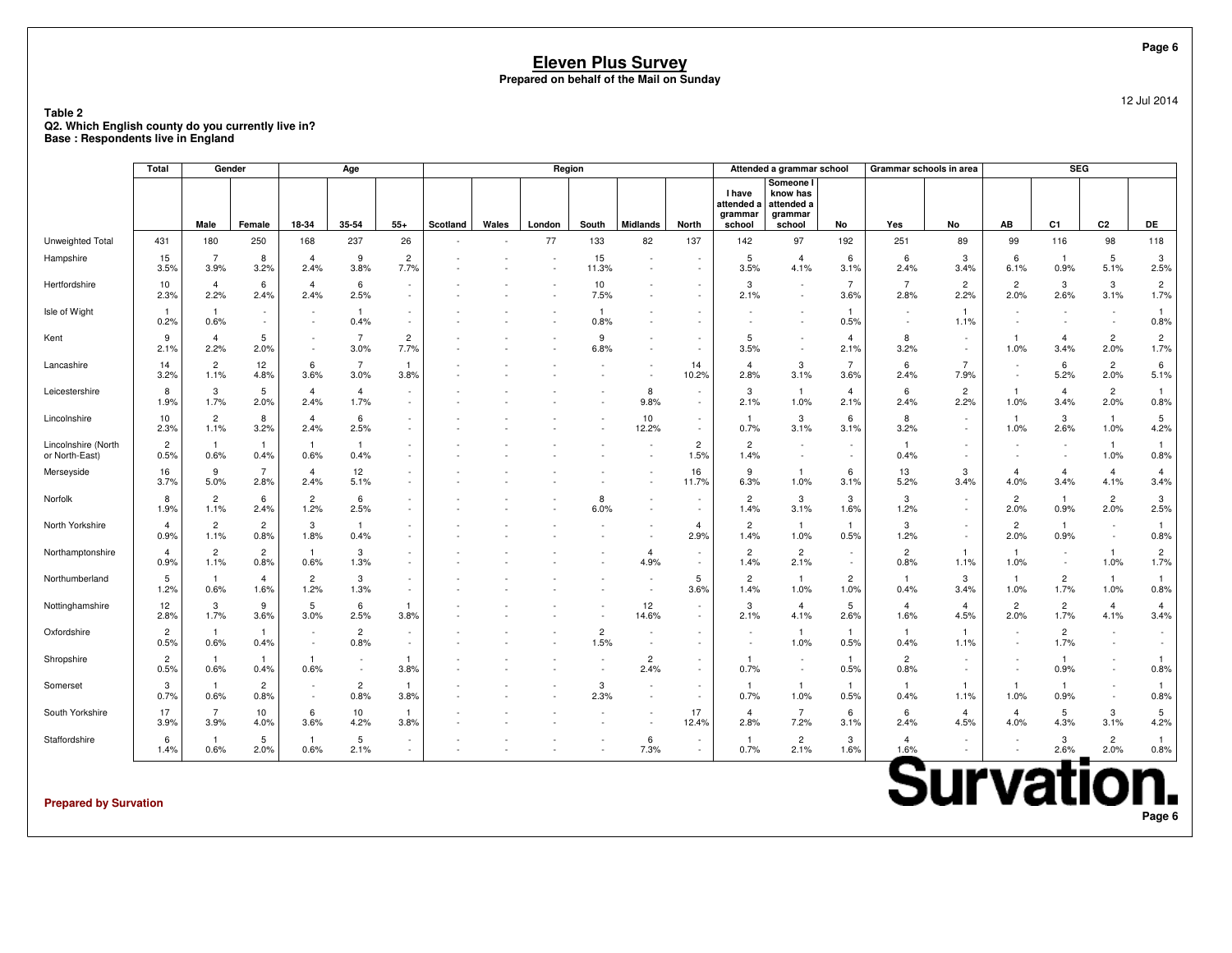**Table 2 Q2. Which English county do you currently live in?Base : Respondents live in England**

|                                       | Total                  |                        | Gender                 |                                    | Age                    |                                    |          |       |        | Region                 |                                                      |                                                      |                                                  | Attended a grammar school                                |                                    |                        | Grammar schools in area                              |                          | <b>SEG</b>             |                                                      |                        |
|---------------------------------------|------------------------|------------------------|------------------------|------------------------------------|------------------------|------------------------------------|----------|-------|--------|------------------------|------------------------------------------------------|------------------------------------------------------|--------------------------------------------------|----------------------------------------------------------|------------------------------------|------------------------|------------------------------------------------------|--------------------------|------------------------|------------------------------------------------------|------------------------|
|                                       |                        | Male                   | Female                 | 18-34                              | 35-54                  | $55+$                              | Scotland | Wales | London | South                  | <b>Midlands</b>                                      | <b>North</b>                                         | <b>I</b> have<br>attended a<br>grammar<br>school | Someone I<br>know has<br>attended a<br>grammar<br>school | No                                 | Yes                    | No                                                   | AB                       | C <sub>1</sub>         | C <sub>2</sub>                                       | DE                     |
| Unweighted Total                      | 431                    | 180                    | 250                    | 168                                | 237                    | 26                                 |          |       | 77     | 133                    | 82                                                   | 137                                                  | 142                                              | 97                                                       | 192                                | 251                    | 89                                                   | 99                       | 116                    | 98                                                   | 118                    |
| Hampshire                             | 15<br>3.5%             | $\overline{7}$<br>3.9% | 8<br>3.2%              | $\overline{4}$<br>2.4%             | 9<br>3.8%              | $\overline{2}$<br>7.7%             |          |       |        | 15<br>11.3%            | $\sim$                                               | $\overline{\phantom{a}}$<br>$\overline{\phantom{a}}$ | 5<br>3.5%                                        | $\overline{4}$<br>4.1%                                   | 6<br>3.1%                          | 6<br>2.4%              | 3<br>3.4%                                            | 6<br>6.1%                | $\overline{1}$<br>0.9% | 5<br>5.1%                                            | 3<br>2.5%              |
| Hertfordshire                         | 10<br>2.3%             | $\overline{4}$<br>2.2% | 6<br>2.4%              | $\overline{4}$<br>2.4%             | 6<br>2.5%              | ٠<br>$\overline{\phantom{a}}$      |          |       |        | 10<br>7.5%             |                                                      | $\overline{\phantom{a}}$                             | 3<br>2.1%                                        | $\overline{\phantom{a}}$<br>$\overline{\phantom{a}}$     | $\overline{7}$<br>3.6%             | $\overline{7}$<br>2.8% | $\overline{2}$<br>2.2%                               | $\overline{2}$<br>2.0%   | 3<br>2.6%              | 3<br>3.1%                                            | $\overline{c}$<br>1.7% |
| Isle of Wight                         | $\overline{1}$<br>0.2% | $\mathbf{1}$<br>0.6%   | $\sim$<br>$\sim$       |                                    | $\mathbf{1}$<br>0.4%   | $\sim$<br>$\sim$                   |          |       |        | 0.8%                   |                                                      |                                                      |                                                  |                                                          | $\mathbf{1}$<br>0.5%               |                        | 1.1%                                                 |                          |                        |                                                      | $\mathbf{1}$<br>0.8%   |
| Kent                                  | 9<br>2.1%              | $\overline{4}$<br>2.2% | 5<br>2.0%              | $\sim$                             | $\overline{7}$<br>3.0% | 2<br>7.7%                          |          |       |        | 9<br>6.8%              | $\overline{\phantom{a}}$                             | $\sim$                                               | 5<br>3.5%                                        | $\overline{\phantom{a}}$                                 | $\overline{4}$<br>2.1%             | 8<br>3.2%              | $\overline{\phantom{a}}$<br>$\overline{\phantom{a}}$ | $\mathbf{1}$<br>1.0%     | $\overline{4}$<br>3.4% | $\overline{c}$<br>2.0%                               | $\overline{2}$<br>1.7% |
| Lancashire                            | 14<br>3.2%             | $\overline{2}$<br>1.1% | 12<br>4.8%             | 6<br>3.6%                          | $\overline{7}$<br>3.0% | $\mathbf{1}$<br>3.8%               |          |       |        |                        | . .                                                  | 14<br>10.2%                                          | $\overline{4}$<br>2.8%                           | 3<br>3.1%                                                | $\overline{7}$<br>3.6%             | 6<br>2.4%              | $\overline{7}$<br>7.9%                               | $\overline{\phantom{a}}$ | 6<br>5.2%              | $\overline{c}$<br>2.0%                               | 6<br>5.1%              |
| Leicestershire                        | 8<br>1.9%              | 3<br>1.7%              | 5<br>2.0%              | 4<br>2.4%                          | $\overline{4}$<br>1.7% | $\sim$<br>$\sim$                   |          |       |        |                        | 8<br>9.8%                                            | $\sim$<br>$\sim$                                     | 3<br>2.1%                                        | $\mathbf{1}$<br>1.0%                                     | $\overline{4}$<br>2.1%             | 6<br>2.4%              | $\overline{c}$<br>2.2%                               | $\mathbf{1}$<br>1.0%     | $\overline{4}$<br>3.4% | $\overline{c}$<br>2.0%                               | $\mathbf{1}$<br>0.8%   |
| Lincolnshire                          | 10<br>2.3%             | $\overline{2}$<br>1.1% | 8<br>3.2%              | $\overline{4}$<br>2.4%             | 6<br>2.5%              | $\sim$<br>×.                       |          |       |        |                        | 10<br>12.2%                                          | $\overline{\phantom{a}}$<br>×.                       | -1<br>0.7%                                       | 3<br>3.1%                                                | 6<br>3.1%                          | 8<br>3.2%              | $\overline{\phantom{a}}$                             | $\mathbf{1}$<br>1.0%     | 3<br>2.6%              | $\overline{1}$<br>1.0%                               | 5<br>4.2%              |
| Lincolnshire (North<br>or North-East) | $\overline{c}$<br>0.5% | $\overline{1}$<br>0.6% | $\overline{1}$<br>0.4% | -1<br>0.6%                         | $\mathbf{1}$<br>0.4%   | $\sim$<br>$\overline{\phantom{a}}$ |          |       |        |                        |                                                      | $\overline{c}$<br>1.5%                               | $\overline{2}$<br>1.4%                           | $\overline{\phantom{a}}$<br>$\overline{\phantom{a}}$     | $\overline{\phantom{a}}$<br>$\sim$ | -1<br>0.4%             | $\overline{\phantom{a}}$                             |                          |                        | $\overline{1}$<br>1.0%                               | $\mathbf{1}$<br>0.8%   |
| Merseyside                            | 16<br>3.7%             | 9<br>5.0%              | $\overline{7}$<br>2.8% | $\overline{4}$<br>2.4%             | 12<br>5.1%             | $\sim$<br>$\sim$                   |          |       |        |                        |                                                      | 16<br>11.7%                                          | 9<br>6.3%                                        | $\overline{1}$<br>1.0%                                   | 6<br>3.1%                          | 13<br>5.2%             | 3<br>3.4%                                            | 4<br>4.0%                | $\overline{4}$<br>3.4% | $\overline{4}$<br>4.1%                               | $\overline{4}$<br>3.4% |
| Norfolk                               | 8<br>1.9%              | $\overline{2}$<br>1.1% | 6<br>2.4%              | $\overline{2}$<br>1.2%             | 6<br>2.5%              | ×.                                 |          |       |        | 8<br>6.0%              | $\overline{\phantom{a}}$                             | $\sim$                                               | $\overline{c}$<br>1.4%                           | 3<br>3.1%                                                | 3<br>1.6%                          | 3<br>1.2%              |                                                      | $\overline{2}$<br>2.0%   | $\mathbf{1}$<br>0.9%   | $\overline{c}$<br>2.0%                               | 3<br>2.5%              |
| North Yorkshire                       | $\overline{4}$<br>0.9% | $\overline{2}$<br>1.1% | $\overline{c}$<br>0.8% | 3<br>1.8%                          | $\mathbf{1}$<br>0.4%   | $\sim$<br>$\sim$                   |          |       |        |                        |                                                      | $\overline{4}$<br>2.9%                               | $\overline{2}$<br>1.4%                           | $\overline{1}$<br>1.0%                                   | $\overline{1}$<br>0.5%             | 3<br>1.2%              | $\sim$                                               | $\overline{2}$<br>2.0%   | $\overline{1}$<br>0.9% | $\overline{\phantom{a}}$<br>$\overline{\phantom{a}}$ | $\mathbf{1}$<br>0.8%   |
| Northamptonshire                      | $\overline{4}$<br>0.9% | $\overline{2}$<br>1.1% | $\overline{c}$<br>0.8% | -1<br>0.6%                         | 3<br>1.3%              | $\sim$<br>$\sim$                   |          |       |        |                        | $\overline{4}$<br>4.9%                               | $\overline{\phantom{a}}$<br>$\sim$                   | $\overline{c}$<br>1.4%                           | $\overline{c}$<br>2.1%                                   | $\sim$<br>$\sim$                   | $\overline{2}$<br>0.8% | -1<br>1.1%                                           | $\mathbf{1}$<br>1.0%     |                        | $\overline{1}$<br>1.0%                               | $\overline{c}$<br>1.7% |
| Northumberland                        | 5<br>1.2%              | $\mathbf{1}$<br>0.6%   | 4<br>1.6%              | $\overline{2}$<br>1.2%             | 3<br>1.3%              | $\sim$                             |          |       |        |                        |                                                      | 5<br>3.6%                                            | $\overline{c}$<br>1.4%                           | $\mathbf{1}$<br>1.0%                                     | $\overline{c}$<br>1.0%             | $\mathbf{1}$<br>0.4%   | 3<br>3.4%                                            | $\mathbf{1}$<br>1.0%     | $\overline{c}$<br>1.7% | $\overline{1}$<br>1.0%                               | $\mathbf{1}$<br>0.8%   |
| Nottinghamshire                       | 12<br>2.8%             | 3<br>1.7%              | 9<br>3.6%              | 5<br>3.0%                          | 6<br>2.5%              | $\mathbf{1}$<br>3.8%               |          |       |        |                        | 12<br>14.6%                                          | $\overline{\phantom{a}}$<br>$\sim$                   | 3<br>2.1%                                        | $\overline{4}$<br>4.1%                                   | 5<br>2.6%                          | $\overline{4}$<br>1.6% | $\overline{4}$<br>4.5%                               | $\overline{2}$<br>2.0%   | $\overline{c}$<br>1.7% | $\overline{4}$<br>4.1%                               | $\overline{4}$<br>3.4% |
| Oxfordshire                           | $\overline{2}$<br>0.5% | $\mathbf{1}$<br>0.6%   | $\overline{1}$<br>0.4% | $\sim$                             | $\overline{2}$<br>0.8% | $\sim$<br>$\sim$                   |          |       |        | $\overline{c}$<br>1.5% | $\overline{\phantom{a}}$                             | $\sim$                                               |                                                  | $\overline{1}$<br>1.0%                                   | $\mathbf{1}$<br>0.5%               | $\mathbf{1}$<br>0.4%   | -1<br>1.1%                                           |                          | $\overline{2}$<br>1.7% |                                                      | $\overline{a}$         |
| Shropshire                            | $\overline{2}$<br>0.5% | -1<br>0.6%             | $\mathbf{1}$<br>0.4%   | -1<br>0.6%                         |                        | -1<br>3.8%                         |          |       |        |                        | $\overline{c}$<br>2.4%                               | $\sim$                                               | -1<br>0.7%                                       | $\overline{\phantom{a}}$<br>$\overline{\phantom{a}}$     | $\overline{1}$<br>0.5%             | $\overline{2}$<br>0.8% | $\sim$                                               | $\sim$                   | -1<br>0.9%             |                                                      | $\mathbf{1}$<br>0.8%   |
| Somerset                              | 3<br>0.7%              | $\overline{1}$<br>0.6% | $\overline{c}$<br>0.8% | $\overline{\phantom{a}}$<br>$\sim$ | $\overline{c}$<br>0.8% | $\mathbf{1}$<br>3.8%               |          |       |        | 3<br>2.3%              | $\overline{\phantom{a}}$<br>$\overline{\phantom{a}}$ | $\overline{\phantom{a}}$<br>$\sim$                   | $\mathbf{1}$<br>0.7%                             | $\overline{1}$<br>1.0%                                   | $\mathbf{1}$<br>0.5%               | -1<br>0.4%             | 1.1%                                                 | $\mathbf{1}$<br>1.0%     | $\overline{1}$<br>0.9% | $\ddot{\phantom{1}}$                                 | $\mathbf{1}$<br>0.8%   |
| South Yorkshire                       | 17<br>3.9%             | $\overline{7}$<br>3.9% | 10<br>4.0%             | 6<br>3.6%                          | 10<br>4.2%             | $\mathbf{1}$<br>3.8%               |          |       |        |                        | $\overline{\phantom{a}}$<br>$\overline{\phantom{a}}$ | 17<br>12.4%                                          | $\overline{4}$<br>2.8%                           | $\overline{7}$<br>7.2%                                   | 6<br>3.1%                          | 6<br>2.4%              | $\overline{4}$<br>4.5%                               | $\overline{4}$<br>4.0%   | 5<br>4.3%              | 3<br>3.1%                                            | 5<br>4.2%              |
| Staffordshire                         | 6<br>1.4%              | -1<br>0.6%             | 5<br>2.0%              | -1<br>0.6%                         | 5<br>2.1%              | $\sim$                             |          |       |        |                        | 6<br>7.3%                                            | $\sim$<br>$\sim$                                     | -1<br>0.7%                                       | $\overline{c}$<br>2.1%                                   | 3<br>1.6%                          | $\overline{a}$<br>1.6% |                                                      |                          | 3<br>2.6%              | $\overline{c}$<br>2.0%                               | $\mathbf{1}$<br>0.8%   |

**Prepared by Survation**

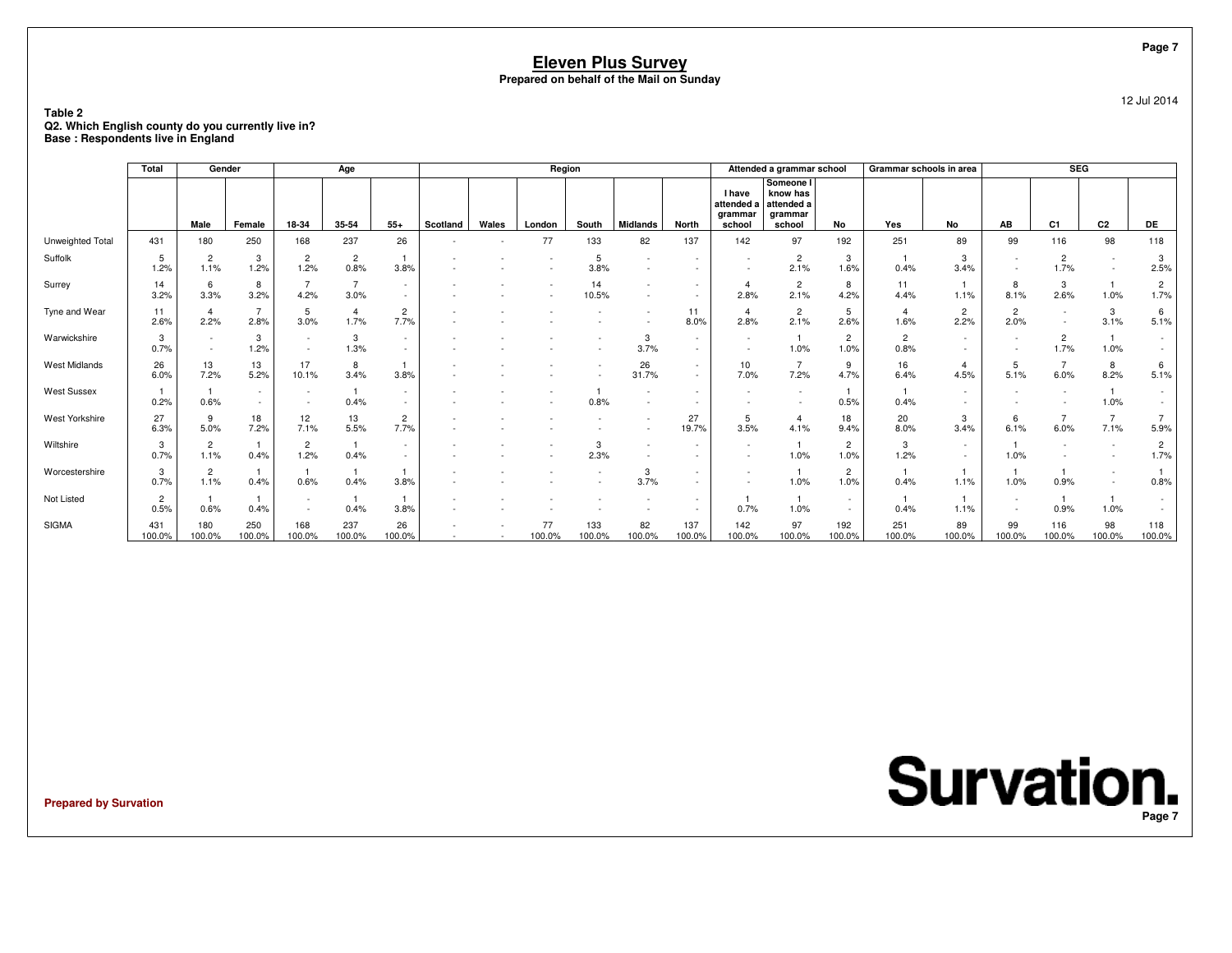**Table 2 Q2. Which English county do you currently live in?Base : Respondents live in England**

|                       | Total                  | Gender                 |                        |                          | Age                    |                  |          |       | Region       |               |                 |                  |                                                  | Attended a grammar school                                |                        | Grammar schools in area |                        |                                    | <b>SEG</b>             |                          |                        |
|-----------------------|------------------------|------------------------|------------------------|--------------------------|------------------------|------------------|----------|-------|--------------|---------------|-----------------|------------------|--------------------------------------------------|----------------------------------------------------------|------------------------|-------------------------|------------------------|------------------------------------|------------------------|--------------------------|------------------------|
|                       |                        | Male                   | Female                 | 18-34                    | 35-54                  | $55+$            | Scotland | Wales | London       | South         | <b>Midlands</b> | North            | <b>I</b> have<br>attended a<br>grammar<br>school | Someone I<br>know has<br>attended a<br>grammar<br>school | No                     | Yes                     | No                     | AB                                 | C <sub>1</sub>         | C <sub>2</sub>           | DE                     |
| Unweighted Total      | 431                    | 180                    | 250                    | 168                      | 237                    | 26               |          |       | 77           | 133           | 82              | 137              | 142                                              | 97                                                       | 192                    | 251                     | 89                     | 99                                 | 116                    | 98                       | 118                    |
| Suffolk               | 5<br>1.2%              | $\overline{2}$<br>1.1% | 3<br>1.2%              | $\overline{c}$<br>1.2%   | $\overline{c}$<br>0.8% | 3.8%             |          |       |              | 5<br>3.8%     | $\sim$          | $\sim$           | $\sim$<br>$\sim$                                 | 2<br>2.1%                                                | 3<br>1.6%              | 0.4%                    | 3<br>3.4%              | $\overline{\phantom{a}}$<br>$\sim$ | $\overline{2}$<br>1.7% | $\sim$<br>$\sim$         | 3<br>2.5%              |
| Surrey                | 14<br>3.2%             | 6<br>3.3%              | 8<br>3.2%              | 4.2%                     | $\overline{7}$<br>3.0% | $\sim$<br>$\sim$ |          |       |              | 14<br>10.5%   | $\overline{a}$  | $\sim$           | $\overline{4}$<br>2.8%                           | $\overline{2}$<br>2.1%                                   | 8<br>4.2%              | 11<br>4.4%              | 1.1%                   | 8<br>8.1%                          | 3<br>2.6%              | 1.0%                     | $\overline{2}$<br>1.7% |
| Tyne and Wear         | 11<br>2.6%             | $\overline{a}$<br>2.2% | 7<br>2.8%              | -5<br>3.0%               | 4<br>1.7%              | 2<br>7.7%        |          |       |              |               |                 | 11<br>8.0%       | $\overline{4}$<br>2.8%                           | $\overline{2}$<br>2.1%                                   | 5<br>2.6%              | $\overline{4}$<br>1.6%  | $\overline{2}$<br>2.2% | $\overline{c}$<br>2.0%             | $\sim$                 | 3<br>3.1%                | 6<br>5.1%              |
| Warwickshire          | 3<br>0.7%              |                        | 3<br>1.2%              | $\overline{\phantom{a}}$ | 3<br>1.3%              | $\sim$<br>$\sim$ |          |       |              |               | 3<br>3.7%       | $\sim$           |                                                  | 1.0%                                                     | $\overline{c}$<br>1.0% | $\overline{2}$<br>0.8%  |                        | $\sim$<br>$\sim$                   | $\overline{2}$<br>1.7% | 1.0%                     | $\sim$                 |
| West Midlands         | 26<br>6.0%             | 13<br>7.2%             | 13<br>5.2%             | 17<br>10.1%              | 8<br>3.4%              | 3.8%             |          |       |              |               | 26<br>31.7%     | $\sim$<br>$\sim$ | 10<br>7.0%                                       | $\overline{7}$<br>7.2%                                   | 9<br>4.7%              | 16<br>6.4%              | $\overline{4}$<br>4.5% | 5<br>5.1%                          | 6.0%                   | 8<br>8.2%                | 6<br>5.1%              |
| <b>West Sussex</b>    | 0.2%                   | 0.6%                   | $\sim$<br>$\sim$       |                          | 0.4%                   |                  |          |       |              | 0.8%          |                 |                  |                                                  | $\overline{\phantom{a}}$                                 | 0.5%                   | 0.4%                    |                        | $\overline{\phantom{a}}$           |                        | 1.0%                     | $\sim$                 |
| <b>West Yorkshire</b> | 27<br>6.3%             | 9<br>5.0%              | 18<br>7.2%             | 12<br>7.1%               | 13<br>5.5%             | 2<br>7.7%        |          |       |              |               |                 | 27<br>19.7%      | 5<br>3.5%                                        | 4<br>4.1%                                                | 18<br>9.4%             | 20<br>8.0%              | 3<br>3.4%              | 6<br>6.1%                          | 6.0%                   | $\overline{7}$<br>7.1%   | 5.9%                   |
| Wiltshire             | 3<br>0.7%              | $\overline{2}$<br>1.1% | $\overline{1}$<br>0.4% | $\overline{2}$<br>1.2%   | $\mathbf{1}$<br>0.4%   | $\sim$<br>$\sim$ |          |       |              | 3<br>2.3%     |                 |                  | $\sim$                                           | 1.0%                                                     | $\overline{2}$<br>1.0% | 3<br>1.2%               |                        | 1.0%                               |                        | $\overline{\phantom{a}}$ | $\overline{2}$<br>1.7% |
| Worcestershire        | 3<br>0.7%              | $\overline{2}$<br>1.1% | $\mathbf{1}$<br>0.4%   | 0.6%                     | 0.4%                   | 3.8%             |          |       |              |               | 3<br>3.7%       | $\sim$<br>$\sim$ | $\sim$                                           | 1.0%                                                     | $\overline{2}$<br>1.0% | 0.4%                    | 1.1%                   | $\overline{1}$<br>1.0%             | 0.9%                   | $\sim$                   | 0.8%                   |
| Not Listed            | $\overline{2}$<br>0.5% | 0.6%                   | $\overline{1}$<br>0.4% | $\overline{\phantom{a}}$ | -1<br>0.4%             | 3.8%             |          |       |              |               |                 |                  | 0.7%                                             | 1.0%                                                     | $\sim$                 | 0.4%                    | 1.1%                   | $\sim$<br>$\sim$                   | $\mathbf{1}$<br>0.9%   | 1.0%                     |                        |
| <b>SIGMA</b>          | 431<br>100.0%          | 180<br>100.0%          | 250<br>100.0%          | 168<br>100.0%            | 237<br>100.0%          | 26<br>100.0%     |          |       | 77<br>100.0% | 133<br>100.0% | 82<br>100.0%    | 137<br>100.0%    | 142<br>100.0%                                    | 97<br>100.0%                                             | 192<br>100.0%          | 251<br>100.0%           | 89<br>100.0%           | 99<br>100.0%                       | 116<br>100.0%          | 98<br>100.0%             | 118<br>100.0%          |

**Prepared by Survation**

**Survation. Page 7**

**Page 7**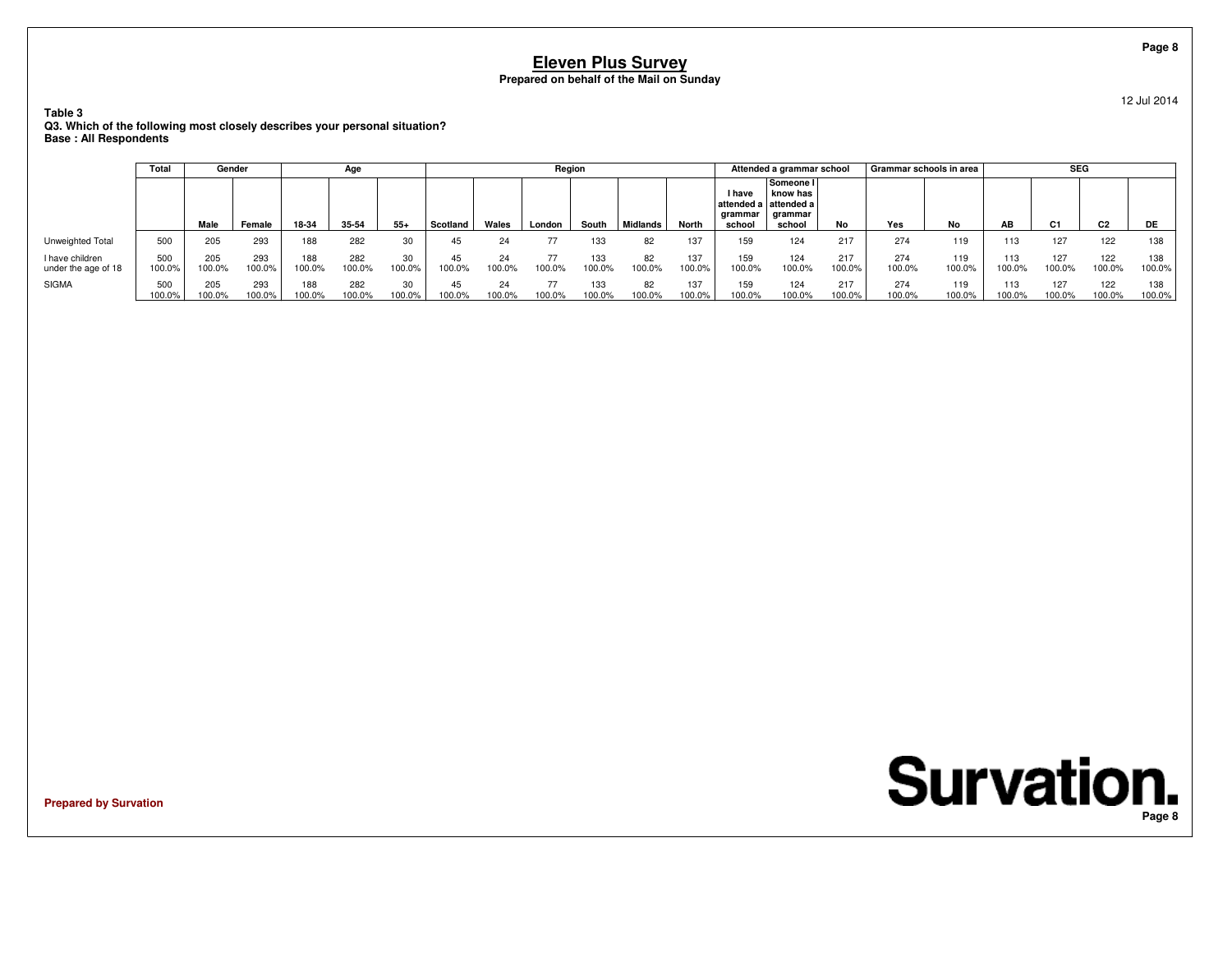**Table 3 Q3. Which of the following most closely describes your personal situation?Base : All Respondents**

|                                        | Total         | Gender        |               |               | Age           |              |              |              | Region |               |                   |               |                             | Attended a grammar school                                               |               | Grammar schools in area |               |               | <b>SEG</b>     |                |               |
|----------------------------------------|---------------|---------------|---------------|---------------|---------------|--------------|--------------|--------------|--------|---------------|-------------------|---------------|-----------------------------|-------------------------------------------------------------------------|---------------|-------------------------|---------------|---------------|----------------|----------------|---------------|
|                                        |               | Male          | Female        | 18-34         | 35-54         | $55+$        | Scotland     | Wales        | London | South         | <b>I</b> Midlands | <b>North</b>  | l have<br>arammar<br>school | Someone I<br>know has<br>l attended a l attended a<br>arammar<br>school | No            | Yes                     | No            | AB            | C <sub>1</sub> | C <sub>2</sub> | DE            |
| Unweighted Total                       | 500           | 205           | 293           | 188           | 282           | 30           | 45           | 24           |        | 133           | 82                | 137           | 159                         | 124                                                                     | 217           | 274                     | 119           | 113           | 127            | 122            | 138           |
| I have children<br>under the age of 18 | 500<br>100.0% | 205<br>100.0% | 293<br>100.0% | 188<br>100.0% | 282<br>100.0% | 30<br>100.0% | 45<br>100.0% | 24<br>100.0% | 100.0% | 133<br>100.0% | 82<br>100.0%      | 137<br>100.0% | 159<br>100.0%               | 124<br>100.0%                                                           | 217<br>100.0% | 274<br>100.0%           | 119<br>100.0% | 113<br>100.0% | 127<br>100.0%  | 122<br>100.0%  | 138<br>100.0% |
| <b>SIGMA</b>                           | 500<br>100.0% | 205<br>100.0% | 293<br>100.0% | 188<br>100.0% | 282<br>100.0% | 30<br>100.0% | 45<br>100.0% | 24<br>100.0% | 100.0% | 133<br>100.0% | 82<br>100.0%      | 137<br>100.0% | 159<br>100.0%               | 124<br>100.0%                                                           | 217<br>100.0% | 274<br>100.0%           | 119<br>100.0% | 113<br>100.0% | 127<br>100.0%  | 122<br>100.0%  | 138<br>100.0% |

**Prepared by Survation**

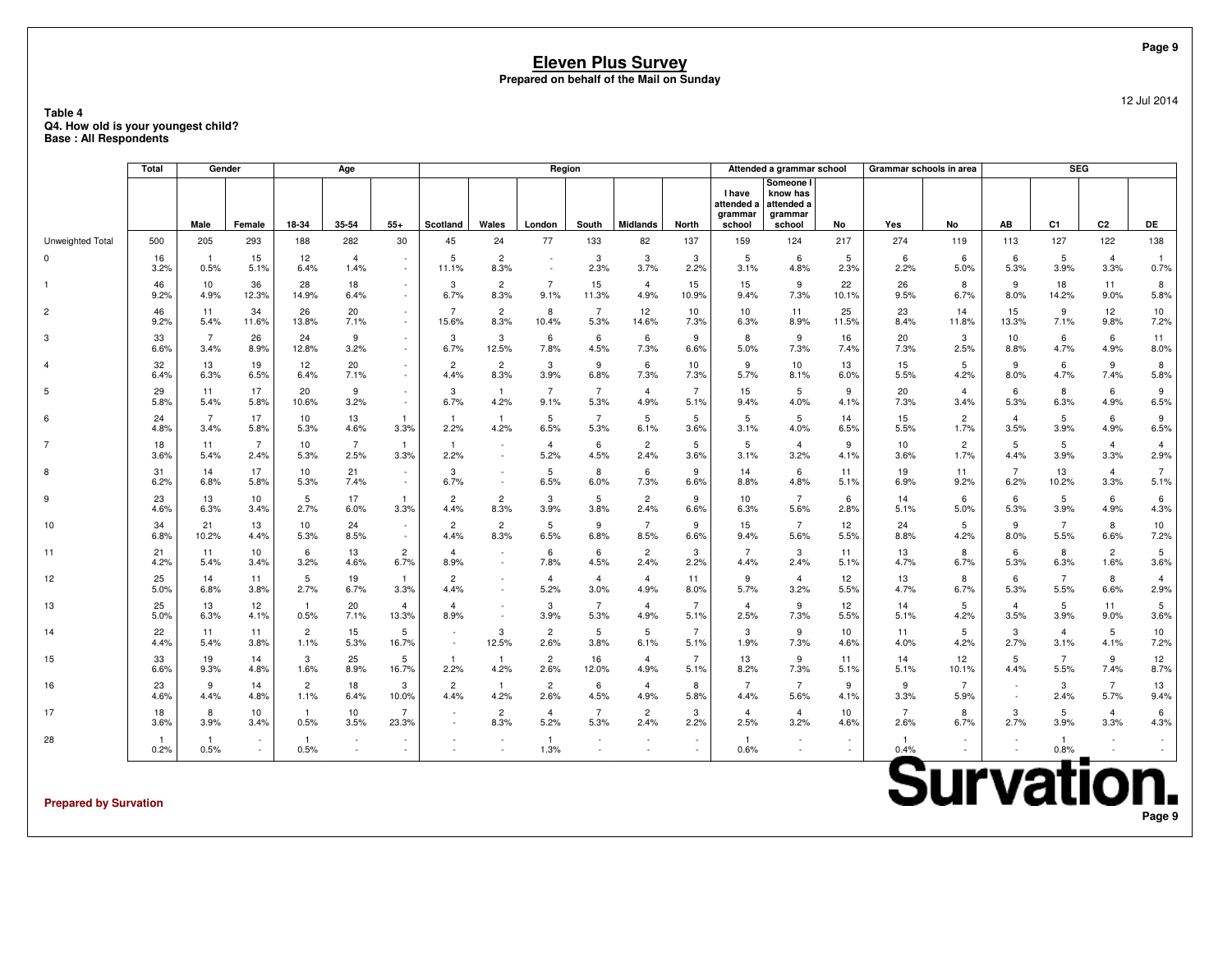|                                                                                |            |                        |                  |                        |                        |                          |                |                                |                        |                        | <b>Eleven Plus Survey</b><br>Prepared on behalf of the Mail on Sunday |                        |                                                  |                                                          |                         |                         |                |                |                        |                        | Page 9               |
|--------------------------------------------------------------------------------|------------|------------------------|------------------|------------------------|------------------------|--------------------------|----------------|--------------------------------|------------------------|------------------------|-----------------------------------------------------------------------|------------------------|--------------------------------------------------|----------------------------------------------------------|-------------------------|-------------------------|----------------|----------------|------------------------|------------------------|----------------------|
| Table 4<br>Q4. How old is your youngest child?<br><b>Base: All Respondents</b> |            |                        |                  |                        |                        |                          |                |                                |                        |                        |                                                                       |                        |                                                  |                                                          |                         |                         |                |                |                        |                        | 12 Jul 2014          |
|                                                                                | Total      |                        | Gender           |                        | Age                    |                          |                |                                | Region                 |                        |                                                                       |                        |                                                  | Attended a grammar school                                |                         | Grammar schools in area |                |                | <b>SEG</b>             |                        |                      |
|                                                                                |            | Male                   | Female           | 18-34                  | 35-54                  | $55+$                    | Scotland       | Wales                          | London                 | South                  | <b>Midlands</b>                                                       | <b>North</b>           | <b>I</b> have<br>attended a<br>qrammar<br>school | Someone I<br>know has<br>attended a<br>grammar<br>school | No                      | Yes                     | No             | AB             | C <sub>1</sub>         | C <sub>2</sub>         | DE                   |
| Unweighted Total                                                               | 500        | 205                    | 293              | 188                    | 282                    | 30                       | 45             | 24                             | 77                     | 133                    | 82                                                                    | 137                    | 159                                              | 124                                                      | 217                     | 274                     | 119            | 113            | 127                    | 122                    | 138                  |
| $\Omega$                                                                       | 16<br>3.2% | $\overline{1}$<br>0.5% | 15<br>5.1%       | 12<br>6.4%             | $\overline{4}$<br>1.4% |                          | 5<br>11.1%     | $\overline{c}$<br>8.3%         | $\sim$                 | 3<br>2.3%              | 3<br>3.7%                                                             | 3<br>2.2%              | 5<br>3.1%                                        | 6<br>4.8%                                                | 5<br>2.3%               | 6<br>2.2%               | 6<br>5.0%      | 6<br>5.3%      | 5<br>3.9%              | $\overline{4}$<br>3.3% | $\mathbf{1}$<br>0.7% |
| 1                                                                              | 46         | 10                     | 36               | 28                     | 18                     | $\overline{\phantom{a}}$ | 3              | $\overline{c}$                 | $\overline{7}$         | 15                     | $\overline{4}$                                                        | 15                     | 15                                               | 9                                                        | 22                      | 26                      | 8              | 9              | 18                     | 11                     | 8                    |
|                                                                                | 9.2%       | 4.9%                   | 12.3%            | 14.9%                  | 6.4%                   | $\sim$                   | 6.7%           | 8.3%                           | 9.1%                   | 11.3%                  | 4.9%                                                                  | 10.9%                  | 9.4%                                             | 7.3%                                                     | 10.1%                   | 9.5%                    | 6.7%           | 8.0%           | 14.2%                  | 9.0%                   | 5.8%                 |
| $\overline{2}$                                                                 | 46         | 11                     | 34               | 26                     | 20                     | $\sim$                   | $\overline{7}$ | $\overline{c}$                 | 8                      | $\overline{7}$         | 12                                                                    | 10                     | 10                                               | 11                                                       | 25                      | 23                      | 14             | 15             | 9                      | 12                     | 10                   |
|                                                                                | 9.2%       | 5.4%                   | 11.6%            | 13.8%                  | 7.1%                   | $\sim$                   | 15.6%          | 8.3%                           | 10.4%                  | 5.3%                   | 14.6%                                                                 | 7.3%                   | 6.3%                                             | 8.9%                                                     | 11.5%                   | 8.4%                    | 11.8%          | 13.3%          | 7.1%                   | 9.8%                   | 7.2%                 |
| 3                                                                              | 33         | $\overline{7}$         | 26               | 24                     | 9                      | $\sim$                   | 3              | 3                              | 6                      | 6                      | $6\overline{6}$                                                       | 9                      | 8                                                | 9                                                        | 16                      | 20                      | 3              | 10             | 6                      | 6                      | 11                   |
|                                                                                | 6.6%       | 3.4%                   | 8.9%             | 12.8%                  | 3.2%                   | $\sim$                   | 6.7%           | 12.5%                          | 7.8%                   | 4.5%                   | 7.3%                                                                  | 6.6%                   | 5.0%                                             | 7.3%                                                     | 7.4%                    | 7.3%                    | 2.5%           | 8.8%           | 4.7%                   | 4.9%                   | 8.0%                 |
| $\overline{4}$                                                                 | 32         | 13                     | 19               | 12                     | 20                     | $\sim$                   | $\overline{c}$ | $\overline{c}$                 | 3                      | 9                      | 6                                                                     | 10                     | 9                                                | 10                                                       | 13                      | 15                      | 5              | 9              | 6                      | 9                      | 8                    |
|                                                                                | 6.4%       | 6.3%                   | 6.5%             | 6.4%                   | 7.1%                   | $\sim$                   | 4.4%           | 8.3%                           | 3.9%                   | 6.8%                   | 7.3%                                                                  | 7.3%                   | 5.7%                                             | 8.1%                                                     | 6.0%                    | 5.5%                    | 4.2%           | 8.0%           | 4.7%                   | 7.4%                   | 5.8%                 |
| 5                                                                              | 29         | 11                     | 17               | 20                     | 9                      | $\sim$                   | 3              | $\overline{1}$                 | $\overline{7}$         | $\overline{7}$         | $\overline{4}$                                                        | $\overline{7}$         | 15                                               | 5                                                        | 9                       | 20                      | $\overline{4}$ | 6              | 8                      | 6                      | 9                    |
|                                                                                | 5.8%       | 5.4%                   | 5.8%             | 10.6%                  | 3.2%                   | $\sim$                   | 6.7%           | 4.2%                           | 9.1%                   | 5.3%                   | 4.9%                                                                  | 5.1%                   | 9.4%                                             | 4.0%                                                     | 4.1%                    | 7.3%                    | 3.4%           | 5.3%           | 6.3%                   | 4.9%                   | 6.5%                 |
| 6                                                                              | 24         | $\overline{7}$         | 17               | 10                     | 13                     | $\mathbf{1}$             | $\overline{1}$ | $\mathbf{1}$                   | 5                      | $\overline{7}$         | $\overline{5}$                                                        | 5                      | 5                                                | 5                                                        | 14                      | 15                      | $\overline{2}$ | $\overline{4}$ | 5                      | 6                      | 9                    |
|                                                                                | 4.8%       | 3.4%                   | 5.8%             | 5.3%                   | 4.6%                   | 3.3%                     | 2.2%           | 4.2%                           | 6.5%                   | 5.3%                   | 6.1%                                                                  | 3.6%                   | 3.1%                                             | 4.0%                                                     | 6.5%                    | 5.5%                    | 1.7%           | 3.5%           | 3.9%                   | 4.9%                   | 6.5%                 |
| $\overline{7}$                                                                 | 18         | 11                     | $\overline{7}$   | 10                     | $\overline{7}$         | $\mathbf{1}$             | $\mathbf{1}$   | ÷.                             | $\overline{4}$         | 6                      | $\overline{2}$                                                        | $5\phantom{.0}$        | 5                                                | $\overline{4}$                                           | 9                       | 10                      | $\overline{c}$ | 5              | 5                      | $\overline{4}$         | $\overline{4}$       |
|                                                                                | 3.6%       | 5.4%                   | 2.4%             | 5.3%                   | 2.5%                   | 3.3%                     | 2.2%           | $\overline{\phantom{a}}$       | 5.2%                   | 4.5%                   | 2.4%                                                                  | 3.6%                   | 3.1%                                             | 3.2%                                                     | 4.1%                    | 3.6%                    | 1.7%           | 4.4%           | 3.9%                   | 3.3%                   | 2.9%                 |
| 8                                                                              | 31         | 14                     | 17               | 10                     | 21                     | $\sim$                   | 3              | $\overline{\phantom{a}}$       | 5                      | 8                      | 6                                                                     | 9                      | 14                                               | 6                                                        | 11                      | 19                      | 11             | $\overline{7}$ | 13                     | $\overline{4}$         | $\overline{7}$       |
|                                                                                | 6.2%       | 6.8%                   | 5.8%             | 5.3%                   | 7.4%                   | $\sim$                   | 6.7%           | $\sim$                         | 6.5%                   | 6.0%                   | 7.3%                                                                  | 6.6%                   | 8.8%                                             | 4.8%                                                     | 5.1%                    | 6.9%                    | 9.2%           | 6.2%           | 10.2%                  | 3.3%                   | 5.1%                 |
| 9                                                                              | 23         | 13                     | 10               | 5                      | 17                     | $\mathbf{1}$             | $\overline{c}$ | $\overline{2}$                 | 3                      | 5                      | $\overline{2}$                                                        | 9                      | 10                                               | $\overline{7}$                                           | 6                       | 14                      | 6              | 6              | 5                      | 6                      | 6                    |
|                                                                                | 4.6%       | 6.3%                   | 3.4%             | 2.7%                   | 6.0%                   | 3.3%                     | 4.4%           | 8.3%                           | 3.9%                   | 3.8%                   | 2.4%                                                                  | 6.6%                   | 6.3%                                             | 5.6%                                                     | 2.8%                    | 5.1%                    | 5.0%           | 5.3%           | 3.9%                   | 4.9%                   | 4.3%                 |
| 10                                                                             | 34         | 21                     | 13               | 10                     | 24                     | $\sim$                   | $\overline{c}$ | $\overline{c}$                 | 5                      | 9                      | $\overline{7}$                                                        | 9                      | 15                                               | $\overline{7}$                                           | 12                      | 24                      | 5              | 9              | $\overline{7}$         | 8                      | 10                   |
|                                                                                | 6.8%       | 10.2%                  | 4.4%             | 5.3%                   | 8.5%                   | $\sim$                   | 4.4%           | 8.3%                           | 6.5%                   | 6.8%                   | 8.5%                                                                  | 6.6%                   | 9.4%                                             | 5.6%                                                     | 5.5%                    | 8.8%                    | 4.2%           | 8.0%           | 5.5%                   | 6.6%                   | 7.2%                 |
| 11                                                                             | 21         | 11                     | 10               | 6                      | 13                     | $\overline{2}$           | $\overline{4}$ | $\sim$                         | 6                      | 6                      | $\overline{2}$                                                        | 3                      | $\overline{7}$                                   | 3                                                        | 11                      | 13                      | 8              | 6              | 8                      | $\overline{2}$         | 5                    |
|                                                                                | 4.2%       | 5.4%                   | 3.4%             | 3.2%                   | 4.6%                   | 6.7%                     | 8.9%           | $\overline{\phantom{a}}$       | 7.8%                   | 4.5%                   | 2.4%                                                                  | 2.2%                   | 4.4%                                             | 2.4%                                                     | 5.1%                    | 4.7%                    | 6.7%           | 5.3%           | 6.3%                   | 1.6%                   | 3.6%                 |
| 12                                                                             | 25         | 14                     | 11               | 5                      | 19                     | -1                       | $\overline{2}$ | $\overline{\phantom{a}}$       | $\overline{4}$         | $\overline{4}$         | $\overline{4}$                                                        | 11                     | 9                                                | $\overline{4}$                                           | 12                      | 13                      | 8              | 6              | $\overline{7}$         | 8                      | $\overline{4}$       |
|                                                                                | 5.0%       | 6.8%                   | 3.8%             | 2.7%                   | 6.7%                   | 3.3%                     | 4.4%           | $\sim$                         | 5.2%                   | 3.0%                   | 4.9%                                                                  | 8.0%                   | 5.7%                                             | 3.2%                                                     | 5.5%                    | 4.7%                    | 6.7%           | 5.3%           | 5.5%                   | 6.6%                   | 2.9%                 |
| 13                                                                             | 25         | 13                     | 12               | $\overline{1}$         | 20                     | $\overline{4}$           | $\overline{4}$ | $\sim$                         | 3                      | $\overline{7}$         | $\overline{4}$                                                        | $\overline{7}$         | $\overline{4}$                                   | 9                                                        | 12                      | 14                      | 5              | $\overline{4}$ | 5                      | 11                     | 5                    |
|                                                                                | 5.0%       | 6.3%                   | 4.1%             | 0.5%                   | 7.1%                   | 13.3%                    | 8.9%           | $\blacksquare$                 | 3.9%                   | 5.3%                   | 4.9%                                                                  | 5.1%                   | 2.5%                                             | 7.3%                                                     | 5.5%                    | 5.1%                    | 4.2%           | 3.5%           | 3.9%                   | 9.0%                   | 3.6%                 |
| 14                                                                             | 22<br>4.4% | 11<br>5.4%             | 11<br>3.8%       | $\overline{c}$<br>1.1% | 15<br>5.3%             | 5<br>16.7%               | ×,             | 3<br>12.5%                     | $\overline{2}$<br>2.6% | 5<br>3.8%              | 5<br>6.1%                                                             | $\overline{7}$<br>5.1% | 3<br>1.9%                                        | 9<br>7.3%                                                | 10 <sup>1</sup><br>4.6% | 11<br>4.0%              | 5<br>4.2%      | 3<br>2.7%      | $\overline{4}$<br>3.1% | 5<br>4.1%              | 10<br>7.2%           |
| 15                                                                             | 33         | 19                     | 14               | 3                      | 25                     | 5                        | $\mathbf{1}$   | $\overline{1}$                 | $\overline{2}$         | 16                     | $\overline{4}$                                                        | $\overline{7}$         | 13                                               | 9                                                        | 11                      | 14                      | 12             | 5              | $\overline{7}$         | 9                      | 12                   |
|                                                                                | 6.6%       | 9.3%                   | 4.8%             | 1.6%                   | 8.9%                   | 16.7%                    | 2.2%           | 4.2%                           | 2.6%                   | 12.0%                  | 4.9%                                                                  | 5.1%                   | 8.2%                                             | 7.3%                                                     | 5.1%                    | 5.1%                    | 10.1%          | 4.4%           | 5.5%                   | 7.4%                   | 8.7%                 |
| 16                                                                             | 23         | 9                      | 14               | $\overline{c}$         | 18                     | 3                        | $\overline{c}$ | $\mathbf{1}$                   | $\overline{2}$         | 6                      | $\overline{4}$                                                        | 8                      | $\overline{7}$                                   | $\overline{7}$                                           | 9                       | 9                       | $\overline{7}$ | $\sim$         | 3                      | $\overline{7}$         | 13                   |
|                                                                                | 4.6%       | 4.4%                   | 4.8%             | 1.1%                   | 6.4%                   | 10.0%                    | 4.4%           | 4.2%                           | 2.6%                   | 4.5%                   | 4.9%                                                                  | 5.8%                   | 4.4%                                             | 5.6%                                                     | 4.1%                    | 3.3%                    | 5.9%           | ×.             | 2.4%                   | 5.7%                   | 9.4%                 |
| 17                                                                             | 18<br>3.6% | 8<br>3.9%              | 10<br>3.4%       | $\blacksquare$<br>0.5% | 10<br>3.5%             | $\overline{7}$<br>23.3%  |                | $\overline{2}$<br>8.3%         | $\overline{4}$<br>5.2% | $\overline{7}$<br>5.3% | $\overline{2}$<br>2.4%                                                | 3<br>2.2%              | $\overline{4}$<br>2.5%                           | $\overline{4}$<br>3.2%                                   | 10<br>4.6%              | $\overline{7}$<br>2.6%  | 8<br>6.7%      | 3<br>2.7%      | 5<br>3.9%              | $\overline{4}$<br>3.3% | 6<br>4.3%            |
| 28                                                                             | -1<br>0.2% | $\overline{1}$<br>0.5% | $\sim$<br>$\sim$ | $\overline{1}$<br>0.5% |                        |                          |                | $\overline{\phantom{a}}$<br>÷. | $\mathbf{1}$<br>1.3%   |                        | $\sim$                                                                | $\sim$<br>÷.           | $\overline{1}$<br>0.6%                           | $\sim$<br>$\sim$                                         | $\sim$<br>$\sim$        | -1<br>0.4%              |                | $\sim$         | $\mathbf{1}$<br>0.8%   |                        | $\sim$<br>$\sim$     |

**Prepared by Survation**

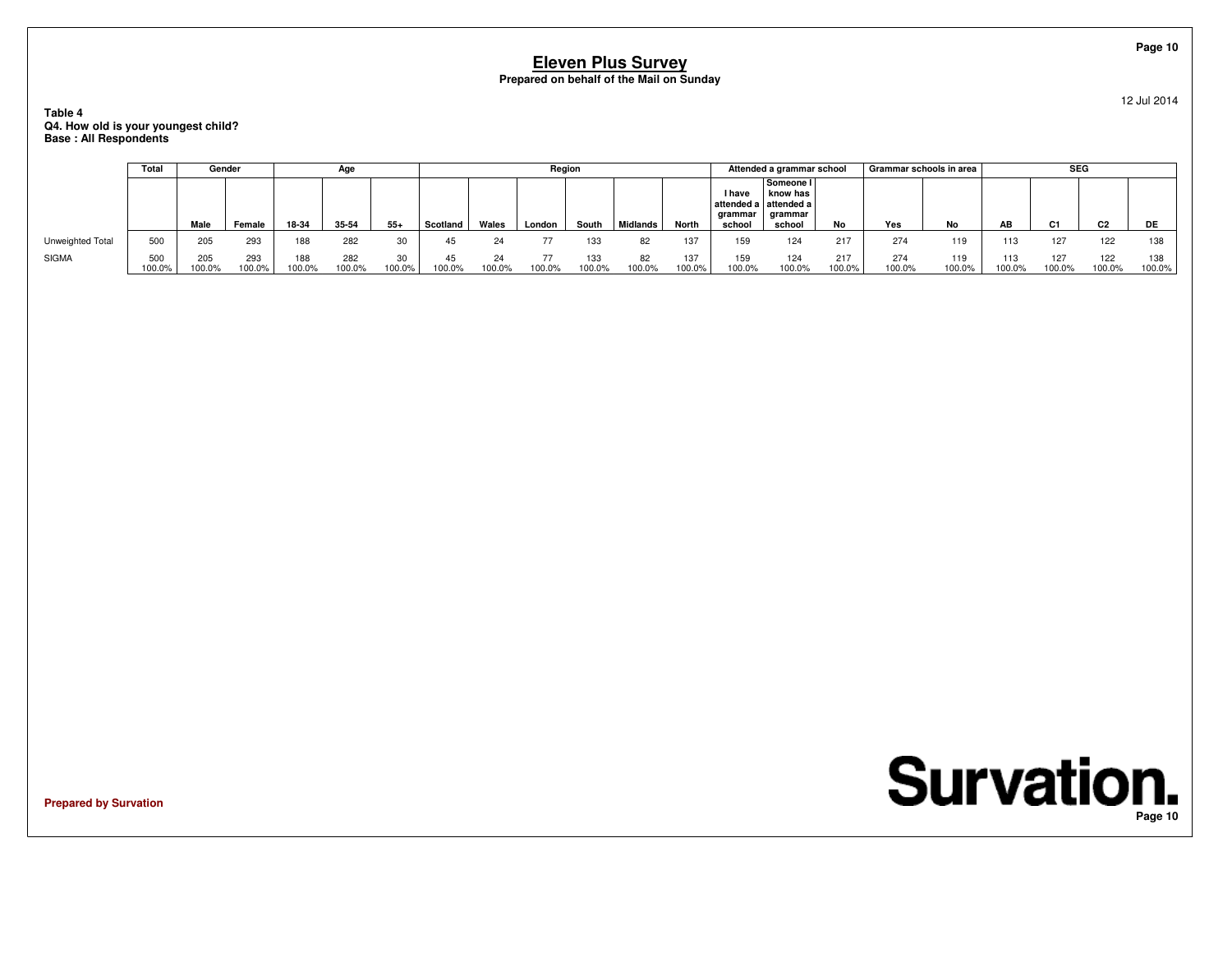**Table 4 Q4. How old is your youngest child?Base : All Respondents**

|                  | Total         | Gender        |                  |               | Age           |              |              |              | Region |               |                 |               |                             | Attended a grammar school                                           |               | Grammar schools in area |               |               | <b>SEG</b>    |                |               |
|------------------|---------------|---------------|------------------|---------------|---------------|--------------|--------------|--------------|--------|---------------|-----------------|---------------|-----------------------------|---------------------------------------------------------------------|---------------|-------------------------|---------------|---------------|---------------|----------------|---------------|
|                  |               | Male          | Female           | 18-34         | 35-54         | $55+$        | Scotland     | Wales        | London | South         | <b>Midlands</b> | North         | I have<br>arammar<br>school | Someone I<br>know has<br>attended a attended a<br>grammar<br>school | No            | Yes                     | No            | AB            | C1            | C <sub>2</sub> | DE            |
| Unweighted Total | 500           | 205           | 293              | 188           | 282           | 30           | 45           | 24           |        | 133           | 82              | 137           | 159                         | 124                                                                 | 217           | 274                     | 119           | 113           | 127           | 122            | 138           |
| <b>SIGMA</b>     | 500<br>100.0% | 205<br>100.0% | 293<br>$100.0\%$ | 188<br>100.0% | 282<br>100.0% | 30<br>100.0% | 45<br>100.0% | 24<br>100.0% | 100.0% | 133<br>100.0% | 82<br>100.0%    | 137<br>100.0% | 159<br>100.0%               | 124<br>100.0%                                                       | 217<br>100.0% | 274<br>100.0%           | 119<br>100.0% | 113<br>100.0% | 127<br>100.0% | 122<br>100.0%  | 138<br>100.0% |

**Prepared by Survation**

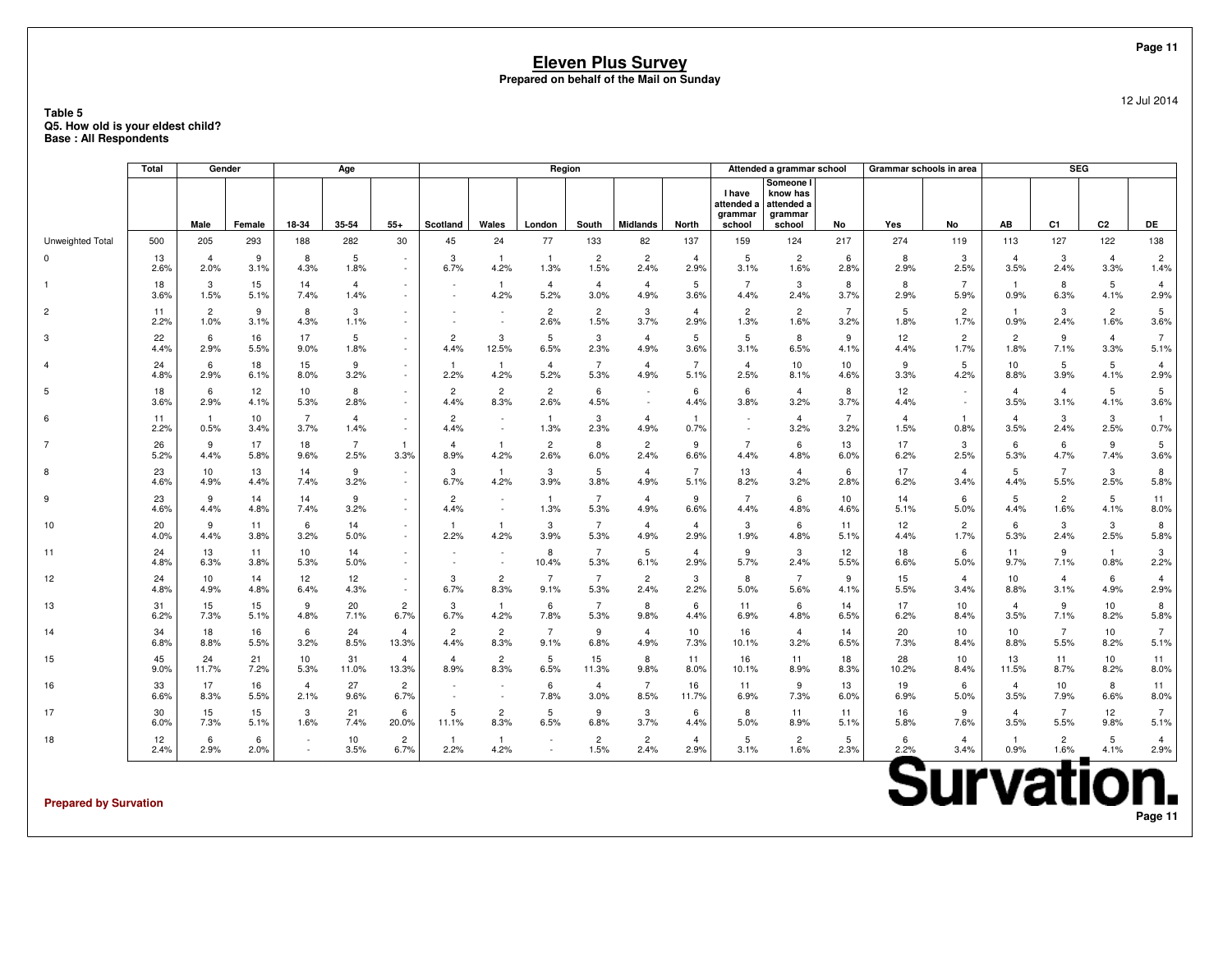### **Table 5 Q5. How old is your eldest child?Base : All Respondents**

|                  | Total      |                        | Gender     |                        | Age                    |                         |                        |                                    | Region                 |                        |                        |                         |                                           | Attended a grammar school                                |                         | Grammar schools in area |                        |                        | <b>SEG</b>             |                        |                        |
|------------------|------------|------------------------|------------|------------------------|------------------------|-------------------------|------------------------|------------------------------------|------------------------|------------------------|------------------------|-------------------------|-------------------------------------------|----------------------------------------------------------|-------------------------|-------------------------|------------------------|------------------------|------------------------|------------------------|------------------------|
|                  |            | Male                   | Female     | 18-34                  | 35-54                  | $55+$                   | Scotland               | Wales                              | London                 | South                  | <b>Midlands</b>        | North                   | I have<br>attended a<br>grammar<br>school | Someone I<br>know has<br>attended a<br>grammar<br>school | No                      | Yes                     | No                     | AB                     | C <sub>1</sub>         | C <sub>2</sub>         | DE                     |
| Unweighted Total | 500        | 205                    | 293        | 188                    | 282                    | 30                      | 45                     | 24                                 | 77                     | 133                    | 82                     | 137                     | 159                                       | 124                                                      | 217                     | 274                     | 119                    | 113                    | 127                    | 122                    | 138                    |
|                  | 13<br>2.6% | $\overline{4}$<br>2.0% | 9<br>3.1%  | 8<br>4.3%              | 5<br>1.8%              |                         | 3<br>6.7%              | $\overline{1}$<br>4.2%             | $\overline{1}$<br>1.3% | $\overline{2}$<br>1.5% | $\overline{2}$<br>2.4% | $\overline{4}$<br>2.9%  | 5<br>3.1%                                 | $\overline{2}$<br>1.6%                                   | 6<br>2.8%               | 8<br>2.9%               | 3<br>2.5%              | $\overline{4}$<br>3.5% | 3<br>2.4%              | $\overline{4}$<br>3.3% | $\overline{2}$<br>1.4% |
|                  | 18<br>3.6% | 3<br>1.5%              | 15<br>5.1% | 14<br>7.4%             | $\overline{4}$<br>1.4% |                         |                        | $\overline{1}$<br>4.2%             | $\overline{4}$<br>5.2% | $\overline{4}$<br>3.0% | $\overline{4}$<br>4.9% | 5<br>3.6%               | $\overline{7}$<br>4.4%                    | 3<br>2.4%                                                | 8<br>3.7%               | 8<br>2.9%               | $\overline{7}$<br>5.9% | $\overline{1}$<br>0.9% | 8<br>6.3%              | 5<br>4.1%              | $\overline{4}$<br>2.9% |
| $\overline{2}$   | 11<br>2.2% | $\overline{2}$<br>1.0% | 9<br>3.1%  | 8<br>4.3%              | 3<br>1.1%              |                         |                        | $\overline{\phantom{a}}$           | $\overline{2}$<br>2.6% | $\overline{2}$<br>1.5% | 3<br>3.7%              | $\overline{4}$<br>2.9%  | $\overline{2}$<br>1.3%                    | $\overline{2}$<br>1.6%                                   | $\overline{7}$<br>3.2%  | 5<br>1.8%               | $\overline{2}$<br>1.7% | $\overline{1}$<br>0.9% | 3<br>2.4%              | $\overline{2}$<br>1.6% | 5<br>3.6%              |
| 3                | 22<br>4.4% | 6<br>2.9%              | 16<br>5.5% | 17<br>9.0%             | 5<br>1.8%              | $\sim$                  | $\overline{2}$<br>4.4% | 3<br>12.5%                         | 5<br>6.5%              | 3<br>2.3%              | $\overline{4}$<br>4.9% | $5\overline{5}$<br>3.6% | 5<br>3.1%                                 | 8<br>6.5%                                                | 9<br>4.1%               | 12<br>4.4%              | 2<br>1.7%              | $\overline{c}$<br>1.8% | 9<br>7.1%              | $\overline{4}$<br>3.3% | $7^{\circ}$<br>5.1%    |
|                  | 24<br>4.8% | 6<br>2.9%              | 18<br>6.1% | 15<br>8.0%             | 9<br>3.2%              | $\sim$                  | $\mathbf{1}$<br>2.2%   | $\mathbf{1}$<br>4.2%               | $\overline{4}$<br>5.2% | 7<br>5.3%              | 4<br>4.9%              | $\overline{7}$<br>5.1%  | $\overline{4}$<br>2.5%                    | 10<br>8.1%                                               | 10<br>4.6%              | 9<br>3.3%               | 5<br>4.2%              | 10<br>8.8%             | 5<br>3.9%              | 5<br>4.1%              | 4<br>2.9%              |
| 5                | 18<br>3.6% | 6<br>2.9%              | 12<br>4.1% | 10<br>5.3%             | 8<br>2.8%              | $\sim$                  | $\overline{2}$<br>4.4% | $\overline{c}$<br>8.3%             | $\overline{2}$<br>2.6% | 6<br>4.5%              |                        | 6<br>4.4%               | 6<br>3.8%                                 | $\overline{4}$<br>3.2%                                   | 8<br>3.7%               | 12<br>4.4%              | $\sim$                 | $\overline{4}$<br>3.5% | $\overline{4}$<br>3.1% | 5<br>4.1%              | 5<br>3.6%              |
| 6                | 11<br>2.2% | 0.5%                   | 10<br>3.4% | $\overline{7}$<br>3.7% | $\overline{a}$<br>1.4% | $\sim$<br>$\sim$        | $\overline{c}$<br>4.4% | $\overline{\phantom{a}}$<br>$\sim$ | $\mathbf{1}$<br>1.3%   | 3<br>2.3%              | $\overline{4}$<br>4.9% | $\mathbf{1}$<br>0.7%    |                                           | $\overline{4}$<br>3.2%                                   | $\overline{7}$<br>3.2%  | $\Delta$<br>1.5%        | $\mathbf{1}$<br>0.8%   | $\overline{4}$<br>3.5% | 3<br>2.4%              | 3<br>2.5%              | $\mathbf{1}$<br>0.7%   |
| 7                | 26<br>5.2% | 9<br>4.4%              | 17<br>5.8% | 18<br>9.6%             | $\overline{7}$<br>2.5% | -1.<br>3.3%             | $\overline{4}$<br>8.9% | $\mathbf{1}$<br>4.2%               | $\overline{2}$<br>2.6% | 8<br>6.0%              | $\overline{c}$<br>2.4% | 9<br>6.6%               | $\overline{7}$<br>4.4%                    | 6<br>4.8%                                                | 13<br>6.0%              | 17<br>6.2%              | 3<br>2.5%              | 6<br>5.3%              | 6<br>4.7%              | 9<br>7.4%              | 5<br>3.6%              |
| 8                | 23<br>4.6% | 10<br>4.9%             | 13<br>4.4% | 14<br>7.4%             | 9<br>3.2%              | $\sim$<br>$\sim$        | 3<br>6.7%              | $\overline{1}$<br>4.2%             | 3<br>3.9%              | 5<br>3.8%              | $\overline{4}$<br>4.9% | 7<br>5.1%               | 13<br>8.2%                                | $\overline{4}$<br>3.2%                                   | 6<br>2.8%               | 17<br>6.2%              | $\overline{4}$<br>3.4% | 5<br>4.4%              | $\overline{7}$<br>5.5% | 3<br>2.5%              | 8<br>5.8%              |
| 9                | 23<br>4.6% | 9<br>4.4%              | 14<br>4.8% | 14<br>7.4%             | 9<br>3.2%              | $\sim$<br>$\sim$        | $\overline{2}$<br>4.4% | $\overline{\phantom{a}}$<br>$\sim$ | $\mathbf{1}$<br>1.3%   | $\overline{7}$<br>5.3% | $\overline{4}$<br>4.9% | 9<br>6.6%               | $\overline{7}$<br>4.4%                    | 6<br>4.8%                                                | 10 <sup>1</sup><br>4.6% | 14<br>5.1%              | 6<br>5.0%              | 5<br>4.4%              | $\overline{2}$<br>1.6% | 5<br>4.1%              | 11<br>8.0%             |
| 10               | 20<br>4.0% | 9<br>4.4%              | 11<br>3.8% | 6<br>3.2%              | 14<br>5.0%             | $\sim$                  | $\mathbf{1}$<br>2.2%   | $\mathbf{1}$<br>4.2%               | 3<br>3.9%              | 7<br>5.3%              | $\overline{4}$<br>4.9% | $\overline{4}$<br>2.9%  | 3<br>1.9%                                 | 6<br>4.8%                                                | 11<br>5.1%              | 12<br>4.4%              | 2<br>1.7%              | 6<br>5.3%              | 3<br>2.4%              | 3<br>2.5%              | 8<br>5.8%              |
| 11               | 24<br>4.8% | 13<br>6.3%             | 11<br>3.8% | 10<br>5.3%             | 14<br>5.0%             |                         |                        | $\sim$                             | 8<br>10.4%             | $\overline{7}$<br>5.3% | 5<br>6.1%              | $\overline{4}$<br>2.9%  | 9<br>5.7%                                 | 3<br>2.4%                                                | 12<br>5.5%              | 18<br>6.6%              | 6<br>5.0%              | 11<br>9.7%             | 9<br>7.1%              | $\overline{1}$<br>0.8% | 3<br>2.2%              |
| 12               | 24<br>4.8% | 10<br>4.9%             | 14<br>4.8% | 12<br>6.4%             | 12<br>4.3%             | $\sim$                  | 3<br>6.7%              | $\overline{2}$<br>8.3%             | 7<br>9.1%              | $\overline{7}$<br>5.3% | $\overline{2}$<br>2.4% | 3<br>2.2%               | 8<br>5.0%                                 | $\overline{7}$<br>5.6%                                   | 9<br>4.1%               | 15<br>5.5%              | $\overline{4}$<br>3.4% | 10<br>8.8%             | $\overline{4}$<br>3.1% | 6<br>4.9%              | $\overline{4}$<br>2.9% |
| 13               | 31<br>6.2% | 15<br>7.3%             | 15<br>5.1% | -9<br>4.8%             | 20<br>7.1%             | $\overline{2}$<br>6.7%  | 3<br>6.7%              | $\mathbf{1}$<br>4.2%               | 6<br>7.8%              | $\overline{7}$<br>5.3% | 8<br>9.8%              | 6<br>4.4%               | 11<br>6.9%                                | 6<br>4.8%                                                | 14<br>6.5%              | 17<br>6.2%              | 10<br>8.4%             | $\overline{4}$<br>3.5% | 9<br>7.1%              | 10<br>8.2%             | 8<br>5.8%              |
| 14               | 34<br>6.8% | 18<br>8.8%             | 16<br>5.5% | 6<br>3.2%              | 24<br>8.5%             | $\overline{4}$<br>13.3% | $\overline{2}$<br>4.4% | $\overline{2}$<br>8.3%             | $\overline{7}$<br>9.1% | 9<br>6.8%              | $\overline{4}$<br>4.9% | 10<br>7.3%              | 16<br>10.1%                               | $\overline{4}$<br>3.2%                                   | 14<br>6.5%              | 20<br>7.3%              | 10<br>8.4%             | 10<br>8.8%             | $\overline{7}$<br>5.5% | 10<br>8.2%             | $\overline{7}$<br>5.1% |
| 15               | 45<br>9.0% | 24<br>11.7%            | 21<br>7.2% | 10<br>5.3%             | 31<br>11.0%            | $\overline{4}$<br>13.3% | $\overline{4}$<br>8.9% | $\overline{2}$<br>8.3%             | 5<br>6.5%              | 15<br>11.3%            | 8<br>9.8%              | 11<br>8.0%              | 16<br>10.1%                               | 11<br>8.9%                                               | 18<br>8.3%              | 28<br>10.2%             | 10<br>8.4%             | 13<br>11.5%            | 11<br>8.7%             | 10<br>8.2%             | 11<br>8.0%             |
| 16               | 33<br>6.6% | 17<br>8.3%             | 16<br>5.5% | $\overline{4}$<br>2.1% | 27<br>9.6%             | $\overline{2}$<br>6.7%  |                        |                                    | 6<br>7.8%              | $\overline{4}$<br>3.0% | $\overline{7}$<br>8.5% | 16<br>11.7%             | 11<br>6.9%                                | 9<br>7.3%                                                | 13<br>6.0%              | 19<br>6.9%              | 6<br>5.0%              | $\overline{4}$<br>3.5% | 10<br>7.9%             | 8<br>6.6%              | 11<br>8.0%             |
| 17               | 30<br>6.0% | 15<br>7.3%             | 15<br>5.1% | 3<br>1.6%              | 21<br>7.4%             | 6<br>20.0%              | 5<br>11.1%             | $\overline{2}$<br>8.3%             | 5<br>6.5%              | 9<br>6.8%              | 3<br>3.7%              | 6<br>4.4%               | 8<br>5.0%                                 | 11<br>8.9%                                               | 11<br>5.1%              | 16<br>5.8%              | 9<br>7.6%              | $\overline{4}$<br>3.5% | $\overline{7}$<br>5.5% | 12<br>9.8%             | $7^{\circ}$<br>5.1%    |
| 18               | 12<br>2.4% | 6<br>2.9%              | 6<br>2.0%  |                        | 10<br>3.5%             | $\overline{2}$<br>6.7%  | $\overline{1}$<br>2.2% | $\overline{1}$<br>4.2%             | $\sim$<br>$\sim$       | $\overline{c}$<br>1.5% | $\overline{c}$<br>2.4% | $\overline{4}$<br>2.9%  | 5<br>3.1%                                 | $\overline{c}$<br>1.6%                                   | 5<br>2.3%               | 6<br>2.2%<br>-          | $\overline{4}$<br>3.4% | $\mathbf{1}$<br>0.9%   | $\overline{2}$<br>1.6% | 5<br>4.1%              | $\overline{4}$<br>2.9% |

**Prepared by Survation**

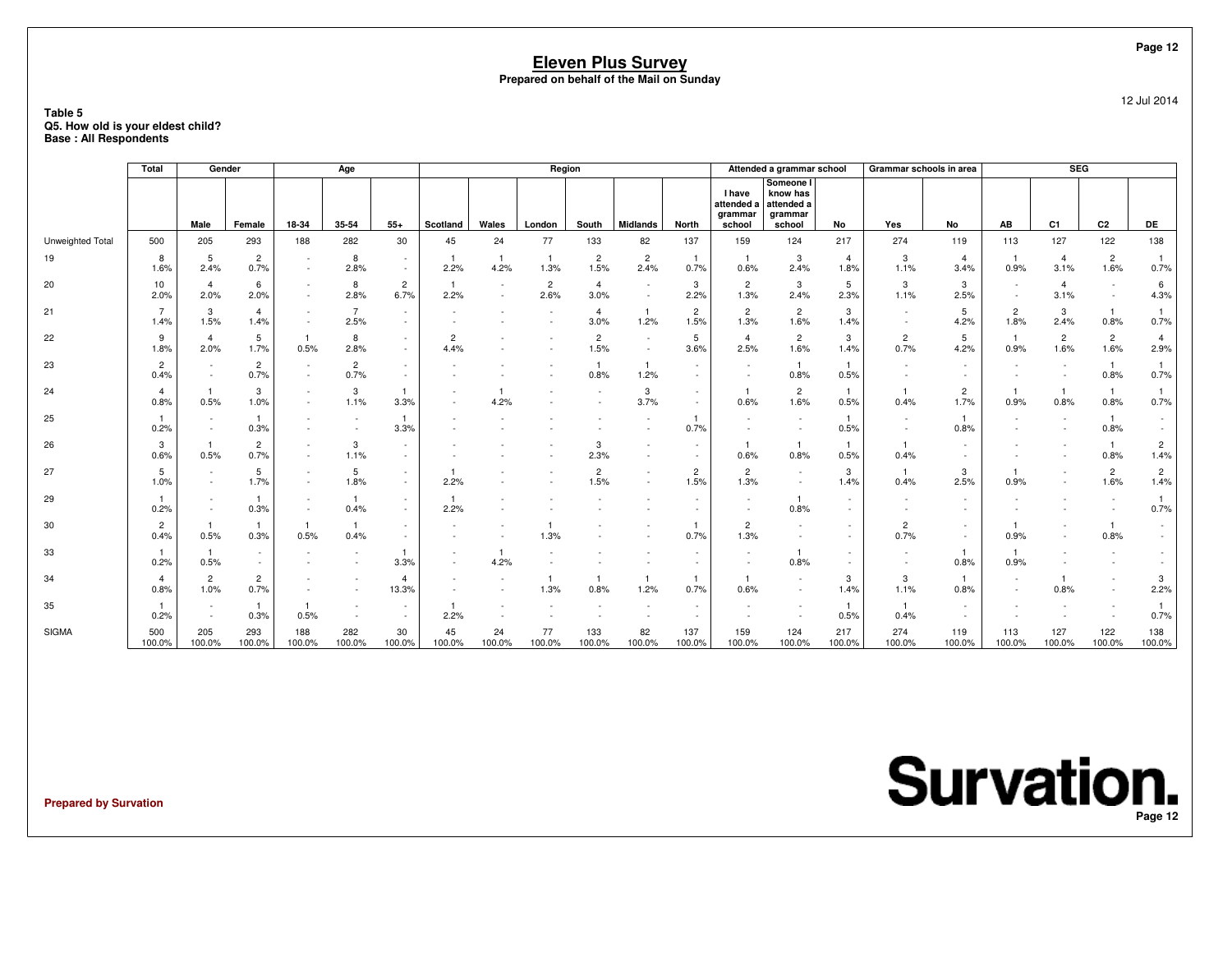### **Table 5 Q5. How old is your eldest child?Base : All Respondents**

|                  | Total                  | Gender                          |                        |                                                      | Age                                                  |                                    |              |                                    | Region                 |                          |                        |                        |                                                  | Attended a grammar school                                |                        | Grammar schools in area |                        |                        | <b>SEG</b>             |                        |                        |
|------------------|------------------------|---------------------------------|------------------------|------------------------------------------------------|------------------------------------------------------|------------------------------------|--------------|------------------------------------|------------------------|--------------------------|------------------------|------------------------|--------------------------------------------------|----------------------------------------------------------|------------------------|-------------------------|------------------------|------------------------|------------------------|------------------------|------------------------|
|                  |                        | Male                            | Female                 | 18-34                                                | 35-54                                                | $55+$                              | Scotland     | Wales                              | London                 | South                    | <b>Midlands</b>        | <b>North</b>           | <b>I</b> have<br>attended a<br>grammar<br>school | Someone I<br>know has<br>attended a<br>grammar<br>school | No                     | Yes                     | No                     | AB                     | C1                     | C2                     | DE                     |
| Unweighted Total | 500                    | 205                             | 293                    | 188                                                  | 282                                                  | 30                                 | 45           | 24                                 | 77                     | 133                      | 82                     | 137                    | 159                                              | 124                                                      | 217                    | 274                     | 119                    | 113                    | 127                    | 122                    | 138                    |
| 19               | 8<br>1.6%              | 5<br>2.4%                       | $\overline{2}$<br>0.7% | $\overline{\phantom{a}}$<br>$\sim$                   | 8<br>2.8%                                            | $\sim$<br>$\sim$                   | 2.2%         | $\overline{1}$<br>4.2%             | $\overline{1}$<br>1.3% | $\overline{2}$<br>1.5%   | $\overline{c}$<br>2.4% | 0.7%                   | 0.6%                                             | 3<br>2.4%                                                | $\overline{4}$<br>1.8% | 3<br>1.1%               | $\overline{4}$<br>3.4% | 0.9%                   | $\overline{4}$<br>3.1% | $\overline{c}$<br>1.6% | 0.7%                   |
| 20               | 10<br>2.0%             | $\overline{\mathbf{4}}$<br>2.0% | 6<br>2.0%              | $\sim$                                               | 8<br>2.8%                                            | $\overline{c}$<br>6.7%             | -1<br>2.2%   | $\overline{\phantom{a}}$<br>$\sim$ | $\overline{2}$<br>2.6% | $\overline{4}$<br>3.0%   |                        | 3<br>2.2%              | $\overline{2}$<br>1.3%                           | 3<br>2.4%                                                | 5<br>2.3%              | 3<br>1.1%               | 3<br>2.5%              | $\sim$                 | $\overline{4}$<br>3.1% | $\sim$                 | 6<br>4.3%              |
| 21               | $\overline{7}$<br>1.4% | 3<br>1.5%                       | $\overline{4}$<br>1.4% | $\sim$                                               | $\overline{7}$<br>2.5%                               | $\sim$<br>$\sim$                   |              |                                    |                        | $\overline{4}$<br>3.0%   | -1<br>1.2%             | $\overline{2}$<br>1.5% | $\overline{c}$<br>1.3%                           | $\overline{2}$<br>1.6%                                   | 3<br>1.4%              |                         | 5<br>4.2%              | $\overline{2}$<br>1.8% | 3<br>2.4%              | $\mathbf{1}$<br>0.8%   | $\overline{1}$<br>0.7% |
| 22               | 9<br>1.8%              | $\overline{4}$<br>2.0%          | 5<br>1.7%              | $\mathbf{1}$<br>0.5%                                 | 8<br>2.8%                                            | $\sim$<br>$\sim$                   | 2<br>4.4%    |                                    |                        | $\overline{c}$<br>1.5%   | $\sim$                 | 5<br>3.6%              | $\overline{4}$<br>2.5%                           | $\overline{2}$<br>1.6%                                   | 3<br>1.4%              | $\overline{c}$<br>0.7%  | 5<br>4.2%              | $\overline{1}$<br>0.9% | $\overline{2}$<br>1.6% | $\overline{c}$<br>1.6% | $\overline{4}$<br>2.9% |
| 23               | $\overline{2}$<br>0.4% |                                 | $\overline{2}$<br>0.7% | $\sim$                                               | $\overline{2}$<br>0.7%                               | $\sim$<br>$\sim$                   |              |                                    |                        | 0.8%                     | -1<br>1.2%             |                        | $\sim$                                           | $\overline{1}$<br>0.8%                                   | 0.5%                   |                         |                        |                        |                        | $\mathbf{1}$<br>0.8%   | $\overline{1}$<br>0.7% |
| 24               | $\overline{4}$<br>0.8% | 0.5%                            | 3<br>1.0%              | $\overline{\phantom{a}}$<br>$\sim$                   | 3<br>1.1%                                            | $\mathbf{1}$<br>3.3%               |              | 4.2%                               |                        | $\overline{\phantom{a}}$ | 3<br>3.7%              | $\sim$                 | 0.6%                                             | $\overline{2}$<br>1.6%                                   | $\mathbf{1}$<br>0.5%   | $\mathbf{1}$<br>0.4%    | $\overline{2}$<br>1.7% | 0.9%                   | $\mathbf{1}$<br>0.8%   | $\mathbf{1}$<br>0.8%   | $\overline{1}$<br>0.7% |
| 25               | 0.2%                   | $\sim$                          | $\mathbf{1}$<br>0.3%   | $\sim$                                               | $\overline{\phantom{a}}$<br>$\overline{\phantom{a}}$ | $\mathbf{1}$<br>3.3%               |              |                                    |                        |                          |                        | 0.7%                   |                                                  |                                                          | 0.5%                   |                         | $\mathbf{1}$<br>0.8%   |                        | ٠                      | $\mathbf{1}$<br>0.8%   |                        |
| 26               | 3<br>0.6%              | $\mathbf{1}$<br>0.5%            | $\overline{2}$<br>0.7% | $\overline{\phantom{a}}$<br>$\sim$                   | 3<br>1.1%                                            | $\sim$<br>$\sim$                   |              |                                    |                        | 3<br>2.3%                |                        | $\sim$                 | 0.6%                                             | $\overline{1}$<br>0.8%                                   | 0.5%                   | 0.4%                    |                        |                        |                        | $\mathbf{1}$<br>0.8%   | $\overline{c}$<br>1.4% |
| 27               | 5<br>1.0%              | $\sim$                          | 5<br>1.7%              | $\overline{\phantom{a}}$<br>$\overline{\phantom{a}}$ | 5<br>1.8%                                            | $\sim$<br>$\sim$                   | 2.2%         |                                    |                        | $\overline{c}$<br>1.5%   |                        | $\overline{c}$<br>1.5% | $\overline{2}$<br>1.3%                           | $\sim$                                                   | 3<br>1.4%              | $\overline{1}$<br>0.4%  | 3<br>2.5%              | 0.9%                   | ٠                      | $\overline{2}$<br>1.6% | $\overline{2}$<br>1.4% |
| 29               | 0.2%                   |                                 | $\mathbf{1}$<br>0.3%   |                                                      | $\mathbf{1}$<br>0.4%                                 | $\sim$<br>$\sim$                   | 2.2%         |                                    |                        |                          |                        |                        |                                                  | -1<br>0.8%                                               |                        |                         |                        |                        |                        |                        | $\mathbf{1}$<br>0.7%   |
| 30               | $\overline{2}$<br>0.4% | 0.5%                            | $\mathbf{1}$<br>0.3%   | -1<br>0.5%                                           | $\overline{1}$<br>0.4%                               | $\sim$<br>$\overline{\phantom{a}}$ |              |                                    | 1.3%                   |                          |                        | 0.7%                   | $\overline{c}$<br>1.3%                           |                                                          |                        | $\overline{2}$<br>0.7%  | $\sim$<br>$\sim$       | 0.9%                   |                        | $\mathbf{1}$<br>0.8%   |                        |
| 33               | 0.2%                   | $\mathbf{1}$<br>0.5%            | $\sim$<br>$\sim$       |                                                      | $\overline{\phantom{a}}$                             | 3.3%                               |              | $\overline{1}$<br>4.2%             |                        |                          |                        |                        |                                                  | -1<br>0.8%                                               |                        |                         | -1<br>0.8%             | 0.9%                   |                        |                        |                        |
| 34               | $\overline{4}$<br>0.8% | $\overline{2}$<br>1.0%          | $\overline{c}$<br>0.7% |                                                      |                                                      | 4<br>13.3%                         |              |                                    | 1.3%                   | $\overline{1}$<br>0.8%   | 1.2%                   | 0.7%                   | $\mathbf{1}$<br>0.6%                             |                                                          | 3<br>1.4%              | 3<br>1.1%               | $\mathbf{1}$<br>0.8%   |                        | 0.8%                   | ٠                      | 3<br>2.2%              |
| 35               | 0.2%                   |                                 | $\mathbf{1}$<br>0.3%   | $\overline{1}$<br>0.5%                               |                                                      | $\sim$<br>$\sim$                   | 2.2%         |                                    |                        |                          |                        |                        |                                                  |                                                          | 0.5%                   | $\overline{1}$<br>0.4%  |                        |                        |                        |                        | -1<br>0.7%             |
| <b>SIGMA</b>     | 500<br>100.0%          | 205<br>100.0%                   | 293<br>100.0%          | 188<br>100.0%                                        | 282<br>100.0%                                        | 30<br>100.0%                       | 45<br>100.0% | 24<br>100.0%                       | 77<br>100.0%           | 133<br>100.0%            | 82<br>100.0%           | 137<br>100.0%          | 159<br>100.0%                                    | 124<br>100.0%                                            | 217<br>100.0%          | 274<br>100.0%           | 119<br>100.0%          | 113<br>100.0%          | 127<br>100.0%          | 122<br>100.0%          | 138<br>100.0%          |

**Prepared by Survation**

**Survation. Page 12**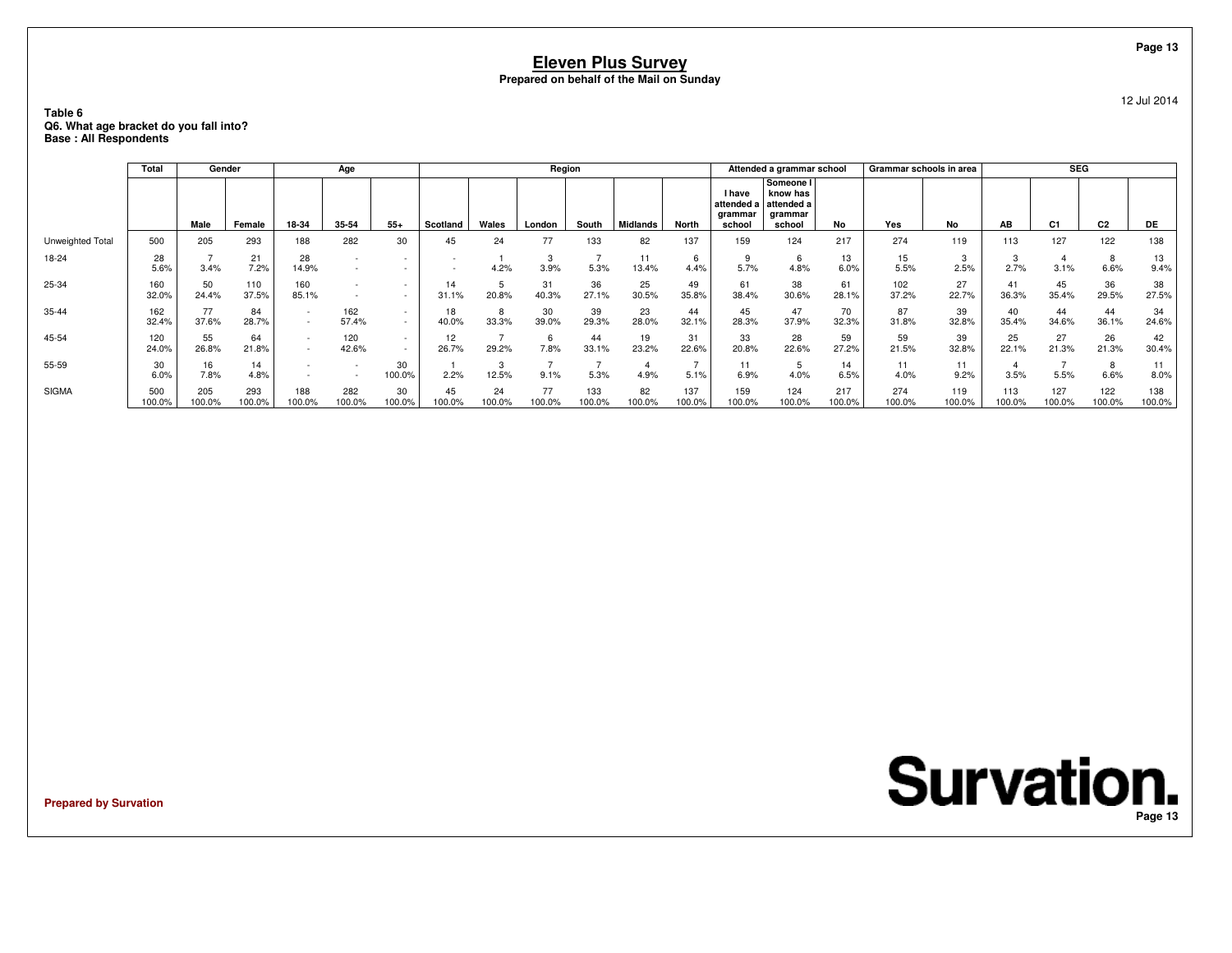### **Table 6 Q6. What age bracket do you fall into?Base : All Respondents**

|                  | <b>Total</b>  | Gender        |               |               | Age           |                          |              |              | Region      |               |                 |               |                                                  | Attended a grammar school                                |               | Grammar schools in area |               |               | <b>SEG</b>     |                |               |
|------------------|---------------|---------------|---------------|---------------|---------------|--------------------------|--------------|--------------|-------------|---------------|-----------------|---------------|--------------------------------------------------|----------------------------------------------------------|---------------|-------------------------|---------------|---------------|----------------|----------------|---------------|
|                  |               | Male          | Female        | 18-34         | 35-54         | $55+$                    | Scotland     | Wales        | London      | South         | <b>Midlands</b> | North         | <b>I</b> have<br>attended a<br>arammar<br>school | Someone I<br>know has<br>attended a<br>grammar<br>school | No            | Yes                     | No            | AB            | C <sub>1</sub> | C <sub>2</sub> | DE            |
| Unweighted Total | 500           | 205           | 293           | 188           | 282           | 30                       | 45           | 24           | 77          | 133           | 82              | 137           | 159                                              | 124                                                      | 217           | 274                     | 119           | 113           | 127            | 122            | 138           |
| 18-24            | 28<br>5.6%    | 3.4%          | 21<br>7.2%    | 28<br>14.9%   |               |                          |              | 4.2%         | 3<br>3.9%   | 5.3%          | 11<br>13.4%     | 6<br>4.4%     | 5.7%                                             | 4.8%                                                     | 13<br>6.0%    | 15<br>5.5%              | 3<br>2.5%     | 3<br>2.7%     | 3.1%           | 8<br>6.6%      | 13<br>9.4%    |
| 25-34            | 160<br>32.0%  | 50<br>24.4%   | 110<br>37.5%  | 160<br>85.1%  |               |                          | 14<br>31.1%  | 5<br>20.8%   | 31<br>40.3% | 36<br>27.1%   | 25<br>30.5%     | 49<br>35.8%   | 61<br>38.4%                                      | 38<br>30.6%                                              | 61<br>28.1%   | 102<br>37.2%            | 27<br>22.7%   | 41<br>36.3%   | 45<br>35.4%    | 36<br>29.5%    | 38<br>27.5%   |
| 35-44            | 162<br>32.4%  | 77<br>37.6%   | 84<br>28.7%   | $\sim$        | 162<br>57.4%  | $\overline{\phantom{a}}$ | 18<br>40.0%  | 8<br>33.3%   | 30<br>39.0% | 39<br>29.3%   | 23<br>28.0%     | 44<br>32.1%   | 45<br>28.3%                                      | 47<br>37.9%                                              | 70<br>32.3%   | 87<br>31.8%             | 39<br>32.8%   | 40<br>35.4%   | 44<br>34.6%    | 44<br>36.1%    | 34<br>24.6%   |
| 45-54            | 120<br>24.0%  | 55<br>26.8%   | 64<br>21.8%   |               | 120<br>42.6%  | $\overline{\phantom{a}}$ | 12<br>26.7%  | 29.2%        | 6<br>7.8%   | 44<br>33.1%   | 19<br>23.2%     | 31<br>22.6%   | 33<br>20.8%                                      | 28<br>22.6%                                              | 59<br>27.2%   | 59<br>21.5%             | 39<br>32.8%   | 25<br>22.1%   | 27<br>21.3%    | 26<br>21.3%    | 42<br>30.4%   |
| 55-59            | 30<br>6.0%    | 16<br>7.8%    | 14<br>4.8%    |               |               | 30<br>100.0%             | 2.2%         | 3<br>12.5%   | 9.1%        | 5.3%          | 4.9%            | 5.1%          | 11<br>6.9%                                       | 4.0%                                                     | 14<br>6.5%    | 11<br>4.0%              | 11<br>9.2%    | 3.5%          | 5.5%           | 8<br>6.6%      | 11<br>8.0%    |
| <b>SIGMA</b>     | 500<br>100.0% | 205<br>100.0% | 293<br>100.0% | 188<br>100.0% | 282<br>100.0% | 30<br>100.0%             | 45<br>100.0% | 24<br>100.0% | 77<br>00.0% | 133<br>100.0% | 82<br>100.0%    | 137<br>100.0% | 159<br>100.0%                                    | 124<br>100.0%                                            | 217<br>100.0% | 274<br>100.0%           | 119<br>100.0% | 113<br>100.0% | 127<br>100.0%  | 122<br>100.0%  | 138<br>100.0% |

**Prepared by Survation**

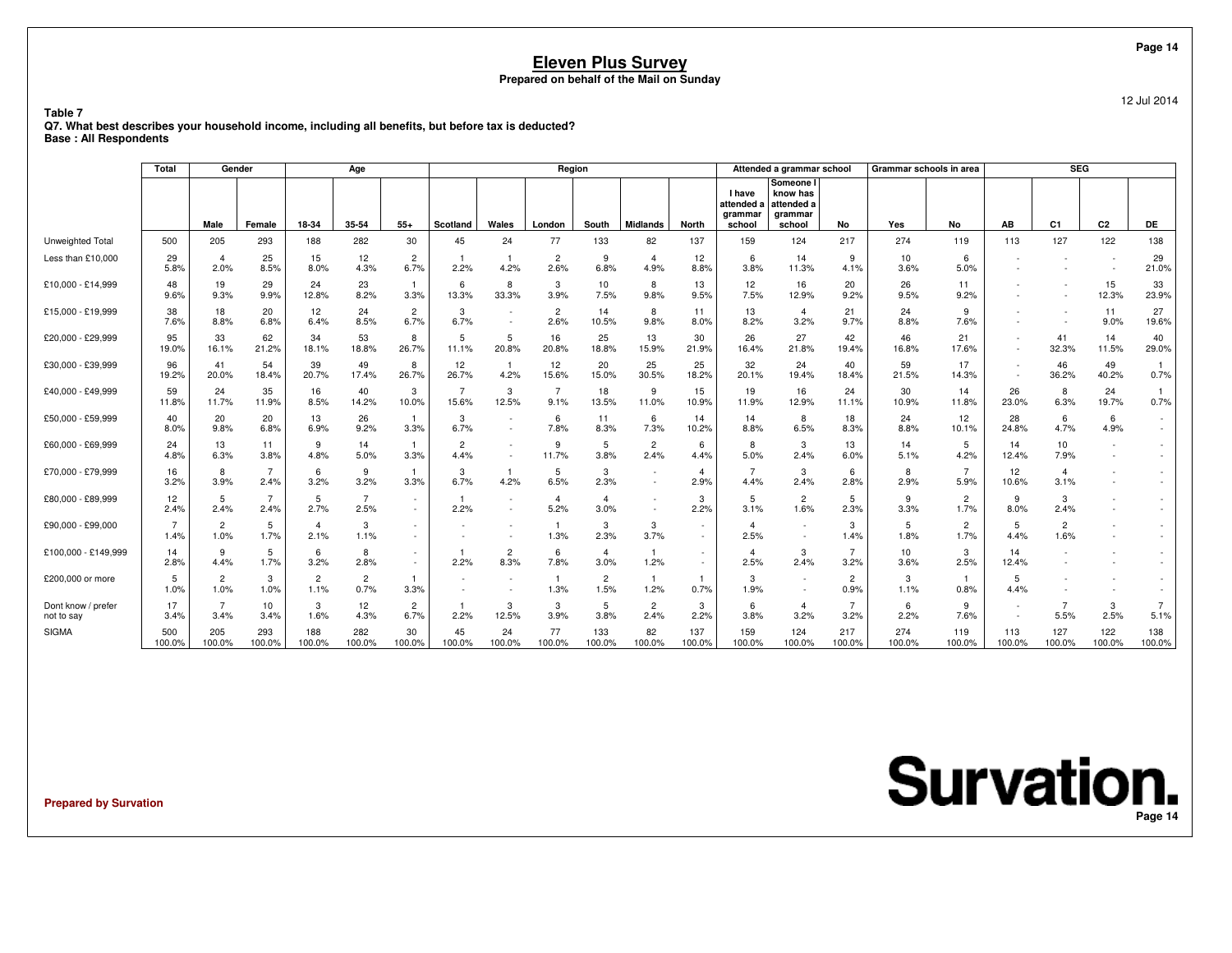**Table 7**

12 Jul 2014

 **Q7. What best describes your household income, including all benefits, but before tax is deducted?Base : All Respondents**

|                                  | Total                  | Gender                 |                        |                        | Age                    |                        |                        |                        | Region                 |                         |                                    |                        |                                           | Attended a grammar school                                |                        | Grammar schools in area |                        |                                    | <b>SEG</b>               |                          |               |
|----------------------------------|------------------------|------------------------|------------------------|------------------------|------------------------|------------------------|------------------------|------------------------|------------------------|-------------------------|------------------------------------|------------------------|-------------------------------------------|----------------------------------------------------------|------------------------|-------------------------|------------------------|------------------------------------|--------------------------|--------------------------|---------------|
|                                  |                        | Male                   | Female                 | 18-34                  | 35-54                  | $55+$                  | <b>Scotland</b>        | Wales                  | London                 | South                   | <b>Midlands</b>                    | <b>North</b>           | I have<br>attended a<br>grammar<br>school | Someone I<br>know has<br>attended a<br>grammar<br>school | No                     | Yes                     | No                     | AB                                 | C1                       | C2                       | DE            |
| Unweighted Total                 | 500                    | 205                    | 293                    | 188                    | 282                    | 30                     | 45                     | 24                     | 77                     | 133                     | 82                                 | 137                    | 159                                       | 124                                                      | 217                    | 274                     | 119                    | 113                                | 127                      | 122                      | 138           |
| Less than £10,000                | 29<br>5.8%             | $\overline{4}$<br>2.0% | 25<br>8.5%             | 15<br>8.0%             | 12<br>4.3%             | $\overline{c}$<br>6.7% | 2.2%                   | 4.2%                   | $\overline{c}$<br>2.6% | 9<br>6.8%               | $\overline{4}$<br>4.9%             | 12<br>8.8%             | 6<br>3.8%                                 | 14<br>11.3%                                              | 9<br>4.1%              | 10<br>3.6%              | 6<br>5.0%              |                                    |                          | $\overline{\phantom{a}}$ | 29<br>21.0%   |
| £10,000 - £14,999                | 48<br>9.6%             | 19<br>9.3%             | 29<br>9.9%             | 24<br>12.8%            | 23<br>8.2%             | 3.3%                   | 6<br>13.3%             | 8<br>33.3%             | 3<br>3.9%              | 10 <sup>1</sup><br>7.5% | 8<br>9.8%                          | 13<br>9.5%             | 12<br>7.5%                                | 16<br>12.9%                                              | 20<br>9.2%             | 26<br>9.5%              | 11<br>9.2%             |                                    | $\overline{\phantom{a}}$ | 15<br>12.3%              | 33<br>23.9%   |
| £15,000 - £19,999                | 38<br>7.6%             | 18<br>8.8%             | 20<br>6.8%             | 12<br>6.4%             | 24<br>8.5%             | $\overline{2}$<br>6.7% | 3<br>6.7%              |                        | $\overline{2}$<br>2.6% | 14<br>10.5%             | 8<br>9.8%                          | 11<br>8.0%             | 13<br>8.2%                                | $\overline{4}$<br>3.2%                                   | 21<br>9.7%             | 24<br>8.8%              | 9<br>7.6%              |                                    |                          | 11<br>9.0%               | 27<br>19.6%   |
| £20,000 - £29,999                | 95<br>19.0%            | 33<br>16.1%            | 62<br>21.2%            | 34<br>18.1%            | 53<br>18.8%            | 8<br>26.7%             | 5<br>11.1%             | 5<br>20.8%             | 16<br>20.8%            | 25<br>18.8%             | 13<br>15.9%                        | 30<br>21.9%            | 26<br>16.4%                               | 27<br>21.8%                                              | 42<br>19.4%            | 46<br>16.8%             | 21<br>17.6%            | $\overline{\phantom{a}}$<br>$\sim$ | 41<br>32.3%              | 14<br>11.5%              | 40<br>29.0%   |
| £30,000 - £39,999                | 96<br>19.2%            | 41<br>20.0%            | 54<br>18.4%            | 39<br>20.7%            | 49<br>17.4%            | 8<br>26.7%             | 12<br>26.7%            | 4.2%                   | 12<br>15.6%            | 20<br>15.0%             | 25<br>30.5%                        | 25<br>18.2%            | 32<br>20.1%                               | 24<br>19.4%                                              | 40<br>18.4%            | 59<br>21.5%             | 17<br>14.3%            | $\sim$                             | 46<br>36.2%              | 49<br>40.2%              | 0.7%          |
| £40,000 - £49,999                | 59<br>11.8%            | 24<br>11.7%            | 35<br>11.9%            | 16<br>8.5%             | 40<br>14.2%            | 3<br>10.0%             | 15.6%                  | 3<br>12.5%             | 7<br>9.1%              | 18<br>13.5%             | 9<br>11.0%                         | 15<br>10.9%            | 19<br>11.9%                               | 16<br>12.9%                                              | 24<br>11.1%            | 30<br>10.9%             | 14<br>11.8%            | 26<br>23.0%                        | 8<br>6.3%                | 24<br>19.7%              | 0.7%          |
| £50,000 - £59,999                | 40<br>8.0%             | 20<br>9.8%             | 20<br>6.8%             | 13<br>6.9%             | 26<br>9.2%             | 3.3%                   | 3<br>6.7%              |                        | 6<br>7.8%              | 11<br>8.3%              | 6<br>7.3%                          | 14<br>10.2%            | 14<br>8.8%                                | 8<br>6.5%                                                | 18<br>8.3%             | 24<br>8.8%              | 12<br>10.1%            | 28<br>24.8%                        | 6<br>4.7%                | 6<br>4.9%                |               |
| £60,000 - £69,999                | 24<br>4.8%             | 13<br>6.3%             | 11<br>3.8%             | 9<br>4.8%              | 14<br>5.0%             | 3.3%                   | $\overline{2}$<br>4.4% |                        | 9<br>11.7%             | 5<br>3.8%               | $\overline{c}$<br>2.4%             | 6<br>4.4%              | 8<br>5.0%                                 | 3<br>2.4%                                                | 13<br>6.0%             | 14<br>5.1%              | 5<br>4.2%              | 14<br>12.4%                        | 10 <sup>1</sup><br>7.9%  |                          |               |
| £70,000 - £79,999                | 16<br>3.2%             | 8<br>3.9%              | $\overline{7}$<br>2.4% | 6<br>3.2%              | 9<br>3.2%              | 3.3%                   | 3<br>6.7%              | 4.2%                   | 5<br>6.5%              | 3<br>2.3%               | $\sim$<br>$\sim$                   | $\overline{a}$<br>2.9% | 4.4%                                      | 3<br>2.4%                                                | 6<br>2.8%              | 8<br>2.9%               | 5.9%                   | 12<br>10.6%                        | $\overline{4}$<br>3.1%   |                          |               |
| £80,000 - £89,999                | 12<br>2.4%             | 5<br>2.4%              | $\overline{7}$<br>2.4% | 5<br>2.7%              | $\overline{7}$<br>2.5% | $\sim$                 | 2.2%                   |                        | $\overline{4}$<br>5.2% | $\overline{4}$<br>3.0%  | $\overline{\phantom{a}}$<br>$\sim$ | 3<br>2.2%              | 5<br>3.1%                                 | 2<br>1.6%                                                | 5<br>2.3%              | 9<br>3.3%               | $\overline{2}$<br>1.7% | 9<br>8.0%                          | 3<br>2.4%                |                          |               |
| £90,000 - £99,000                | $\overline{7}$<br>1.4% | $\overline{c}$<br>1.0% | 5<br>1.7%              | $\overline{4}$<br>2.1% | 3<br>1.1%              |                        |                        |                        | $\mathbf{1}$<br>1.3%   | 3<br>2.3%               | 3<br>3.7%                          |                        | $\overline{4}$<br>2.5%                    | $\sim$<br>$\overline{\phantom{a}}$                       | 3<br>1.4%              | 5<br>1.8%               | $\overline{2}$<br>1.7% | 5<br>4.4%                          | $\overline{2}$<br>1.6%   |                          |               |
| £100,000 - £149,999              | 14<br>2.8%             | 9<br>4.4%              | 5<br>1.7%              | 6<br>3.2%              | 8<br>2.8%              | $\sim$                 | 2.2%                   | $\overline{c}$<br>8.3% | 6<br>7.8%              | $\overline{4}$<br>3.0%  | $\overline{1}$<br>1.2%             |                        | $\overline{4}$<br>2.5%                    | 3<br>2.4%                                                | 7<br>3.2%              | 10<br>3.6%              | 3<br>2.5%              | 14<br>12.4%                        |                          |                          |               |
| £200,000 or more                 | 5<br>1.0%              | $\overline{2}$<br>1.0% | 3<br>1.0%              | $\overline{2}$<br>1.1% | $\overline{2}$<br>0.7% | 3.3%                   |                        |                        | $\overline{1}$<br>1.3% | $\overline{2}$<br>1.5%  | $\mathbf{1}$<br>1.2%               | 0.7%                   | 3<br>1.9%                                 | $\sim$                                                   | $\overline{2}$<br>0.9% | 3<br>1.1%               | 0.8%                   | 5<br>4.4%                          |                          |                          |               |
| Dont know / prefer<br>not to say | 17<br>3.4%             | $\overline{7}$<br>3.4% | 10<br>3.4%             | 3<br>1.6%              | 12<br>4.3%             | $\overline{2}$<br>6.7% | 2.2%                   | 3<br>12.5%             | 3<br>3.9%              | 5<br>3.8%               | $\overline{2}$<br>2.4%             | 3<br>2.2%              | 6<br>3.8%                                 | 4<br>3.2%                                                | 7<br>3.2%              | 6<br>2.2%               | 9<br>7.6%              | $\overline{\phantom{a}}$           | 5.5%                     | 3<br>2.5%                | -7<br>5.1%    |
| <b>SIGMA</b>                     | 500<br>100.0%          | 205<br>100.0%          | 293<br>100.0%          | 188<br>100.0%          | 282<br>100.0%          | 30<br>100.0%           | 45<br>100.0%           | 24<br>100.0%           | 77<br>100.0%           | 133<br>100.0%           | 82<br>100.0%                       | 137<br>100.0%          | 159<br>100.0%                             | 124<br>100.0%                                            | 217<br>100.0%          | 274<br>100.0%           | 119<br>100.0%          | 113<br>100.0%                      | 127<br>100.0%            | 122<br>100.0%            | 138<br>100.0% |

**Prepared by Survation**

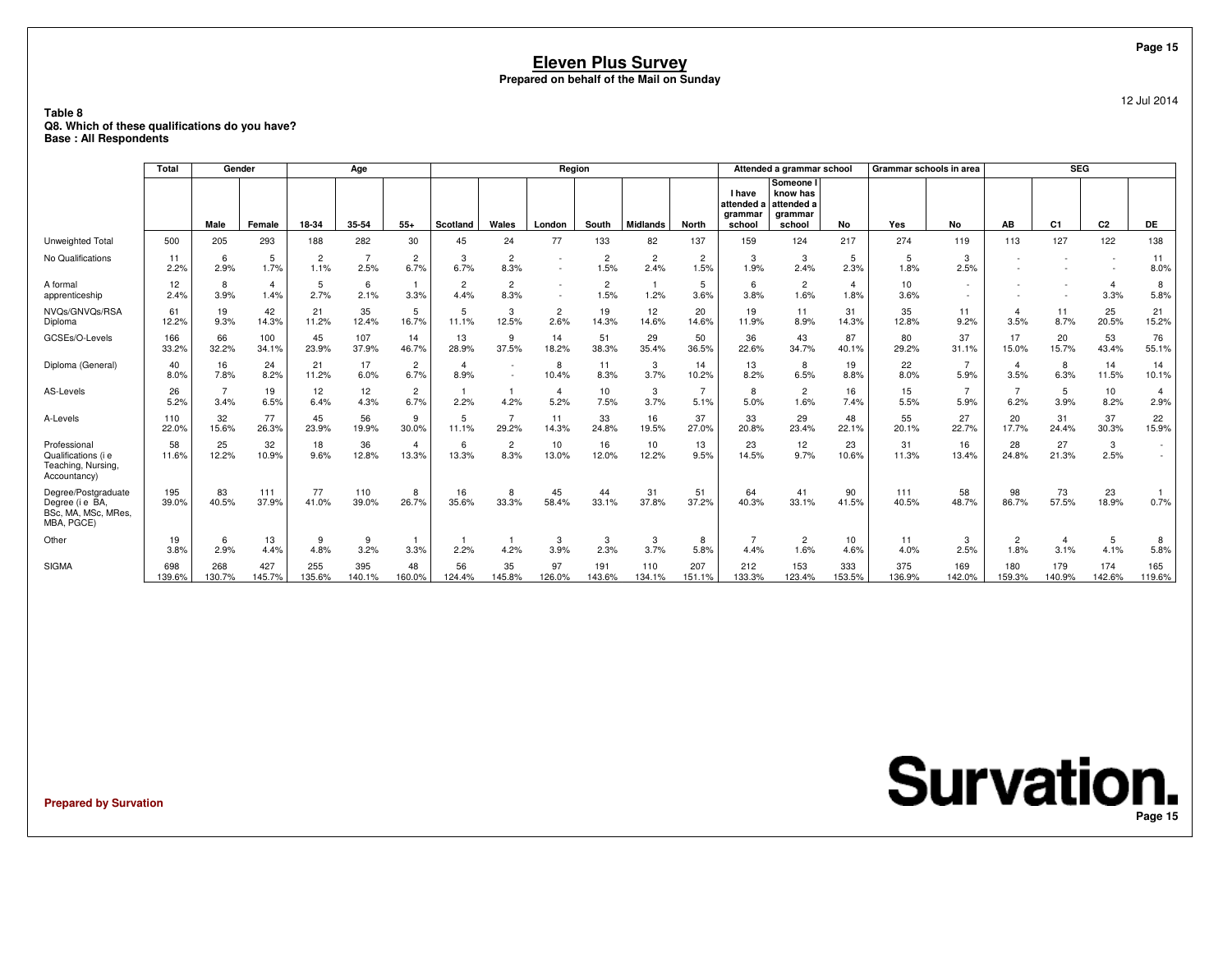### **Table 8 Q8. Which of these qualifications do you have?Base : All Respondents**

|                                                                            | <b>Total</b>  | Gender                 |                        |                        | Age           |                         |                        |                        | Region                 |                        |                        |               |                                           | Attended a grammar school                                |                        | Grammar schools in area |                        |                        | <b>SEG</b>     |                                                      |                                    |
|----------------------------------------------------------------------------|---------------|------------------------|------------------------|------------------------|---------------|-------------------------|------------------------|------------------------|------------------------|------------------------|------------------------|---------------|-------------------------------------------|----------------------------------------------------------|------------------------|-------------------------|------------------------|------------------------|----------------|------------------------------------------------------|------------------------------------|
|                                                                            |               | Male                   | Female                 | 18-34                  | 35-54         | $55+$                   | Scotland               | Wales                  | London                 | South                  | <b>Midlands</b>        | <b>North</b>  | I have<br>attended a<br>qrammar<br>school | Someone I<br>know has<br>attended a<br>arammar<br>school | No                     | Yes                     | No                     | AB                     | C <sub>1</sub> | C2                                                   | DE                                 |
| Unweighted Total                                                           | 500           | 205                    | 293                    | 188                    | 282           | 30                      | 45                     | 24                     | 77                     | 133                    | 82                     | 137           | 159                                       | 124                                                      | 217                    | 274                     | 119                    | 113                    | 127            | 122                                                  | 138                                |
| No Qualifications                                                          | 11<br>2.2%    | 6<br>2.9%              | 5<br>1.7%              | $\overline{2}$<br>1.1% | 2.5%          | 2<br>6.7%               | 3<br>6.7%              | $\overline{2}$<br>8.3% | $\sim$                 | $\overline{2}$<br>1.5% | $\overline{2}$<br>2.4% | 2<br>1.5%     | 3<br>1.9%                                 | 3<br>2.4%                                                | 5<br>2.3%              | 5<br>1.8%               | 3<br>2.5%              |                        |                | $\overline{\phantom{a}}$<br>$\overline{\phantom{a}}$ | 11<br>8.0%                         |
| A formal<br>apprenticeship                                                 | 12<br>2.4%    | 8<br>3.9%              | $\overline{4}$<br>1.4% | 5<br>2.7%              | 6<br>2.1%     | 3.3%                    | $\overline{2}$<br>4.4% | $\overline{2}$<br>8.3% | ٠                      | $\overline{2}$<br>1.5% | $\mathbf{1}$<br>1.2%   | 5<br>3.6%     | 6<br>3.8%                                 | $\overline{2}$<br>1.6%                                   | $\overline{4}$<br>1.8% | 10<br>3.6%              | ٠                      |                        |                | $\overline{A}$<br>3.3%                               | 8<br>5.8%                          |
| NVQs/GNVQs/RSA<br>Diploma                                                  | 61<br>12.2%   | 19<br>9.3%             | 42<br>14.3%            | 21<br>11.2%            | 35<br>12.4%   | 5<br>16.7%              | 5<br>11.1%             | 3<br>12.5%             | $\overline{c}$<br>2.6% | 19<br>14.3%            | 12<br>14.6%            | 20<br>14.6%   | 19<br>11.9%                               | 11<br>8.9%                                               | 31<br>14.3%            | 35<br>12.8%             | 11<br>9.2%             | $\overline{4}$<br>3.5% | 11<br>8.7%     | 25<br>20.5%                                          | 21<br>15.2%                        |
| GCSEs/O-Levels                                                             | 166<br>33.2%  | 66<br>32.2%            | 100<br>34.1%           | 45<br>23.9%            | 107<br>37.9%  | 14<br>46.7%             | 13<br>28.9%            | 9<br>37.5%             | 14<br>18.2%            | 51<br>38.3%            | 29<br>35.4%            | 50<br>36.5%   | 36<br>22.6%                               | 43<br>34.7%                                              | 87<br>40.1%            | 80<br>29.2%             | 37<br>31.1%            | 17<br>15.0%            | 20<br>15.7%    | 53<br>43.4%                                          | 76<br>55.1%                        |
| Diploma (General)                                                          | 40<br>8.0%    | 16<br>7.8%             | 24<br>8.2%             | 21<br>11.2%            | 17<br>6.0%    | $\overline{2}$<br>6.7%  | $\overline{4}$<br>8.9% |                        | 8<br>10.4%             | 11<br>8.3%             | 3<br>3.7%              | 14<br>10.2%   | 13<br>8.2%                                | 8<br>6.5%                                                | 19<br>8.8%             | 22<br>8.0%              | $\overline{7}$<br>5.9% | $\overline{4}$<br>3.5% | 8<br>6.3%      | 14<br>11.5%                                          | 14<br>10.1%                        |
| AS-Levels                                                                  | 26<br>5.2%    | $\overline{7}$<br>3.4% | 19<br>6.5%             | 12<br>6.4%             | 12<br>4.3%    | $\overline{2}$<br>6.7%  | 2.2%                   | 4.2%                   | $\overline{4}$<br>5.2% | 10<br>7.5%             | 3<br>3.7%              | 7<br>5.1%     | 8<br>5.0%                                 | $\overline{2}$<br>1.6%                                   | 16<br>7.4%             | 15<br>5.5%              | $\overline{7}$<br>5.9% | $\overline{7}$<br>6.2% | 5<br>3.9%      | 10<br>8.2%                                           | $\overline{4}$<br>2.9%             |
| A-Levels                                                                   | 110<br>22.0%  | 32<br>15.6%            | 77<br>26.3%            | 45<br>23.9%            | 56<br>19.9%   | 9<br>30.0%              | 5<br>11.1%             | 29.2%                  | 11<br>14.3%            | 33<br>24.8%            | 16<br>19.5%            | 37<br>27.0%   | 33<br>20.8%                               | 29<br>23.4%                                              | 48<br>22.1%            | 55<br>20.1%             | 27<br>22.7%            | 20<br>17.7%            | 31<br>24.4%    | 37<br>30.3%                                          | 22<br>15.9%                        |
| Professional<br>Qualifications (i e<br>Teaching, Nursing,<br>Accountancy)  | 58<br>11.6%   | 25<br>12.2%            | 32<br>10.9%            | 18<br>9.6%             | 36<br>12.8%   | $\overline{4}$<br>13.3% | 6<br>13.3%             | $\overline{2}$<br>8.3% | 10<br>13.0%            | 16<br>12.0%            | 10<br>12.2%            | 13<br>9.5%    | 23<br>14.5%                               | 12<br>9.7%                                               | 23<br>10.6%            | 31<br>11.3%             | 16<br>13.4%            | 28<br>24.8%            | 27<br>21.3%    | 3<br>2.5%                                            | $\overline{\phantom{a}}$<br>$\sim$ |
| Degree/Postgraduate<br>Degree (i e BA<br>BSc, MA, MSc, MRes,<br>MBA, PGCE) | 195<br>39.0%  | 83<br>40.5%            | 111<br>37.9%           | 77<br>41.0%            | 110<br>39.0%  | 8<br>26.7%              | 16<br>35.6%            | 8<br>33.3%             | 45<br>58.4%            | 44<br>33.1%            | 31<br>37.8%            | 51<br>37.2%   | 64<br>40.3%                               | 41<br>33.1%                                              | 90<br>41.5%            | 111<br>40.5%            | 58<br>48.7%            | 98<br>86.7%            | 73<br>57.5%    | 23<br>18.9%                                          | 0.7%                               |
| Other                                                                      | 19<br>3.8%    | 6<br>2.9%              | 13<br>4.4%             | 9<br>4.8%              | 9<br>3.2%     | 3.3%                    | 2.2%                   | 4.2%                   | 3<br>3.9%              | 3<br>2.3%              | 3<br>3.7%              | 8<br>5.8%     | 4.4%                                      | $\overline{2}$<br>1.6%                                   | 10<br>4.6%             | 11<br>4.0%              | 3<br>2.5%              | $\overline{c}$<br>1.8% | 4<br>3.1%      | 5<br>4.1%                                            | 8<br>5.8%                          |
| <b>SIGMA</b>                                                               | 698<br>139.6% | 268<br>130.7%          | 427<br>145.7%          | 255<br>135.6%          | 395<br>140.1% | 48<br>160.0%            | 56<br>124.4%           | 35<br>145.8%           | 97<br>126.0%           | 191<br>143.6%          | 110<br>134.1%          | 207<br>151.1% | 212<br>133.3%                             | 153<br>123.4%                                            | 333<br>153.5%          | 375<br>136.9%           | 169<br>142.0%          | 180<br>159.3%          | 179<br>140.9%  | 174<br>142.6%                                        | 165<br>119.6%                      |

**Prepared by Survation**

**Survation. Page 15**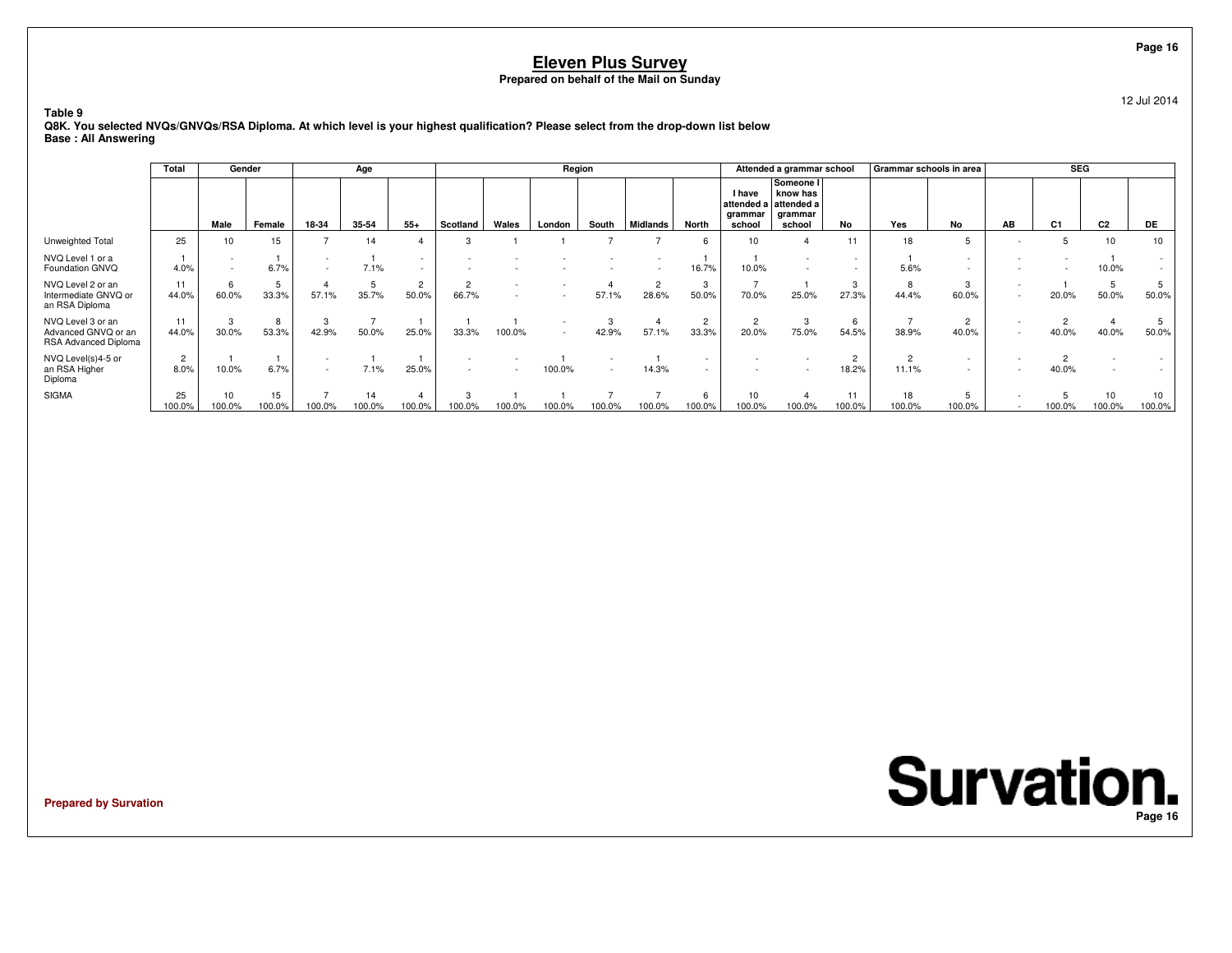12 Jul 2014

**Table 9 Q8K. You selected NVQs/GNVQs/RSA Diploma. At which level is your highest qualification? Please select from the drop-down list belowBase : All Answering**

|                                                                  | Total                  | Gender       |             |        | Age          |                         |                         |        | Region         |        |                         |             |                                           | Attended a grammar school                                |              | Grammar schools in area |            |                          | <b>SEG</b>     |                |        |
|------------------------------------------------------------------|------------------------|--------------|-------------|--------|--------------|-------------------------|-------------------------|--------|----------------|--------|-------------------------|-------------|-------------------------------------------|----------------------------------------------------------|--------------|-------------------------|------------|--------------------------|----------------|----------------|--------|
|                                                                  |                        | Male         | Female      | 18-34  | 35-54        | $55+$                   | Scotland                | Wales  | London         | South  | <b>Midlands</b>         | North       | I have<br>attended a<br>grammar<br>school | Someone I<br>know has<br>attended a<br>grammar<br>school | No           | Yes                     | No         | AB                       | C <sub>1</sub> | C <sub>2</sub> | DE     |
| Unweighted Total                                                 | 25                     | 10           | 15          |        | 14           |                         | 3                       |        |                |        |                         | ĥ           | 10                                        |                                                          | 11           | 18                      |            |                          |                | 10             | 10     |
| NVQ Level 1 or a<br>Foundation GNVQ                              | 4.0%                   | $\sim$       | 6.7%        |        | 7.1%         |                         |                         |        |                |        |                         | 16.7%       | 10.0%                                     | $\overline{\phantom{a}}$<br>$\overline{\phantom{a}}$     |              | 5.6%                    |            | $\overline{\phantom{a}}$ |                | 10.0%          |        |
| NVQ Level 2 or an<br>Intermediate GNVQ or<br>an RSA Diploma      | 11<br>44.0%            | 6<br>60.0%   | 33.3%       | 57.1%  | 35.7%        | $\overline{2}$<br>50.0% | $\overline{2}$<br>66.7% | $\sim$ |                | 57.1%  | $\overline{2}$<br>28.6% | 3<br>50.0%  | 70.0%                                     | 25.0%                                                    | 3<br>27.3%   | ਲ਼<br>44.4%             | 3<br>60.0% | $\sim$<br>$\sim$         | 20.0%          | 5<br>50.0%     | 50.0%  |
| NVQ Level 3 or an<br>Advanced GNVQ or an<br>RSA Advanced Diploma | 11<br>44.0%            | 3<br>30.0%   | 8<br>53.3%  | 42.9%  | 50.0%        | 25.0%                   | 33.3%                   | 100.0% | $\overline{a}$ | 42.9%  | 57.1%                   | 33.3%       | 20.0%                                     | 3<br>75.0%                                               | 54.5%        | 38.9%                   | 2<br>40.0% |                          | 40.0%          | 40.0%          | 50.0%  |
| NVQ Level(s)4-5 or<br>an RSA Higher<br>Diploma                   | $\overline{2}$<br>8.0% | 10.0%        | 6.7%        |        | 7.1%         | 25.0%                   |                         |        | 100.0%         |        | 14.3%                   |             |                                           |                                                          | 18.2%        | 11.1%                   |            | $\sim$                   | 40.0%          |                |        |
| <b>SIGMA</b>                                                     | 25<br>00.0%            | 10<br>100.0% | 15<br>00.0% | 100.0% | 14<br>100.0% | 100.0%                  | 100.0%                  | 100.0% | 100.0%         | 100.0% | 100.0%                  | 6<br>100.0% | 10<br>100.0%                              | 100.0%                                                   | 11<br>100.0% | 18<br>100.0%            | 100.0%     |                          | 100.0%         | 10<br>100.0%   | 100.0% |

**Prepared by Survation**

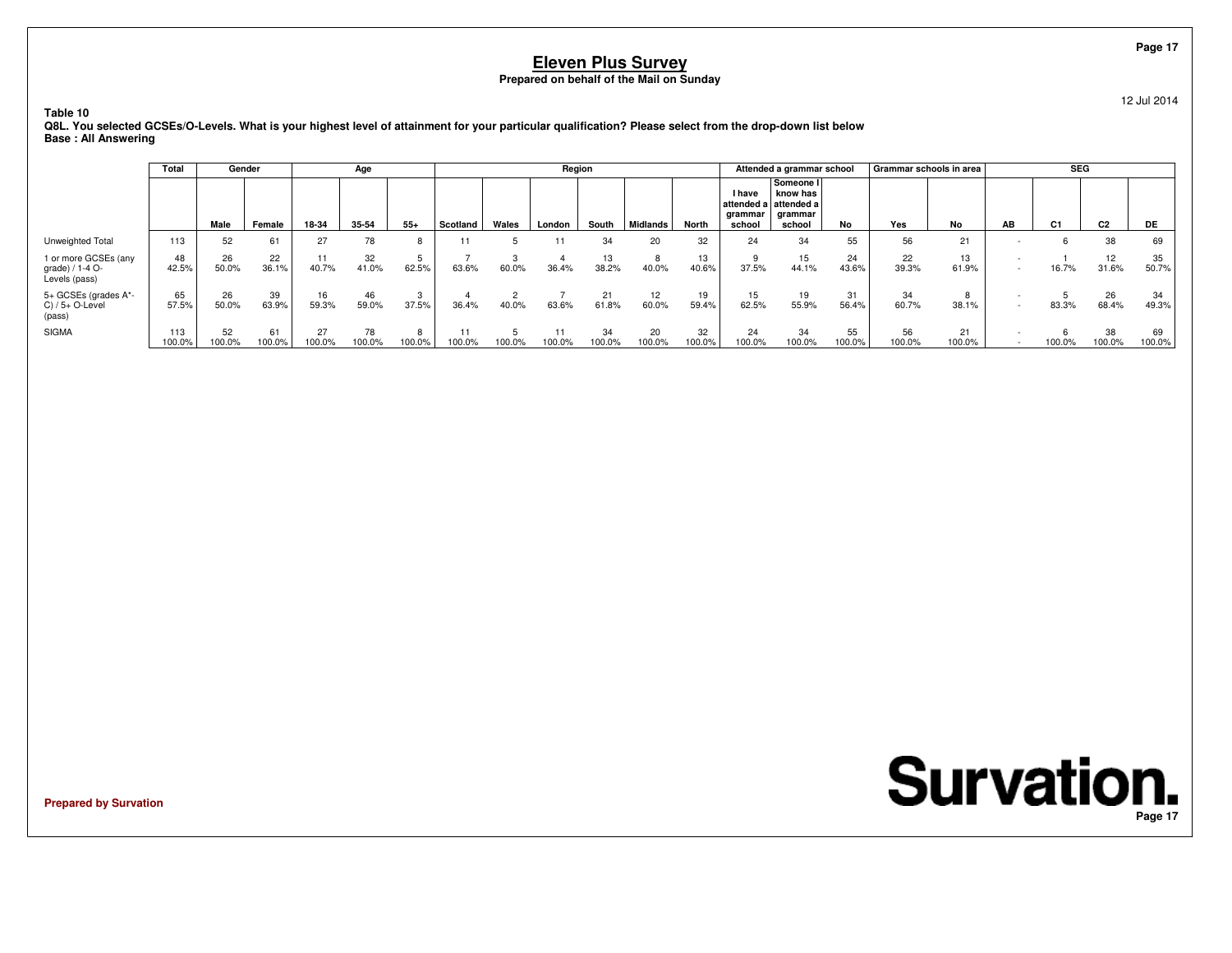**Table 10**

 **Q8L. You selected GCSEs/O-Levels. What is your highest level of attainment for your particular qualification? Please select from the drop-down list belowBase : All Answering**

|                                                          | Total         | Gender       |              |              | Age          |        |          |        | Region       |              |              |              |                             | Attended a grammar school                                           |              | Grammar schools in area |              |                                    | <b>SEG</b> |                |              |
|----------------------------------------------------------|---------------|--------------|--------------|--------------|--------------|--------|----------|--------|--------------|--------------|--------------|--------------|-----------------------------|---------------------------------------------------------------------|--------------|-------------------------|--------------|------------------------------------|------------|----------------|--------------|
|                                                          |               | Male         | Female       | 18-34        | 35-54        | $55+$  | Scotland | Wales  | London       | South        | Midlands     | North        | I have<br>arammar<br>school | Someone I<br>know has<br>attended a attended a<br>grammar<br>school | No           | Yes                     | No           | AB                                 | C1         | C <sub>2</sub> | DE           |
| Unweighted Total                                         | 113           | 52           | 61           | 27           | 78           |        |          |        | 11           | 34           | 20           | 32           | 24                          | 34                                                                  | 55           | 56                      | 21           |                                    |            | 38             | 69           |
| 1 or more GCSEs (any<br>grade) / 1-4 O-<br>Levels (pass) | 48<br>42.5%   | 26<br>50.0%  | 22<br>36.1%  | 11<br>40.7%  | 32<br>41.0%  | 62.5%  | 63.6%    | 60.0%  | 36.4%        | 13<br>38.2%  | 8<br>40.0%   | 13<br>40.6%  | 37.5%                       | 15<br>44.1%                                                         | 24<br>43.6%  | 22<br>39.3%             | 13<br>61.9%  | $\overline{\phantom{a}}$<br>$\sim$ | 16.7%      | 12<br>31.6%    | 35<br>50.7%  |
| 5+ GCSEs (grades A*-<br>$C)/5+O$ -Level<br>(pass)        | 65<br>57.5%   | 26<br>50.0%  | 39<br>63.9%  | 16<br>59.3%  | 46<br>59.0%  | 37.5%  | 36.4%    | 40.0%  | 63.6%        | 21<br>61.8%  | 12<br>60.0%  | 19<br>59.4%  | 15<br>62.5%                 | 19<br>55.9%                                                         | 31<br>56.4%  | 34<br>60.7%             | 8<br>38.1%   | $\overline{\phantom{a}}$           | 83.3%      | 26<br>68.4%    | 34<br>49.3%  |
| <b>SIGMA</b>                                             | 113<br>100.0% | 52<br>100.0% | 61<br>100.0% | 27<br>100.0% | 78<br>100.0% | 100.0% | 100.0%   | 100.0% | 11<br>100.0% | 34<br>100.0% | 20<br>100.0% | 32<br>100.0% | 24<br>100.0%                | 34<br>100.0%                                                        | 55<br>100.0% | 56<br>100.0%            | 21<br>100.0% | $\overline{\phantom{a}}$           | 100.0%     | 38<br>100.0%   | 69<br>100.0% |

**Prepared by Survation**

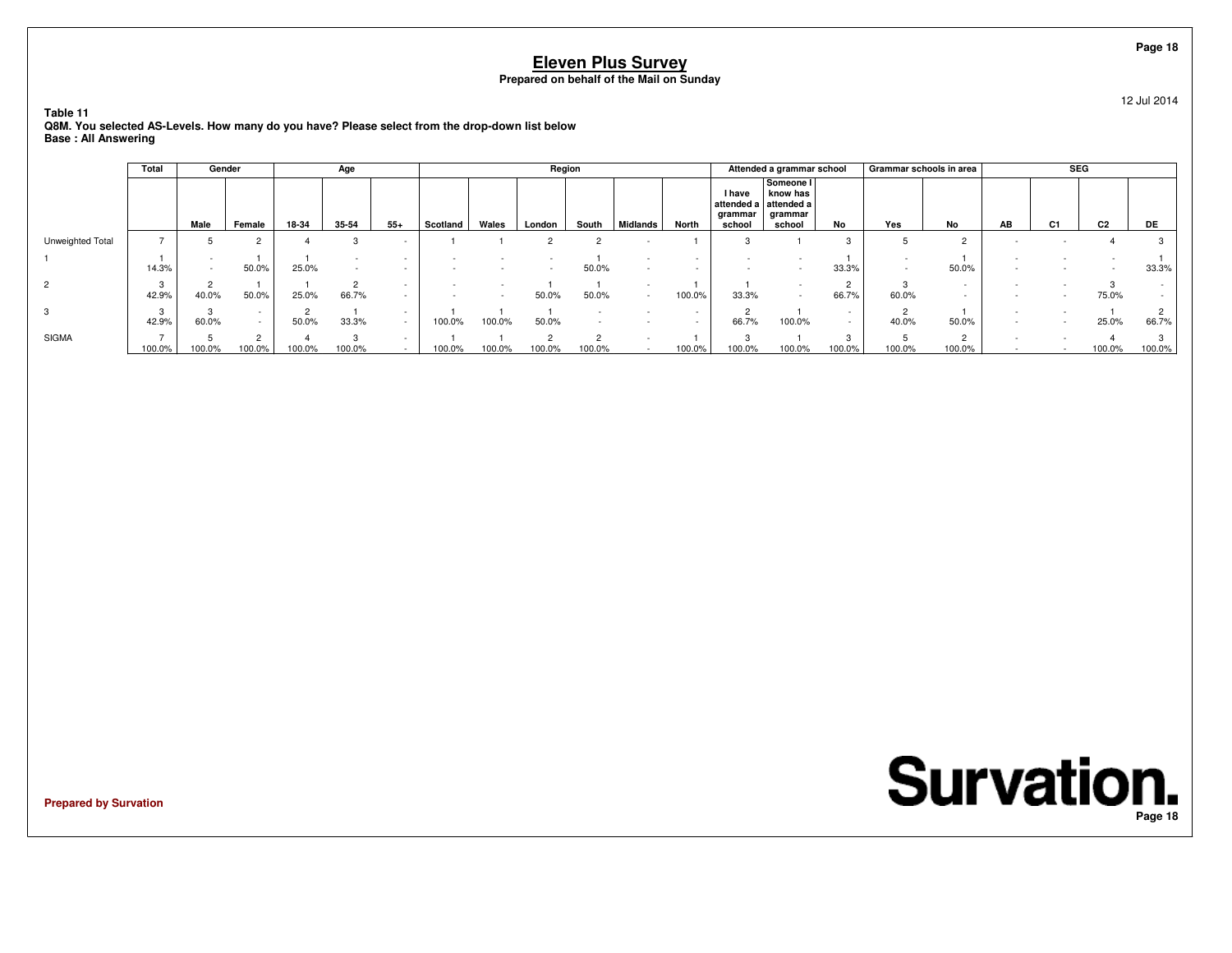**Table 11**

 **Q8M. You selected AS-Levels. How many do you have? Please select from the drop-down list belowBase : All Answering**

|                  | Total  |       | Gender             |        | Age    |        |          |                          | Region |                    |          |        |                             | Attended a grammar school                                           |                    | Grammar schools in area |                  |    | <b>SEG</b>     |                |        |
|------------------|--------|-------|--------------------|--------|--------|--------|----------|--------------------------|--------|--------------------|----------|--------|-----------------------------|---------------------------------------------------------------------|--------------------|-------------------------|------------------|----|----------------|----------------|--------|
|                  |        | Male  | Female             | 18-34  | 35-54  | $55+$  | Scotland | Wales                    | London | South              | Midlands | North  | I have<br>grammar<br>school | Someone I<br>know has<br>attended a attended a<br>grammar<br>school | No                 | Yes                     | No               | AB | C <sub>1</sub> | C <sub>2</sub> | DE.    |
| Unweighted Total |        |       | 2                  |        |        |        |          |                          |        |                    |          |        | 3                           |                                                                     | $\Omega$           |                         |                  |    |                |                |        |
|                  | 14.3%  |       | 50.0%              | 25.0%  |        |        |          |                          |        | 50.0%              |          |        |                             |                                                                     | 33.3%              |                         | 50.0%            |    |                |                | 33.3%  |
| $\overline{2}$   | 42.9%  | 40.0% | 50.0%              | 25.0%  | 66.7%  |        |          | $\overline{\phantom{a}}$ | 50.0%  | 50.0%              |          | 100.0% | 33.3%                       |                                                                     | $\sim$<br>66.7%    | 60.0%                   |                  |    |                | 75.0%          |        |
| 3                | 42.9%  | 60.0% | $\sim$<br>$\sim$   | 50.0%  | 33.3%  | $\sim$ | 100.0%   | 100.0%                   | 50.0%  |                    |          |        | $\Omega$<br>66.7%           | 100.0%                                                              |                    | 40.0%                   | 50.0%            |    |                | 25.0%          | 66.7%  |
| <b>SIGMA</b>     | 100.0% | 00.0% | $\Omega$<br>100.0% | 100.0% | 100.0% |        | 100.0%   | 100.0%                   | 100.0% | $\Omega$<br>100.0% |          | 100.0% | $\sqrt{2}$<br>100.0%        | 100.0%                                                              | $\Omega$<br>100.0% | 100.0%                  | $\sim$<br>100.0% |    |                | 100.0%         | 100.0% |

**Prepared by Survation**

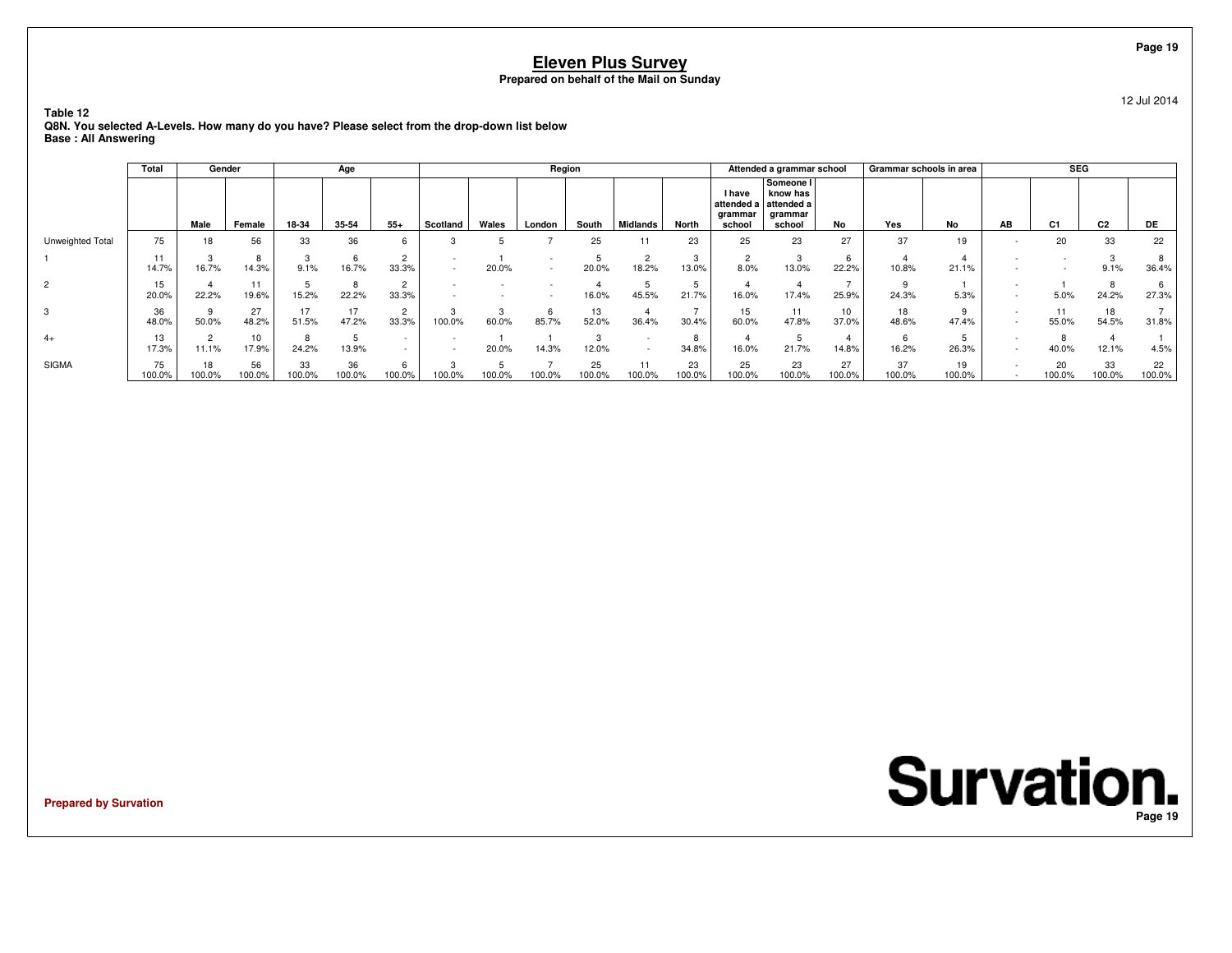**Table 12**

 **Q8N. You selected A-Levels. How many do you have? Please select from the drop-down list belowBase : All Answering**

|                  | Total        |              | Gender                   |              | Age          |                                                      |                          |            | Region |              |          |              |                             | Attended a grammar school                                           |              | Grammar schools in area |              |                          | <b>SEG</b>     |                |              |
|------------------|--------------|--------------|--------------------------|--------------|--------------|------------------------------------------------------|--------------------------|------------|--------|--------------|----------|--------------|-----------------------------|---------------------------------------------------------------------|--------------|-------------------------|--------------|--------------------------|----------------|----------------|--------------|
|                  |              | Male         | Female                   | 18-34        | 35-54        | $55+$                                                | Scotland                 | Wales      | London | South        | Midlands | <b>North</b> | I have<br>grammar<br>school | Someone I<br>know has<br>attended a attended a<br>grammar<br>school | No           | Yes                     | No           | AB                       | C <sub>1</sub> | C <sub>2</sub> | DE.          |
| Unweighted Total | 75           | 18           | 56                       | 33           | 36           |                                                      |                          |            |        | 25           |          | 23           | 25                          | 23                                                                  | 27           | 37                      | 19           |                          | 20             | 33             | 22           |
|                  | 14.7%        | 16.7%        | 8<br>14.3%               | 9.1%         | 16.7%        | $\circ$<br>33.3%                                     | $\overline{\phantom{a}}$ | 20.0%      |        | 20.0%        | 18.2%    | 13.0%        | 8.0%                        | 13.0%                                                               | 6<br>22.2%   | 10.8%                   | 21.1%        |                          |                | 9.1%           | 36.4%        |
| $\overline{2}$   | 15<br>20.0%  | 22.2%        | 11<br>19.6%              | 15.2%        | 22.2%        | 33.3%                                                |                          |            |        | 16.0%        | 45.5%    | 21.7%        | 16.0%                       | 17.4%                                                               | 25.9%        | 24.3%                   | 5.3%         |                          | 5.0%           | 24.2%          | 27.3%        |
| 3                | 36<br>48.0%  | 50.0%        | 27<br>48.2%              | 17<br>51.5%  | 17<br>47.2%  | 33.3%                                                | 00.0%                    | 3<br>60.0% | 85.7%  | 13<br>52.0%  | 36.4%    | 30.4%        | 15<br>60.0%                 | 47.8%                                                               | 10<br>37.0%  | 18<br>48.6%             | 47.4%        | $\overline{\phantom{a}}$ | 55.0%          | 18<br>54.5%    | 31.8%        |
| $4+$             | 13<br>17.3%  | 11.1%        | 10 <sup>1</sup><br>17.9% | 24.2%        | 13.9%        | $\overline{\phantom{a}}$<br>$\overline{\phantom{a}}$ |                          | 20.0%      | 14.3%  | 12.0%        |          | 34.8%        | 16.0%                       | 21.7%                                                               | 14.8%        | 16.2%                   | 26.3%        |                          | 40.0%          | 12.1%          | 4.5%         |
| <b>SIGMA</b>     | 75<br>100.0% | 18<br>100.0% | 56<br>100.0%             | 33<br>100.0% | 36<br>100.0% | 100.0%                                               | 100.0%                   | 100.0%     | 100.0% | 25<br>100.0% | 100.0%   | 23<br>100.0% | 25<br>100.0%                | 23<br>100.0%                                                        | 27<br>100.0% | 37<br>100.0%            | 19<br>100.0% |                          | 100.0%         | 33<br>100.0%   | 22<br>100.0% |

**Prepared by Survation**

**Survation. Page 19**

**Page 19**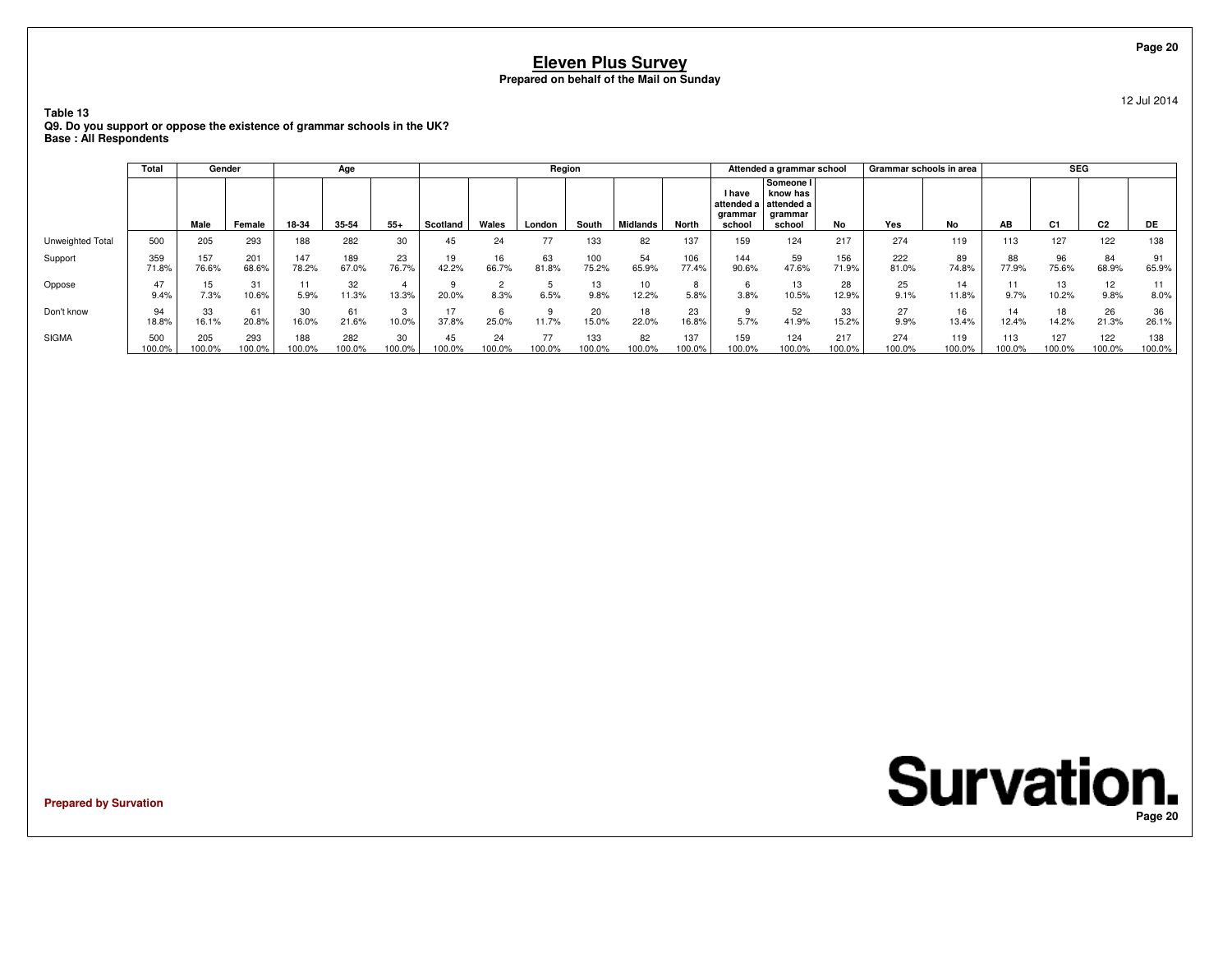**Table 13**

 **Q9. Do you support or oppose the existence of grammar schools in the UK?Base : All Respondents**

|                  | Total         |               | Gender        |               | Age           |              |              |              | Region       |               |              |               |                                    | Attended a grammar school                                           |               |               | Grammar schools in area |               | <b>SEG</b>     |                |               |
|------------------|---------------|---------------|---------------|---------------|---------------|--------------|--------------|--------------|--------------|---------------|--------------|---------------|------------------------------------|---------------------------------------------------------------------|---------------|---------------|-------------------------|---------------|----------------|----------------|---------------|
|                  |               | Male          | Female        | 18-34         | 35-54         | $55+$        | Scotland     | Wales        | London       | South         | Midlands     | North         | <b>I</b> have<br>grammar<br>school | Someone I<br>know has<br>attended a attended a<br>grammar<br>school | No            | Yes           | No                      | AB            | C <sub>1</sub> | C <sub>2</sub> | DE            |
| Unweighted Total | 500           | 205           | 293           | 188           | 282           | 30           | 45           | 24           |              | 133           | 82           | 137           | 159                                | 124                                                                 | 217           | 274           | 119                     | 113           | 127            | 122            | 138           |
| Support          | 359<br>71.8%  | 157<br>76.6%  | 201<br>68.6%  | 147<br>78.2%  | 189<br>67.0%  | 23<br>76.7%  | 19<br>42.2%  | 16<br>66.7%  | 63<br>81.8%  | 100<br>75.2%  | 54<br>65.9%  | 106<br>77.4%  | 144<br>90.6%                       | 59<br>47.6%                                                         | 156<br>71.9%  | 222<br>81.0%  | 89<br>74.8%             | 88<br>77.9%   | 96<br>75.6%    | 84<br>68.9%    | 91<br>65.9%   |
| Oppose           | 47<br>9.4%    | 7.3%          | 31<br>10.6%   | 5.9%          | 32<br>11.3%   | 13.3%        | 20.0%        | 8.3%         | 6.5%         | 13<br>9.8%    | 10<br>12.2%  | 5.8%          | 3.8%                               | 13<br>10.5%                                                         | 28<br>12.9%   | 25<br>9.1%    | 14<br>11.8%             | 11<br>9.7%    | 13<br>10.2%    | 12<br>9.8%     | 8.0%          |
| Don't know       | 94<br>18.8%   | 33<br>16.1%   | 61<br>20.8%   | 30<br>16.0%   | 61<br>21.6%   | 3<br>10.0%   | 37.8%        | 25.0%        | 11.7%        | 20<br>15.0%   | 18<br>22.0%  | 23<br>16.8%   | 5.7%                               | 52<br>41.9%                                                         | 33<br>15.2%   | 27<br>9.9%    | 16<br>13.4%             | 14<br>12.4%   | 18<br>14.2%    | 26<br>21.3%    | 36<br>26.1%   |
| <b>SIGMA</b>     | 500<br>100.0% | 205<br>100.0% | 293<br>100.0% | 188<br>100.0% | 282<br>100.0% | 30<br>100.0% | 45<br>100.0% | 24<br>100.0% | 77<br>100.0% | 133<br>100.0% | 82<br>100.0% | 137<br>100.0% | 159<br>100.0%                      | 124<br>100.0%                                                       | 217<br>100.0% | 274<br>100.0% | 119<br>100.0%           | 113<br>100.0% | 127<br>100.0%  | 122<br>100.0%  | 138<br>100.0% |

**Prepared by Survation**

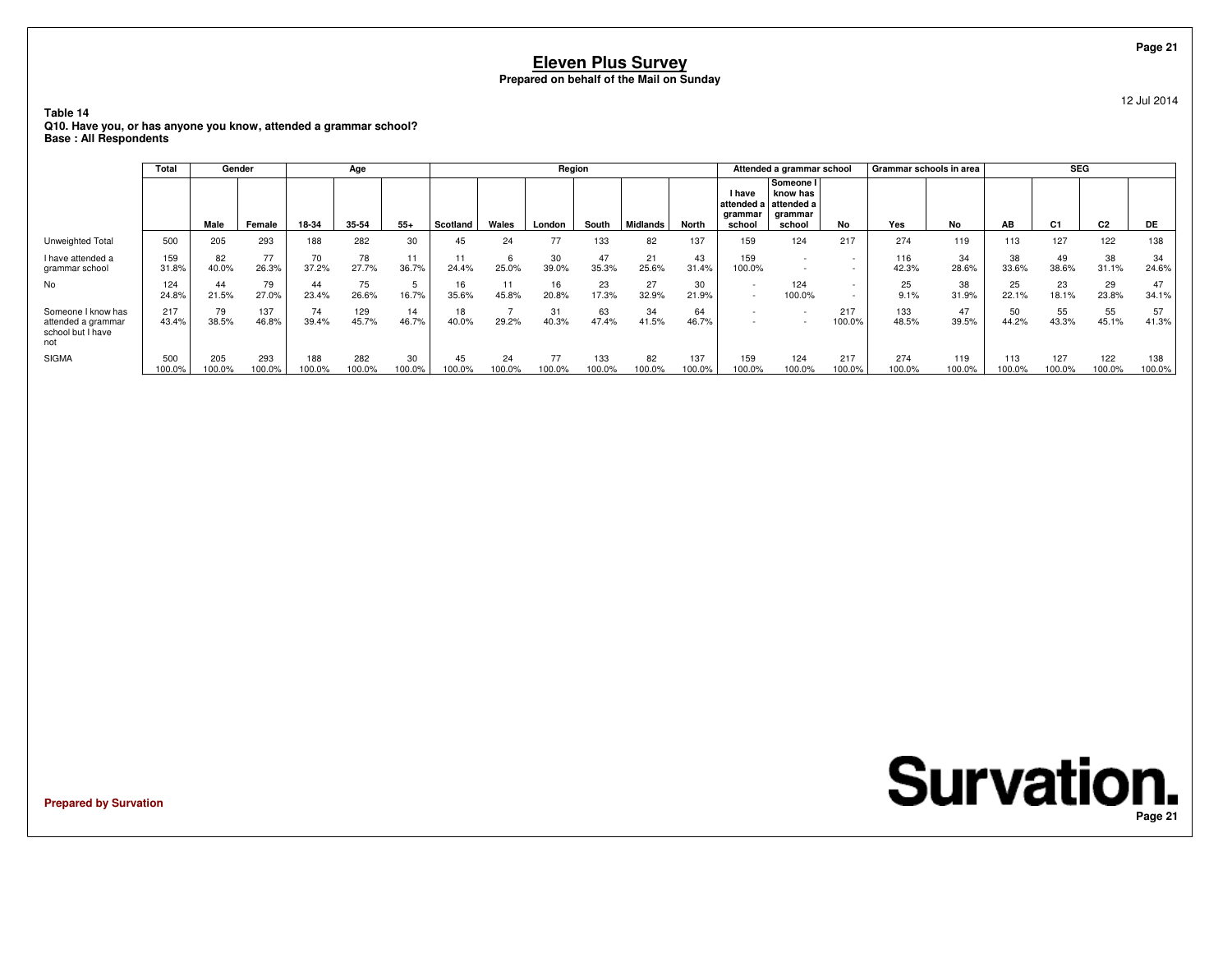**Table 14 Q10. Have you, or has anyone you know, attended a grammar school?Base : All Respondents**

|                                                                      | Total         | Gender        |               |               | Age           |              |              |              | Region       |               |              |               |                             | Attended a grammar school                                           |                                                      | Grammar schools in area |               |               | <b>SEG</b>     |                |               |
|----------------------------------------------------------------------|---------------|---------------|---------------|---------------|---------------|--------------|--------------|--------------|--------------|---------------|--------------|---------------|-----------------------------|---------------------------------------------------------------------|------------------------------------------------------|-------------------------|---------------|---------------|----------------|----------------|---------------|
|                                                                      |               | Male          | Female        | 18-34         | 35-54         | $55+$        | Scotland     | Wales        | London       | South         | Midlands     | North         | I have<br>grammar<br>school | Someone I<br>know has<br>attended a attended a<br>arammar<br>school | No                                                   | Yes                     | No            | AB            | C <sub>1</sub> | C <sub>2</sub> | DE            |
| Unweighted Total                                                     | 500           | 205           | 293           | 188           | 282           | 30           | 45           | 24           | 77           | 133           | 82           | 137           | 159                         | 124                                                                 | 217                                                  | 274                     | 119           | 113           | 127            | 122            | 138           |
| I have attended a<br>grammar school                                  | 159<br>31.8%  | 82<br>40.0%   | 77<br>26.3%   | 70<br>37.2%   | 78<br>27.7%   | 11<br>36.7%  | 24.4%        | 25.0%        | 30<br>39.0%  | 47<br>35.3%   | 21<br>25.6%  | 43<br>31.4%   | 159<br>100.0%               | $\overline{\phantom{0}}$<br>$\overline{\phantom{a}}$                | $\overline{\phantom{0}}$                             | 116<br>42.3%            | 34<br>28.6%   | 38<br>33.6%   | 49<br>38.6%    | 38<br>31.1%    | 34<br>24.6%   |
| No                                                                   | 124<br>24.8%  | 44<br>21.5%   | 79<br>27.0%   | 44<br>23.4%   | 75<br>26.6%   | 16.7%        | 16<br>35.6%  | 11<br>45.8%  | 16<br>20.8%  | 23<br>17.3%   | 27<br>32.9%  | 30<br>21.9%   | $\overline{\phantom{a}}$    | 124<br>100.0%                                                       | $\overline{\phantom{0}}$<br>$\overline{\phantom{0}}$ | 25<br>9.1%              | 38<br>31.9%   | 25<br>22.1%   | 23<br>18.1%    | 29<br>23.8%    | 47<br>34.1%   |
| Someone I know has<br>attended a grammar<br>school but I have<br>not | 217<br>43.4%  | 79<br>38.5%   | 137<br>46.8%  | 74<br>39.4%   | 129<br>45.7%  | 14<br>46.7%  | 18<br>40.0%  | 29.2%        | 31<br>40.3%  | 63<br>47.4%   | 34<br>41.5%  | 64<br>46.7%   |                             |                                                                     | 217<br>100.0%                                        | 133<br>48.5%            | 47<br>39.5%   | 50<br>44.2%   | 55<br>43.3%    | 55<br>45.1%    | 57<br>41.3%   |
| <b>SIGMA</b>                                                         | 500<br>100.0% | 205<br>100.0% | 293<br>100.0% | 188<br>100.0% | 282<br>100.0% | 30<br>100.0% | 45<br>100.0% | 24<br>100.0% | 77<br>100.0% | 133<br>100.0% | 82<br>100.0% | 137<br>100.0% | 159<br>100.0%               | 124<br>100.0%                                                       | 217<br>100.0%                                        | 274<br>100.0%           | 119<br>100.0% | 113<br>100.0% | 127<br>100.0%  | 122<br>100.0%  | 138<br>100.0% |

**Prepared by Survation**

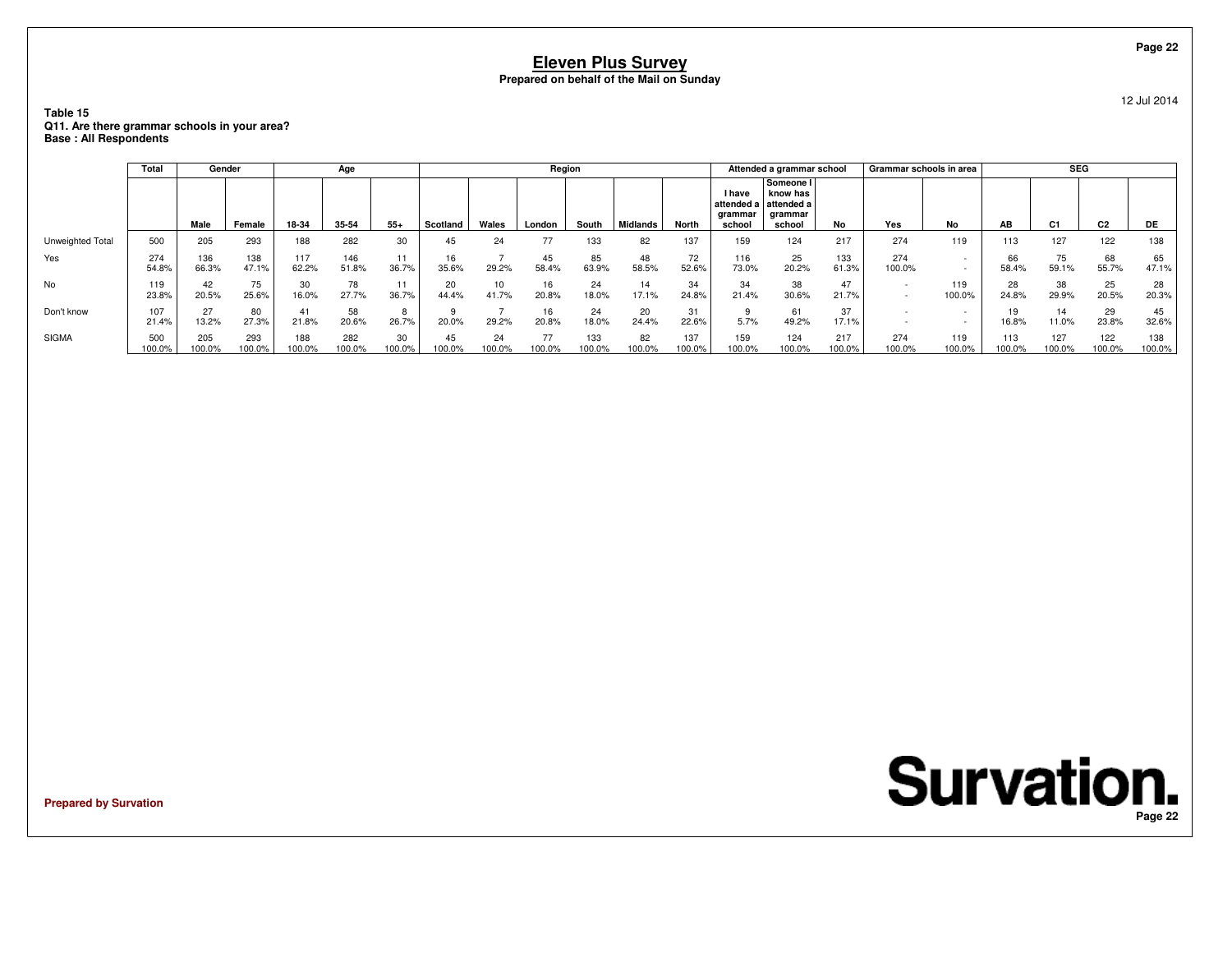**Table 15 Q11. Are there grammar schools in your area?Base : All Respondents**

|                  | Total         |               | Gender        |               | Age           |              |              |              | Region       |               |              |               |                                                  | Attended a grammar school                                |               | Grammar schools in area |                          |               | <b>SEG</b>    |                |               |
|------------------|---------------|---------------|---------------|---------------|---------------|--------------|--------------|--------------|--------------|---------------|--------------|---------------|--------------------------------------------------|----------------------------------------------------------|---------------|-------------------------|--------------------------|---------------|---------------|----------------|---------------|
|                  |               | Male          | Female        | 18-34         | 35-54         | $55+$        | Scotland     | Wales        | London       | South         | Midlands     | <b>North</b>  | <b>I</b> have<br>attended a<br>grammar<br>school | Someone I<br>know has<br>attended a<br>grammar<br>school | No            | Yes                     | No                       | AB            | C1            | C <sub>2</sub> | DE            |
| Unweighted Total | 500           | 205           | 293           | 188           | 282           | 30           | 45           | 24           | 77           | 133           | 82           | 137           | 159                                              | 124                                                      | 217           | 274                     | 119                      | 113           | 127           | 122            | 138           |
| Yes              | 274<br>54.8%  | 136<br>66.3%  | 138<br>47.1%  | 117<br>62.2%  | 146<br>51.8%  | 36.7%        | IO.<br>35.6% | 29.2%        | 45<br>58.4%  | 85<br>63.9%   | 48<br>58.5%  | 72<br>52.6%   | 116<br>73.0%                                     | 25<br>20.2%                                              | 133<br>61.3%  | 274<br>100.0%           | $\overline{\phantom{a}}$ | 66<br>58.4%   | 75<br>59.1%   | 68<br>55.7%    | 65<br>47.1%   |
| No               | 119<br>23.8%  | 42<br>20.5%   | 75<br>25.6%   | 30<br>16.0%   | 78<br>27.7%   | 36.7%        | 20<br>44.4%  | 10<br>41.7%  | 16<br>20.8%  | 24<br>18.0%   | 14<br>17.1%  | 34<br>24.8%   | 34<br>21.4%                                      | 38<br>30.6%                                              | 47<br>21.7%   |                         | 119<br>100.0%            | 28<br>24.8%   | 38<br>29.9%   | 25<br>20.5%    | 28<br>20.3%   |
| Don't know       | 107<br>21.4%  | 13.2%         | 80<br>27.3%   | 41<br>21.8%   | 58<br>20.6%   | 26.7%        | 20.0%        | 29.2%        | 16<br>20.8%  | 24<br>18.0%   | 20<br>24.4%  | 31<br>22.6%   | 5.7%                                             | 61<br>49.2%                                              | 37<br>17.1%   |                         |                          | 19<br>16.8%   | 11.0%         | 29<br>23.8%    | 45<br>32.6%   |
| <b>SIGMA</b>     | 500<br>100.0% | 205<br>100.0% | 293<br>100.0% | 188<br>100.0% | 282<br>100.0% | 30<br>100.0% | 45<br>100.0% | 24<br>100.0% | 77<br>100.0% | 133<br>100.0% | 82<br>100.0% | 137<br>100.0% | 159<br>100.0%                                    | 124<br>100.0%                                            | 217<br>100.0% | 274<br>100.0%           | 119<br>100.0%            | 113<br>100.0% | 127<br>100.0% | 122<br>100.0%  | 138<br>100.0% |

**Prepared by Survation**



**Page 22**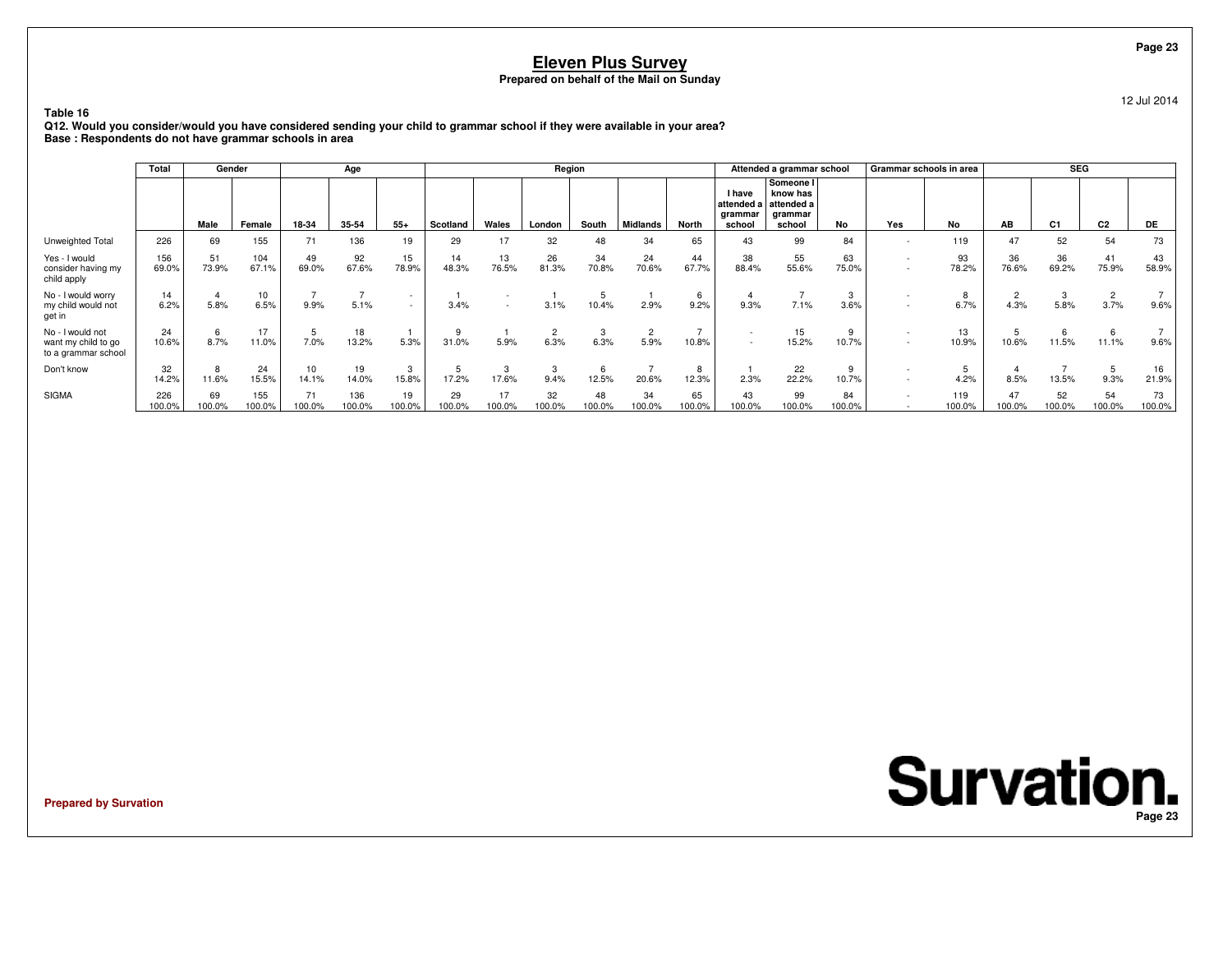12 Jul 2014

**Table 16 Q12. Would you consider/would you have considered sending your child to grammar school if they were available in your area?Base : Respondents do not have grammar schools in area**

|                                                                | <b>Total</b>  | Gender       |               |                           | Age           |                  |              |              | Region       |              |              |              |                                    | Attended a grammar school                                           |              | Grammar schools in area |               |                        | <b>SEG</b>   |                        |              |
|----------------------------------------------------------------|---------------|--------------|---------------|---------------------------|---------------|------------------|--------------|--------------|--------------|--------------|--------------|--------------|------------------------------------|---------------------------------------------------------------------|--------------|-------------------------|---------------|------------------------|--------------|------------------------|--------------|
|                                                                |               | Male         | Female        | 18-34                     | 35-54         | $55+$            | Scotland     | Wales        | London       | South        | Midlands     | North        | <b>I</b> have<br>qrammar<br>school | Someone I<br>know has<br>attended a attended a<br>qrammar<br>school | <b>No</b>    | Yes                     | <b>No</b>     | AB                     | C1           | C <sub>2</sub>         | DE           |
| Unweighted Total                                               | 226           | 69           | 155           | 71                        | 136           | 19               | 29           | 17           | 32           | 48           | 34           | 65           | 43                                 | 99                                                                  | 84           |                         | 119           | 47                     | 52           | 54                     | 73           |
| Yes - I would<br>consider having my<br>child apply             | 156<br>69.0%  | 51<br>73.9%  | 104<br>67.1%  | 49<br>69.0%               | 92<br>67.6%   | 15<br>78.9%      | 14<br>48.3%  | 13<br>76.5%  | 26<br>81.3%  | 34<br>70.8%  | 24<br>70.6%  | 44<br>67.7%  | 38<br>88.4%                        | 55<br>55.6%                                                         | 63<br>75.0%  |                         | 93<br>78.2%   | 36<br>76.6%            | 36<br>69.2%  | 41<br>75.9%            | 43<br>58.9%  |
| No - I would worry<br>my child would not<br>get in             | 14<br>6.2%    | 5.8%         | 10<br>6.5%    | 9.9%                      | 5.1%          | $\sim$<br>$\sim$ | 3.4%         |              | 3.1%         | 10.4%        | 2.9%         | 6<br>9.2%    | 9.3%                               | 7.1%                                                                | 3<br>3.6%    |                         | 6.7%          | $\overline{2}$<br>4.3% | 5.8%         | $\overline{2}$<br>3.7% | 9.6%         |
| No - I would not<br>want my child to go<br>to a grammar school | 24<br>10.6%   | 6<br>8.7%    | 17<br>11.0%   | 7.0%                      | 18<br>13.2%   | 5.3%             | 31.0%        | 5.9%         | 6.3%         | 6.3%         | 5.9%         | 10.8%        | $\overline{\phantom{a}}$<br>$\sim$ | 15<br>15.2%                                                         | 9<br>10.7%   |                         | 13<br>10.9%   | 10.6%                  | 11.5%        | 6<br>11.1%             | 9.6%         |
| Don't know                                                     | 32<br>14.2%   | 8<br>11.6%   | 24<br>15.5%   | 10 <sup>10</sup><br>14.1% | 19<br>14.0%   | 3<br>15.8%       | 17.2%        | -3<br>17.6%  | 3<br>9.4%    | 12.5%        | 20.6%        | 8<br>12.3%   | 2.3%                               | 22<br>22.2%                                                         | 9<br>10.7%   |                         | 4.2%          | 8.5%                   | 13.5%        | 5<br>9.3%              | 16<br>21.9%  |
| <b>SIGMA</b>                                                   | 226<br>100.0% | 69<br>100.0% | 155<br>100.0% | 71<br>100.0%              | 136<br>100.0% | 19<br>100.0%     | 29<br>100.0% | 17<br>100.0% | 32<br>100.0% | 48<br>100.0% | 34<br>100.0% | 65<br>100.0% | 43<br>100.0%                       | 99<br>100.0%                                                        | 84<br>100.0% |                         | 119<br>100.0% | 47<br>100.0%           | 52<br>100.0% | 54<br>100.0%           | 73<br>100.0% |

**Prepared by Survation**

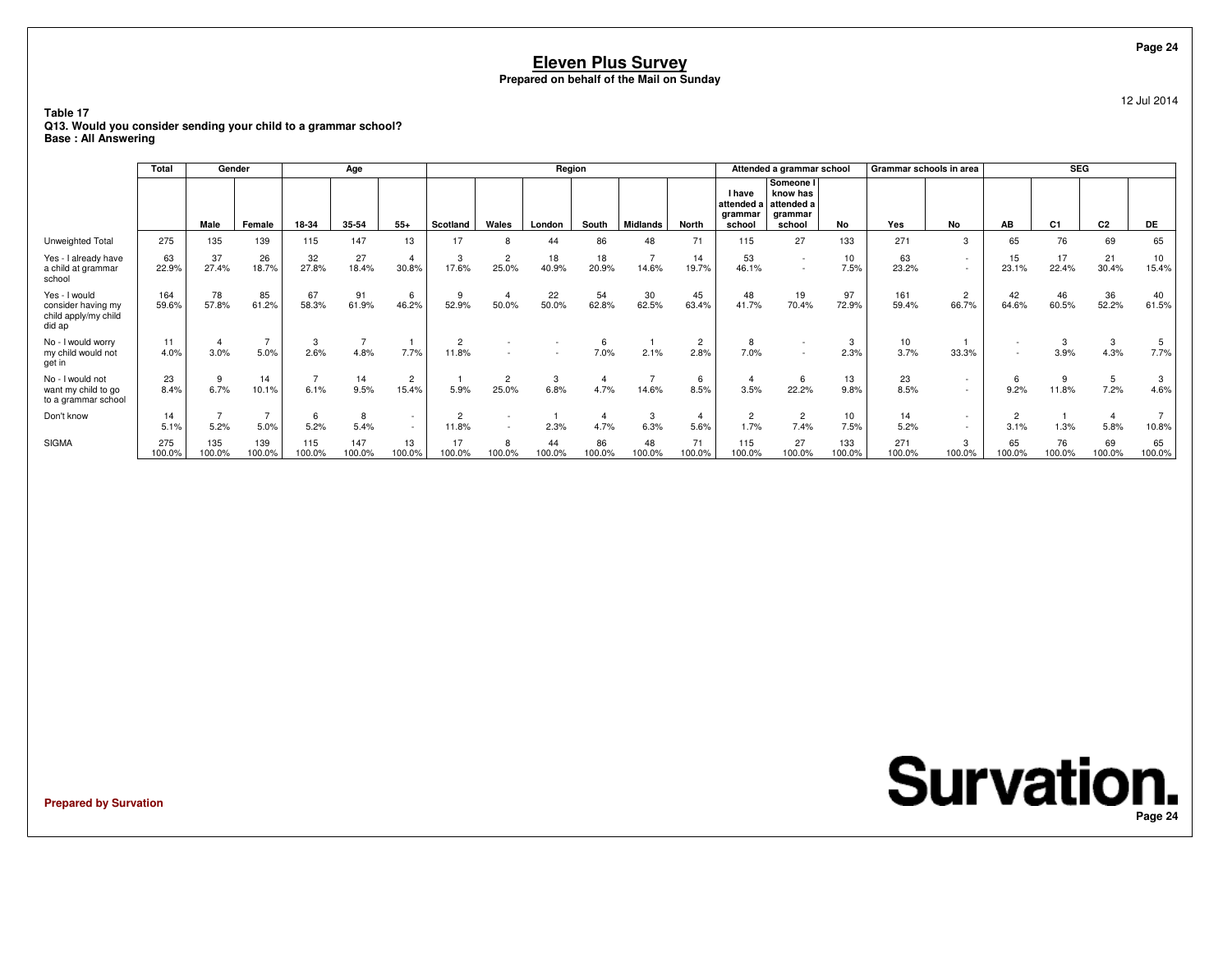**Table 17 Q13. Would you consider sending your child to a grammar school?Base : All Answering**

|                                                                       | Total         | Gender        |               |               | Age           |                         |                         |                         | Region       |              |                         |                        |                                                  | Attended a grammar school                                |               | Grammar schools in area |                          |                        | <b>SEG</b>     |                |                          |
|-----------------------------------------------------------------------|---------------|---------------|---------------|---------------|---------------|-------------------------|-------------------------|-------------------------|--------------|--------------|-------------------------|------------------------|--------------------------------------------------|----------------------------------------------------------|---------------|-------------------------|--------------------------|------------------------|----------------|----------------|--------------------------|
|                                                                       |               | Male          | Female        | 18-34         | 35-54         | $55+$                   | Scotland                | Wales                   | London       | South        | Midlands                | North                  | <b>I</b> have<br>attended a<br>grammar<br>school | Someone I<br>know has<br>attended a<br>grammar<br>school | No            | Yes                     | <b>No</b>                | AB                     | C <sub>1</sub> | C <sub>2</sub> | <b>DE</b>                |
| Unweighted Total                                                      | 275           | 135           | 139           | 115           | 147           | 13                      | 17                      | 8                       | 44           | 86           | 48                      | 71                     | 115                                              | 27                                                       | 133           | 271                     | $\mathcal{R}$            | 65                     | 76             | 69             | 65                       |
| Yes - I already have<br>a child at grammar<br>school                  | 63<br>22.9%   | 37<br>27.4%   | 26<br>18.7%   | 32<br>27.8%   | 27<br>18.4%   | $\overline{4}$<br>30.8% | 3<br>17.6%              | $\overline{2}$<br>25.0% | 18<br>40.9%  | 18<br>20.9%  | $\overline{7}$<br>14.6% | 14<br>19.7%            | 53<br>46.1%                                      | $\sim$<br>$\sim$                                         | 10<br>7.5%    | 63<br>23.2%             | $\sim$                   | 15<br>23.1%            | 17<br>22.4%    | 21<br>30.4%    | 10 <sup>1</sup><br>15.4% |
| Yes - I would<br>consider having my<br>child apply/my child<br>did ap | 164<br>59.6%  | 78<br>57.8%   | 85<br>61.2%   | 67<br>58.3%   | 91<br>61.9%   | 6<br>46.2%              | 52.9%                   | -4<br>50.0%             | 22<br>50.0%  | 54<br>62.8%  | 30<br>62.5%             | 45<br>63.4%            | 48<br>41.7%                                      | 19<br>70.4%                                              | 97<br>72.9%   | 161<br>59.4%            | $\overline{2}$<br>66.7%  | 42<br>64.6%            | 60.5%          | 36<br>52.2%    | 40<br>61.5%              |
| No - I would worry<br>my child would not<br>get in                    | 11<br>4.0%    | 3.0%          | 5.0%          | 3<br>2.6%     | 4.8%          | 7.7%                    | $\overline{2}$<br>11.8% |                         |              | 7.0%         | 2.1%                    | $\overline{2}$<br>2.8% | 8<br>7.0%                                        |                                                          | 3<br>2.3%     | 10<br>3.7%              | 33.3%                    | $\sim$<br>$\sim$       | 3<br>3.9%      | 3<br>4.3%      | 7.7%                     |
| No - I would not<br>want my child to go<br>to a grammar school        | 23<br>8.4%    | 6.7%          | 14<br>10.1%   | 6.1%          | 14<br>9.5%    | $\overline{2}$<br>15.4% | 5.9%                    | $\overline{2}$<br>25.0% | 3<br>6.8%    | 4.7%         | 14.6%                   | 6<br>8.5%              | 3.5%                                             | 6<br>22.2%                                               | 13<br>9.8%    | 23<br>8.5%              |                          | 6<br>9.2%              | 11.8%          | 5<br>7.2%      | 4.6%                     |
| Don't know                                                            | 14<br>5.1%    | 5.2%          | 5.0%          | 6<br>5.2%     | 8<br>5.4%     | $\sim$<br>$\sim$        | $\overline{2}$<br>11.8% |                         | 2.3%         | 4.7%         | 3<br>6.3%               | 5.6%                   | $\overline{2}$<br>1.7%                           | $\overline{c}$<br>7.4%                                   | 10<br>7.5%    | 14<br>5.2%              | $\overline{\phantom{a}}$ | $\overline{c}$<br>3.1% | 1.3%           | 5.8%           | 10.8%                    |
| <b>SIGMA</b>                                                          | 275<br>100.0% | 135<br>100.0% | 139<br>100.0% | 115<br>100.0% | 147<br>100.0% | 13<br>100.0%            | 17<br>100.0%            | 8<br>100.0%             | 44<br>100.0% | 86<br>100.0% | 48<br>100.0%            | 71<br>100.0%           | 115<br>100.0%                                    | 27<br>100.0%                                             | 133<br>100.0% | 271<br>100.0%           | 3<br>100.0%              | 65<br>100.0%           | 76<br>100.0%   | 69<br>100.0%   | 65<br>100.0%             |

**Prepared by Survation**

**Survation. Page 24**

**Page 24**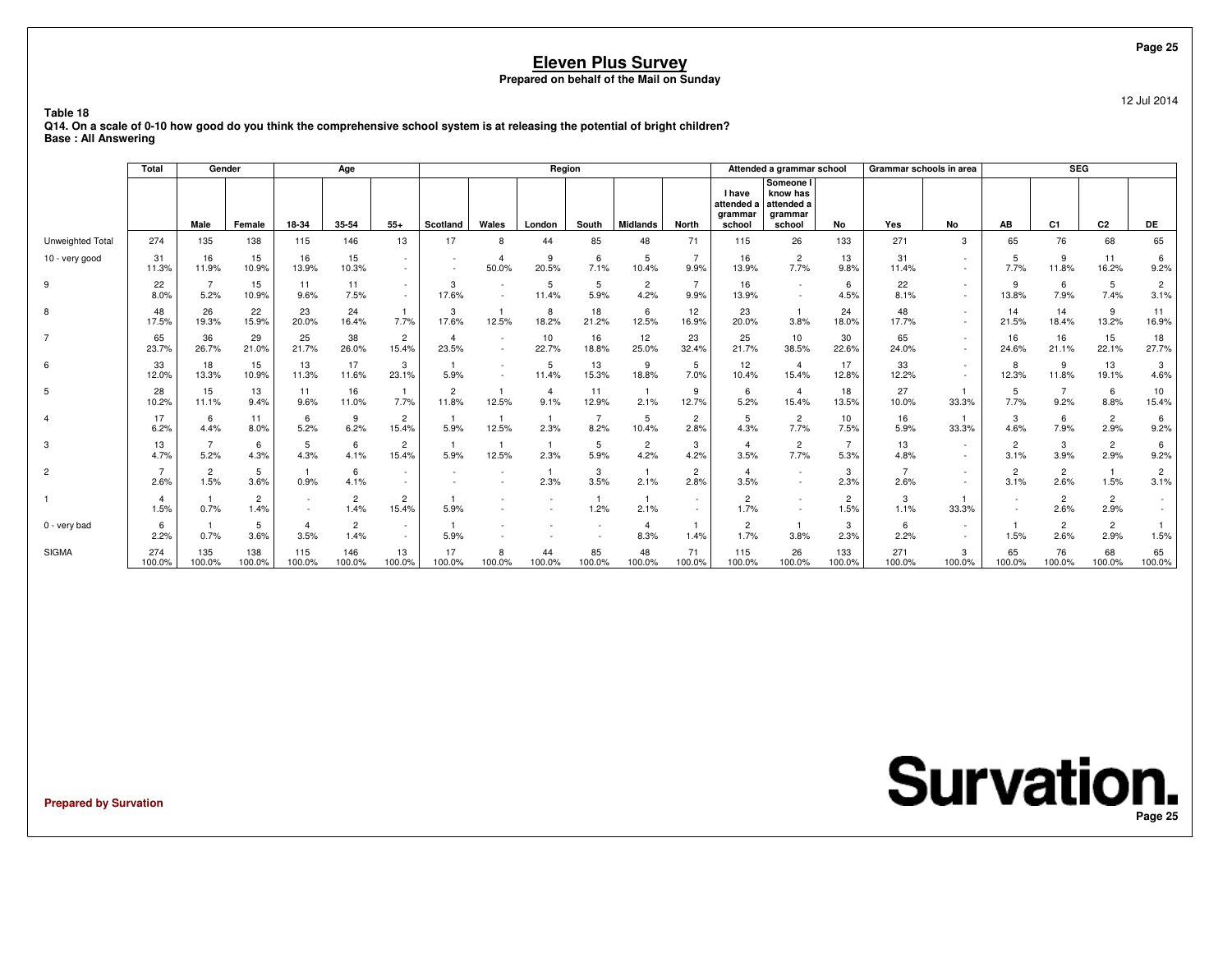12 Jul 2014

**Table 18 Q14. On a scale of 0-10 how good do you think the comprehensive school system is at releasing the potential of bright children?Base : All Answering**

|                 | Total                  | Gender                 |                        |               | Age                    |                         |                         |                                                      | Region                 |              |                        |                        |                                                  | Attended a grammar school                                |                        | Grammar schools in area |             |                        | SEG                    |                        |                        |
|-----------------|------------------------|------------------------|------------------------|---------------|------------------------|-------------------------|-------------------------|------------------------------------------------------|------------------------|--------------|------------------------|------------------------|--------------------------------------------------|----------------------------------------------------------|------------------------|-------------------------|-------------|------------------------|------------------------|------------------------|------------------------|
|                 |                        | Male                   | Female                 | 18-34         | 35-54                  | $55+$                   | Scotland                | Wales                                                | London                 | South        | <b>Midlands</b>        | <b>North</b>           | <b>I</b> have<br>attended a<br>grammar<br>school | Someone I<br>know has<br>attended a<br>grammar<br>school | No                     | Yes                     | No          | AB                     | C <sub>1</sub>         | C <sub>2</sub>         | DE                     |
| Unweighted Tota | 274                    | 135                    | 138                    | 115           | 146                    | 13                      | 17                      | 8                                                    | 44                     | 85           | 48                     | 71                     | 115                                              | 26                                                       | 133                    | 271                     | 3           | 65                     | 76                     | 68                     | 65                     |
| 10 - very good  | 31<br>11.3%            | 16<br>11.9%            | 15<br>10.9%            | 16<br>13.9%   | 15<br>10.3%            | $\sim$<br>$\sim$        |                         | $\overline{4}$<br>50.0%                              | 9<br>20.5%             | 6<br>7.1%    | 5<br>10.4%             | 9.9%                   | 16<br>13.9%                                      | 2<br>7.7%                                                | 13<br>9.8%             | 31<br>11.4%             |             | -5<br>7.7%             | 9<br>11.8%             | 11<br>16.2%            | 6<br>9.2%              |
| 9               | 22<br>8.0%             | 5.2%                   | 15<br>10.9%            | 11<br>9.6%    | 11<br>7.5%             | $\sim$<br>$\sim$        | 3<br>17.6%              | $\overline{\phantom{a}}$<br>$\overline{\phantom{a}}$ | 5<br>11.4%             | 5<br>5.9%    | $\overline{c}$<br>4.2% | 9.9%                   | 16<br>13.9%                                      | $\sim$<br>$\sim$                                         | 6<br>4.5%              | 22<br>8.1%              |             | 9<br>13.8%             | 6<br>7.9%              | 5<br>7.4%              | $\overline{2}$<br>3.1% |
| 8               | 48<br>17.5%            | 26<br>19.3%            | 22<br>15.9%            | 23<br>20.0%   | 24<br>16.4%            | 7.7%                    | 3<br>17.6%              | 12.5%                                                | 8<br>18.2%             | 18<br>21.2%  | 6<br>12.5%             | 12<br>16.9%            | 23<br>20.0%                                      | 3.8%                                                     | 24<br>18.0%            | 48<br>17.7%             |             | 14<br>21.5%            | 14<br>18.4%            | 9<br>13.2%             | 11<br>16.9%            |
| $\overline{7}$  | 65<br>23.7%            | 36<br>26.7%            | 29<br>21.0%            | 25<br>21.7%   | 38<br>26.0%            | $\overline{2}$<br>15.4% | $\overline{4}$<br>23.5% | $\overline{\phantom{a}}$<br>$\sim$                   | 10<br>22.7%            | 16<br>18.8%  | 12<br>25.0%            | 23<br>32.4%            | 25<br>21.7%                                      | 10<br>38.5%                                              | 30<br>22.6%            | 65<br>24.0%             |             | 16<br>24.6%            | 16<br>21.1%            | 15<br>22.1%            | 18<br>27.7%            |
| 6               | 33<br>12.0%            | 18<br>13.3%            | 15<br>10.9%            | 13<br>11.3%   | 17<br>11.6%            | 3<br>23.1%              | 5.9%                    | $\overline{\phantom{a}}$<br>$\overline{\phantom{a}}$ | 5<br>11.4%             | 13<br>15.3%  | 9<br>18.8%             | 5<br>7.0%              | 12<br>10.4%                                      | $\overline{4}$<br>15.4%                                  | 17<br>12.8%            | 33<br>12.2%             |             | 8<br>12.3%             | 9<br>11.8%             | 13<br>19.1%            | 3<br>4.6%              |
| 5               | 28<br>10.2%            | 15<br>11.1%            | 13<br>9.4%             | 11<br>9.6%    | 16<br>11.0%            | 7.7%                    | 2<br>11.8%              | 12.5%                                                | $\overline{4}$<br>9.1% | 11<br>12.9%  | 2.1%                   | 9<br>12.7%             | 6<br>5.2%                                        | $\overline{4}$<br>15.4%                                  | 18<br>13.5%            | 27<br>10.0%             | 33.3%       | 5<br>7.7%              | 9.2%                   | 6<br>8.8%              | 10<br>15.4%            |
|                 | 17<br>6.2%             | 6<br>4.4%              | 11<br>8.0%             | 6<br>5.2%     | 9<br>6.2%              | $\overline{2}$<br>15.4% | 5.9%                    | 12.5%                                                | 2.3%                   | 8.2%         | 5<br>10.4%             | $\overline{2}$<br>2.8% | 5<br>4.3%                                        | $\overline{2}$<br>7.7%                                   | 10<br>7.5%             | 16<br>5.9%              | 33.3%       | 3<br>4.6%              | 6<br>7.9%              | $\overline{2}$<br>2.9% | 6<br>9.2%              |
| 3               | 13<br>4.7%             | 5.2%                   | 6<br>4.3%              | 5<br>4.3%     | 6<br>4.1%              | $\overline{2}$<br>15.4% | 5.9%                    | 12.5%                                                | 2.3%                   | 5<br>5.9%    | $\overline{c}$<br>4.2% | 3<br>4.2%              | $\overline{\mathbf{A}}$<br>3.5%                  | $\overline{2}$<br>7.7%                                   | $\overline{7}$<br>5.3% | 13<br>4.8%              |             | $\overline{c}$<br>3.1% | 3<br>3.9%              | $\overline{2}$<br>2.9% | 6<br>9.2%              |
| $\overline{2}$  | $\overline{7}$<br>2.6% | $\overline{2}$<br>1.5% | 5<br>3.6%              | 0.9%          | 6<br>4.1%              | $\sim$                  |                         | $\overline{\phantom{a}}$                             | 2.3%                   | 3<br>3.5%    | 2.1%                   | $\overline{2}$<br>2.8% | $\overline{4}$<br>3.5%                           | $\sim$<br>$\sim$                                         | 3<br>2.3%              | $\overline{ }$<br>2.6%  |             | $\overline{c}$<br>3.1% | $\overline{2}$<br>2.6% | -1<br>1.5%             | $\overline{2}$<br>3.1% |
|                 | $\overline{4}$<br>1.5% | 0.7%                   | $\overline{2}$<br>1.4% |               | $\overline{2}$<br>1.4% | $\overline{2}$<br>15.4% | 5.9%                    |                                                      |                        | 1.2%         | 2.1%                   | $\sim$                 | $\overline{2}$<br>1.7%                           | $\sim$<br>$\sim$                                         | $\overline{2}$<br>1.5% | 3<br>1.1%               | 33.3%       | $\sim$<br>$\sim$       | $\overline{c}$<br>2.6% | $\overline{2}$<br>2.9% |                        |
| 0 - very bad    | 6<br>2.2%              | 0.7%                   | 5<br>3.6%              | -4<br>3.5%    | $\overline{2}$<br>1.4% | $\sim$<br>$\sim$        | 5.9%                    | $\overline{\phantom{a}}$                             |                        |              | $\overline{4}$<br>8.3% | 1.4%                   | $\overline{2}$<br>1.7%                           | 3.8%                                                     | 3<br>2.3%              | 6<br>2.2%               |             | 1.5%                   | $\overline{c}$<br>2.6% | $\overline{2}$<br>2.9% | 1.5%                   |
| <b>SIGMA</b>    | 274<br>100.0%          | 135<br>100.0%          | 138<br>100.0%          | 115<br>100.0% | 146<br>100.0%          | 13<br>100.0%            | 17<br>100.0%            | 8<br>100.0%                                          | 44<br>100.0%           | 85<br>100.0% | 48<br>100.0%           | 71<br>100.0%           | 115<br>100.0%                                    | 26<br>100.0%                                             | 133<br>100.0%          | 271<br>100.0%           | 3<br>100.0% | 65<br>100.0%           | 76<br>100.0%           | 68<br>100.0%           | 65<br>100.0%           |

**Prepared by Survation**

**Survation. Page 25**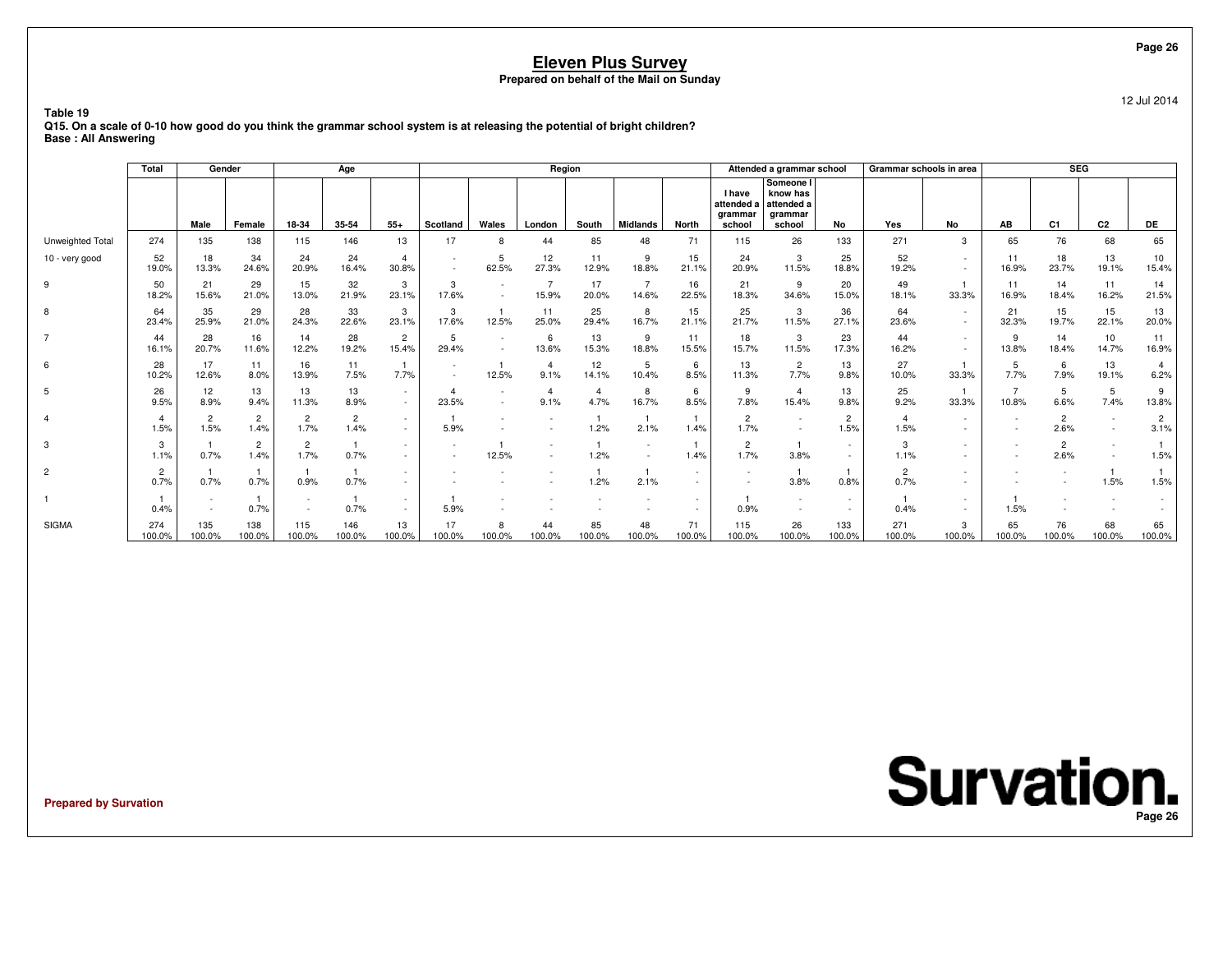12 Jul 2014

**Table 19 Q15. On a scale of 0-10 how good do you think the grammar school system is at releasing the potential of bright children?Base : All Answering**

|                  | Total                  | Gender                 |                        |                        | Age                    |                                    |                          |                                    | Region                   |              |                         |              |                                                  | Attended a grammar school                                |                        | Grammar schools in area |                  |                                  | SEG                      |                |                        |
|------------------|------------------------|------------------------|------------------------|------------------------|------------------------|------------------------------------|--------------------------|------------------------------------|--------------------------|--------------|-------------------------|--------------|--------------------------------------------------|----------------------------------------------------------|------------------------|-------------------------|------------------|----------------------------------|--------------------------|----------------|------------------------|
|                  |                        | Male                   | Female                 | 18-34                  | 35-54                  | $55+$                              | Scotland                 | Wales                              | London                   | South        | <b>Midlands</b>         | <b>North</b> | <b>I</b> have<br>attended a<br>grammar<br>school | Someone I<br>know has<br>attended a<br>grammar<br>school | No                     | Yes                     | <b>No</b>        | AB                               | C <sub>1</sub>           | C <sub>2</sub> | DE                     |
| Unweighted Total | 274                    | 135                    | 138                    | 115                    | 146                    | 13                                 | 17                       | 8                                  | 44                       | 85           | 48                      | 71           | 115                                              | 26                                                       | 133                    | 271                     | 3                | 65                               | 76                       | 68             | 65                     |
| 10 - very good   | 52<br>19.0%            | 18<br>13.3%            | 34<br>24.6%            | 24<br>20.9%            | 24<br>16.4%            | $\overline{4}$<br>30.8%            | $\overline{\phantom{a}}$ | 5<br>62.5%                         | 12<br>27.3%              | 11<br>12.9%  | 9<br>18.8%              | 15<br>21.1%  | 24<br>20.9%                                      | 3<br>11.5%                                               | 25<br>18.8%            | 52<br>19.2%             | $\sim$           | 11<br>16.9%                      | 18<br>23.7%              | 13<br>19.1%    | 10<br>15.4%            |
| 9                | 50<br>18.2%            | 21<br>15.6%            | 29<br>21.0%            | 15<br>13.0%            | 32<br>21.9%            | 3<br>23.1%                         | 3<br>17.6%               | $\sim$                             | 15.9%                    | 17<br>20.0%  | $\overline{7}$<br>14.6% | 16<br>22.5%  | 21<br>18.3%                                      | 9<br>34.6%                                               | 20<br>15.0%            | 49<br>18.1%             | 33.3%            | 11<br>16.9%                      | 14<br>18.4%              | 11<br>16.2%    | 14<br>21.5%            |
| 8                | 64<br>23.4%            | 35<br>25.9%            | 29<br>21.0%            | 28<br>24.3%            | 33<br>22.6%            | 3<br>23.1%                         | 3<br>17.6%               | 12.5%                              | 11<br>25.0%              | 25<br>29.4%  | 8<br>16.7%              | 15<br>21.1%  | 25<br>21.7%                                      | 3<br>11.5%                                               | 36<br>27.1%            | 64<br>23.6%             | $\sim$           | 21<br>32.3%                      | 15<br>19.7%              | 15<br>22.1%    | 13<br>20.0%            |
| $\overline{7}$   | 44<br>16.1%            | 28<br>20.7%            | 16<br>11.6%            | 14<br>12.2%            | 28<br>19.2%            | $\overline{2}$<br>15.4%            | 5<br>29.4%               | $\overline{\phantom{a}}$<br>$\sim$ | 6<br>13.6%               | 13<br>15.3%  | 9<br>18.8%              | 11<br>15.5%  | 18<br>15.7%                                      | 3<br>11.5%                                               | 23<br>17.3%            | 44<br>16.2%             | $\sim$<br>$\sim$ | 9<br>13.8%                       | 14<br>18.4%              | 10<br>14.7%    | 11<br>16.9%            |
| 6                | 28<br>10.2%            | 17<br>12.6%            | 11<br>8.0%             | 16<br>13.9%            | 11<br>7.5%             | 7.7%                               |                          | 12.5%                              | 9.1%                     | 12<br>14.1%  | 5<br>10.4%              | 6<br>8.5%    | 13<br>11.3%                                      | $\overline{2}$<br>7.7%                                   | 13<br>9.8%             | 27<br>10.0%             | 33.3%            | 5<br>7.7%                        | 7.9%                     | 13<br>19.1%    | 6.2%                   |
| 5                | 26<br>9.5%             | 12<br>8.9%             | 13<br>9.4%             | 13<br>11.3%            | 13<br>8.9%             | $\sim$<br>$\sim$                   | 23.5%                    |                                    | 9.1%                     | 4.7%         | 8<br>16.7%              | 6<br>8.5%    | 9<br>7.8%                                        | $\overline{4}$<br>15.4%                                  | 13<br>9.8%             | 25<br>9.2%              | 33.3%            | $\overline{7}$<br>10.8%          | 5<br>6.6%                | 5<br>7.4%      | 9<br>13.8%             |
|                  | $\overline{4}$<br>1.5% | $\overline{2}$<br>1.5% | $\overline{2}$<br>1.4% | $\overline{2}$<br>1.7% | $\overline{c}$<br>1.4% | $\sim$<br>$\sim$                   | 5.9%                     |                                    |                          | 1.2%         | 2.1%                    | 1.4%         | $\overline{2}$<br>1.7%                           |                                                          | $\overline{c}$<br>1.5% | 1.5%                    |                  | $\overline{a}$<br>$\overline{a}$ | $\overline{2}$<br>2.6%   |                | $\overline{c}$<br>3.1% |
| 3                | 3<br>1.1%              | 0.7%                   | $\overline{2}$<br>1.4% | 2<br>1.7%              | 0.7%                   | $\sim$                             | $\sim$                   | 12.5%                              | $\overline{\phantom{a}}$ | 1.2%         | $\sim$                  | 1.4%         | $\overline{2}$<br>1.7%                           | 3.8%                                                     | $\sim$                 | 3<br>1.1%               |                  | $\sim$<br>$\overline{a}$         | $\overline{2}$<br>2.6%   |                | 1.5%                   |
| $\overline{2}$   | $\overline{c}$<br>0.7% | 0.7%                   | 0.7%                   | 0.9%                   | 0.7%                   | $\overline{\phantom{a}}$<br>$\sim$ |                          |                                    |                          | 1.2%         | 2.1%                    | $\sim$       | $\sim$<br>$\overline{\phantom{a}}$               | 3.8%                                                     | 0.8%                   | 2<br>0.7%               |                  | $\overline{a}$                   | $\overline{\phantom{a}}$ | 1.5%           | 1.5%                   |
|                  | 0.4%                   |                        | 0.7%                   |                        | 0.7%                   | $\sim$<br>$\overline{\phantom{a}}$ | 5.9%                     |                                    |                          |              |                         |              | 0.9%                                             |                                                          | $\sim$                 | 0.4%                    |                  | 1.5%                             |                          |                |                        |
| <b>SIGMA</b>     | 274<br>100.0%          | 135<br>100.0%          | 138<br>100.0%          | 115<br>100.0%          | 146<br>100.0%          | 13<br>100.0%                       | 17<br>100.0%             | 8<br>100.0%                        | 44<br>100.0%             | 85<br>100.0% | 48<br>100.0%            | 71<br>100.0% | 115<br>100.0%                                    | 26<br>100.0%                                             | 133<br>100.0%          | 271<br>100.0%           | 3<br>100.0%      | 65<br>100.0%                     | 76<br>100.0%             | 68<br>100.0%   | 65<br>100.0%           |

**Prepared by Survation**

**Survation. Page 26**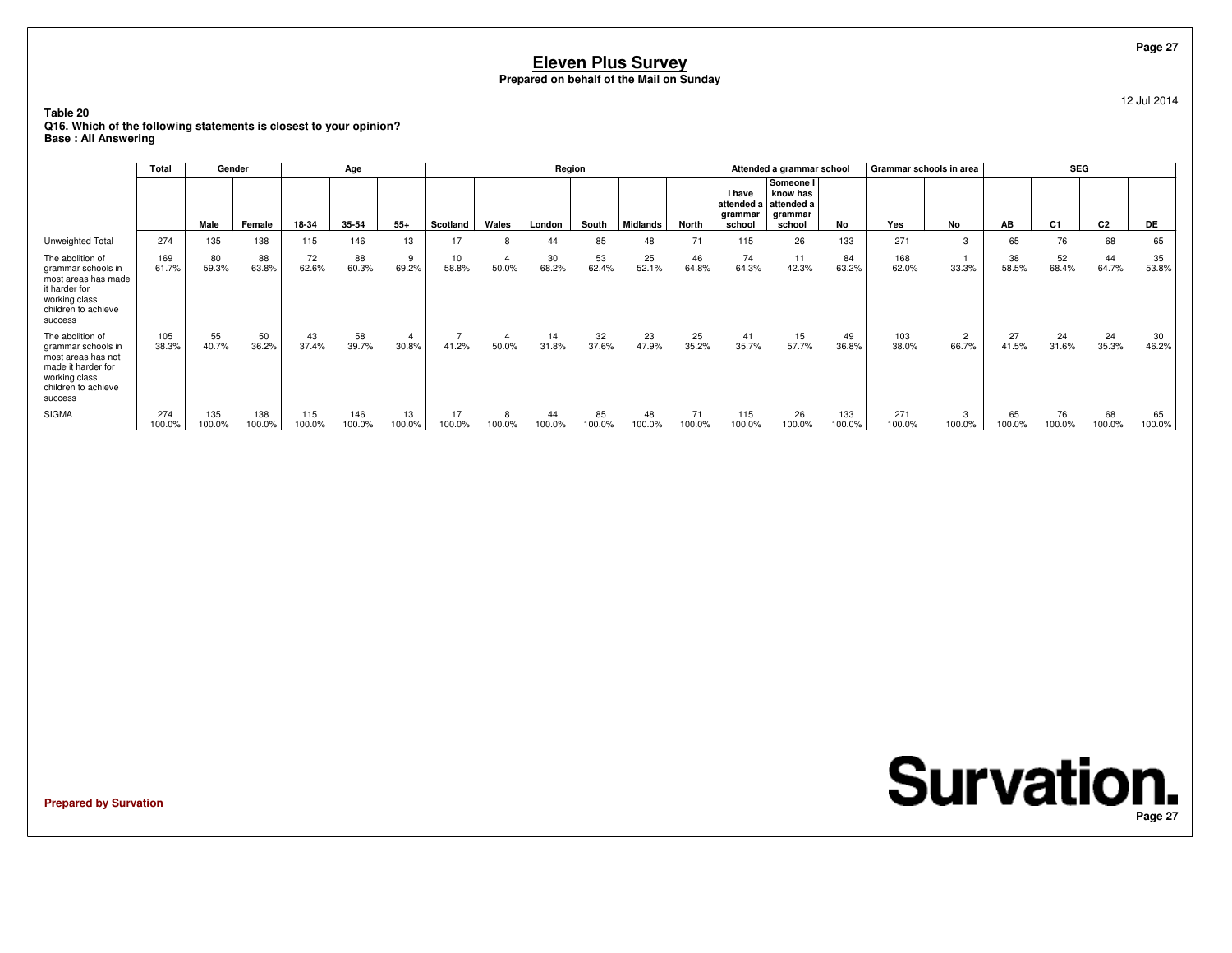12 Jul 2014

**Table 20 Q16. Which of the following statements is closest to your opinion?Base : All Answering**

|                                                                                                                                       | Total         | Gender        |               |               | Age           |                         |              |                         | Region       |              |                 |              |                                                  | Attended a grammar school                                |               | Grammar schools in area |                         |              | <b>SEG</b>     |                |              |
|---------------------------------------------------------------------------------------------------------------------------------------|---------------|---------------|---------------|---------------|---------------|-------------------------|--------------|-------------------------|--------------|--------------|-----------------|--------------|--------------------------------------------------|----------------------------------------------------------|---------------|-------------------------|-------------------------|--------------|----------------|----------------|--------------|
|                                                                                                                                       |               | Male          | Female        | 18-34         | 35-54         | $55+$                   | Scotland     | Wales                   | London       | South        | <b>Midlands</b> | <b>North</b> | <b>I</b> have<br>attended a<br>arammar<br>school | Someone I<br>know has<br>attended a<br>arammar<br>school | No            | Yes                     | No                      | AB           | C <sub>1</sub> | C <sub>2</sub> | <b>DE</b>    |
| Unweighted Total                                                                                                                      | 274           | 135           | 138           | 115           | 146           | 13                      | 17           | 8                       | 44           | 85           | 48              | 71           | 115                                              | 26                                                       | 133           | 271                     |                         | 65           | 76             | 68             | 65           |
| The abolition of<br>grammar schools in<br>most areas has made<br>it harder for<br>working class<br>children to achieve<br>success     | 169<br>61.7%  | 80<br>59.3%   | 88<br>63.8%   | 72<br>62.6%   | 88<br>60.3%   | 9<br>69.2%              | 10<br>58.8%  | $\overline{4}$<br>50.0% | 30<br>68.2%  | 53<br>62.4%  | 25<br>52.1%     | 46<br>64.8%  | 74<br>64.3%                                      | 11<br>42.3%                                              | 84<br>63.2%   | 168<br>62.0%            | 33.3%                   | 38<br>58.5%  | 52<br>68.4%    | 44<br>64.7%    | 35<br>53.8%  |
| The abolition of<br>grammar schools in<br>most areas has not<br>made it harder for<br>working class<br>children to achieve<br>success | 105<br>38.3%  | 55<br>40.7%   | 50<br>36.2%   | 43<br>37.4%   | 58<br>39.7%   | $\overline{4}$<br>30.8% | 41.2%        | $\overline{4}$<br>50.0% | 14<br>31.8%  | 32<br>37.6%  | 23<br>47.9%     | 25<br>35.2%  | 41<br>35.7%                                      | 15<br>57.7%                                              | 49<br>36.8%   | 103<br>38.0%            | $\overline{2}$<br>66.7% | 27<br>41.5%  | 24<br>31.6%    | 24<br>35.3%    | 30<br>46.2%  |
| <b>SIGMA</b>                                                                                                                          | 274<br>100.0% | 135<br>100.0% | 138<br>100.0% | 115<br>100.0% | 146<br>100.0% | 13<br>100.0%            | 17<br>100.0% | 8<br>100.0%             | 44<br>100.0% | 85<br>100.0% | 48<br>100.0%    | 71<br>100.0% | 115<br>100.0%                                    | 26<br>100.0%                                             | 133<br>100.0% | 271<br>100.0%           | 100.0%                  | 65<br>100.0% | 76<br>100.0%   | 68<br>100.0%   | 65<br>100.0% |

**Prepared by Survation**

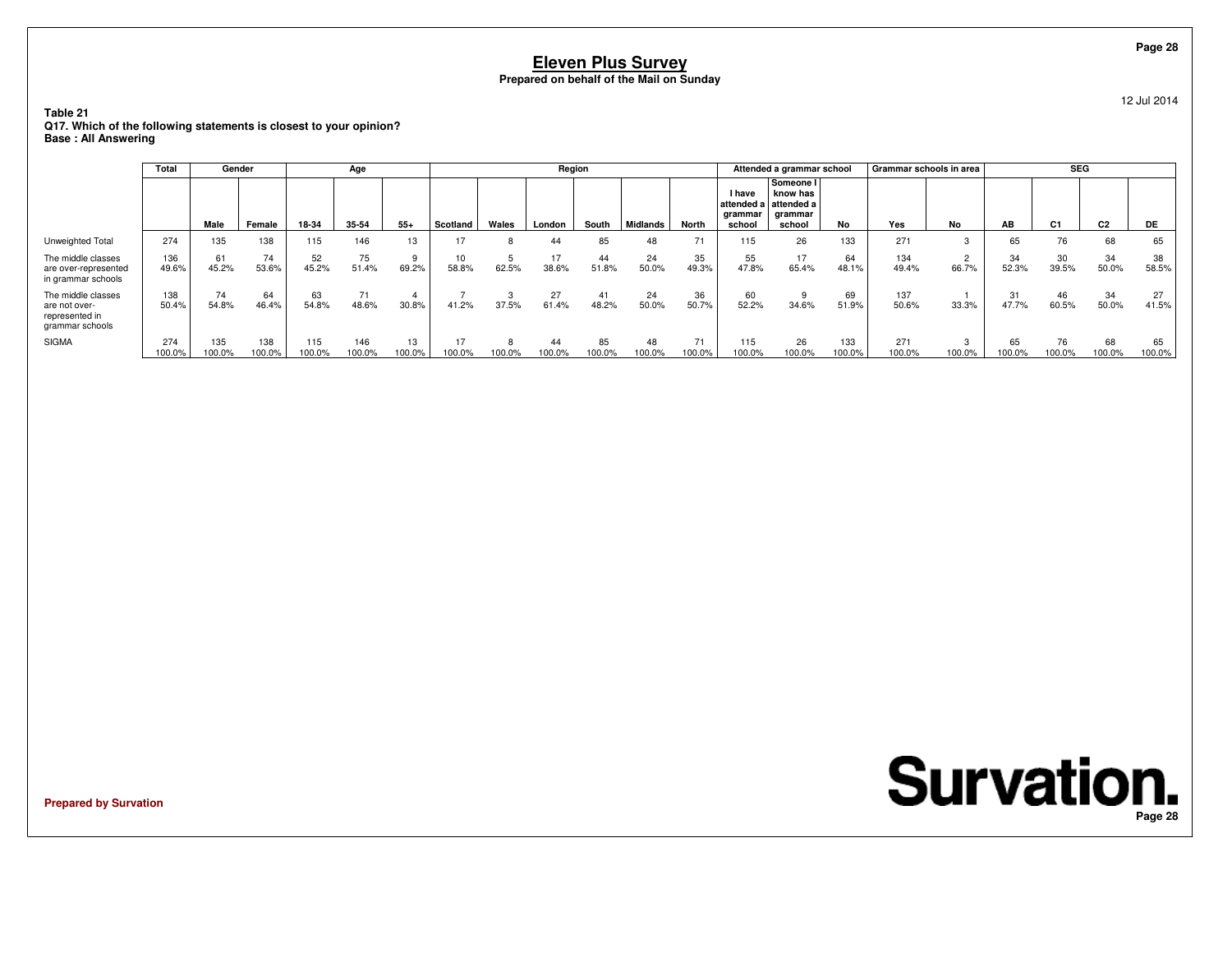**Table 21 Q17. Which of the following statements is closest to your opinion?Base : All Answering**

|                                                                          | Total         | Gender        |               |               | Age             |              |             |        | Region       |              |                 |                |                                           | Attended a grammar school                                |                  | Grammar schools in area |        |              | <b>SEG</b>     |                |              |
|--------------------------------------------------------------------------|---------------|---------------|---------------|---------------|-----------------|--------------|-------------|--------|--------------|--------------|-----------------|----------------|-------------------------------------------|----------------------------------------------------------|------------------|-------------------------|--------|--------------|----------------|----------------|--------------|
|                                                                          |               | Male          | Female        | 18-34         | 35-54           | $55+$        | Scotland    | Wales  | London       | South        | <b>Midlands</b> | North          | I have<br>attended a<br>grammar<br>school | Someone I<br>know has<br>attended a<br>grammar<br>school | No               | Yes                     | No     | AB           | C <sub>1</sub> | C <sub>2</sub> | DE.          |
| Unweighted Total                                                         | 274           | 135           | 138           | 115           | 146             | 13           | 17          |        | 44           | 85           | 48              | 7 <sup>1</sup> | 115                                       | 26                                                       | 133              | 271                     |        | 65           | 76             | 68             | 65           |
| The middle classes<br>are over-represented<br>in grammar schools         | 136<br>49.6%  | 61<br>45.2%   | 74<br>53.6%   | 52<br>45.2%   | 75<br>51.4%     | 9<br>69.2%   | 10<br>58.8% | 62.5%  | 17<br>38.6%  | 44<br>51.8%  | 24<br>50.0%     | 35<br>49.3%    | 55<br>47.8%                               | 17<br>65.4%                                              | 64<br>48.1%      | 134<br>49.4%            | 66.7%  | 34<br>52.3%  | 30<br>39.5%    | 34<br>50.0%    | 38<br>58.5%  |
| The middle classes<br>are not over-<br>represented in<br>grammar schools | 138<br>50.4%  | 74<br>54.8%   | 64<br>46.4%   | 63<br>54.8%   | 71<br>48.6%     | 4<br>30.8%   | 41.2%       | 37.5%  | 27<br>61.4%  | 41<br>48.2%  | 24<br>50.0%     | 36<br>50.7%    | 60<br>52.2%                               | 34.6%                                                    | 69<br>51.9%      | 137<br>50.6%            | 33.3%  | 31<br>47.7%  | 46<br>60.5%    | 34<br>50.0%    | 27<br>41.5%  |
| <b>SIGMA</b>                                                             | 274<br>100.0% | 135<br>100.0% | 138<br>100.0% | 115<br>100.0% | 146<br>$00.0\%$ | 13<br>100.0% | 100.0%      | 100.0% | 44<br>100.0% | 85<br>100.0% | 48<br>00.0%     | 71<br>00.0%    | 115<br>100.0%                             | 26<br>100.0%                                             | 133<br>$100.0\%$ | 271<br>100.0%           | 100.0% | 65<br>100.0% | 76<br>100.0%   | 68<br>100.0%   | 65<br>100.0% |

**Prepared by Survation**



**Page 28**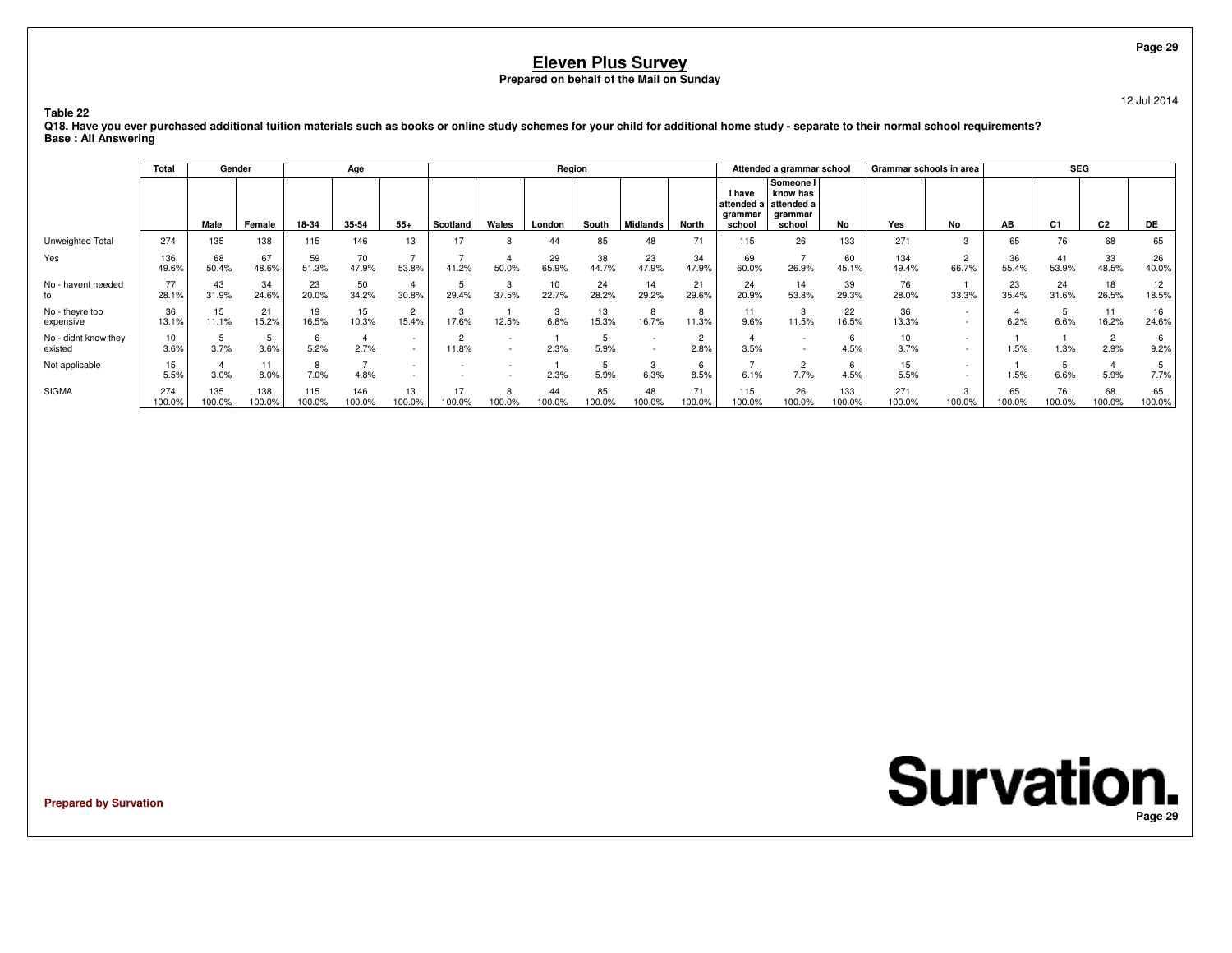12 Jul 2014

**Table 22**

 **Q18. Have you ever purchased additional tuition materials such as books or online study schemes for your child for additional home study - separate to their normal school requirements?Base : All Answering**

|                                 | <b>Total</b>  | Gender        |               |               | Age           |                         |                 |                                                      | Region       |              |                                                      |                        |                                                | Attended a grammar school                                |               | Grammar schools in area |                          |              | <b>SEG</b>     |                        |              |
|---------------------------------|---------------|---------------|---------------|---------------|---------------|-------------------------|-----------------|------------------------------------------------------|--------------|--------------|------------------------------------------------------|------------------------|------------------------------------------------|----------------------------------------------------------|---------------|-------------------------|--------------------------|--------------|----------------|------------------------|--------------|
|                                 |               | Male          | Female        | 18-34         | 35-54         | $55+$                   | Scotland        | Wales                                                | London       | South        | <b>Midlands</b>                                      | North                  | <b>I</b> have<br>attended<br>arammar<br>school | Someone I<br>know has<br>attended a<br>arammar<br>school | No            | Yes                     | No                       | AB           | C <sub>1</sub> | C <sub>2</sub>         | DE.          |
| Unweighted Total                | 274           | 135           | 138           | 115           | 146           | 13                      | 17              | R                                                    | 44           | 85           | 48                                                   | 71                     | 115                                            | 26                                                       | 133           | 271                     | 3                        | 65           | 76             | 68                     | 65           |
| Yes                             | 136<br>49.6%  | 68<br>50.4%   | 67<br>48.6%   | 59<br>51.3%   | 70<br>47.9%   | $\rightarrow$<br>53.8%  | 41.2%           | 50.0%                                                | 29<br>65.9%  | 38<br>44.7%  | 23<br>47.9%                                          | 34<br>47.9%            | 69<br>60.0%                                    | 26.9%                                                    | 60<br>45.1%   | 134<br>49.4%            | $\overline{2}$<br>66.7%  | 36<br>55.4%  | 41<br>53.9%    | 33<br>48.5%            | 26<br>40.0%  |
| No - havent needed<br>to        | 77<br>28.1%   | 43<br>31.9%   | 34<br>24.6%   | 23<br>20.0%   | 50<br>34.2%   | 30.8%                   | 29.4%           | 37.5%                                                | 10<br>22.7%  | 24<br>28.2%  | 14<br>29.2%                                          | 21<br>29.6%            | 24<br>20.9%                                    | 14<br>53.8%                                              | 39<br>29.3%   | 76<br>28.0%             | 33.3%                    | 23<br>35.4%  | 24<br>31.6%    | 18<br>26.5%            | 12<br>18.5%  |
| No - theyre too<br>expensive    | 36<br>13.1%   | 15<br>11.1%   | 21<br>15.2%   | 19<br>16.5%   | 15<br>10.3%   | $\overline{2}$<br>15.4% | 17.6%           | 12.5%                                                | 6.8%         | 13<br>15.3%  | 8<br>16.7%                                           | 8<br>11.3%             | 11<br>9.6%                                     | 3<br>11.5%                                               | 22<br>16.5%   | 36<br>13.3%             |                          | 6.2%         | 6.6%           | 11<br>16.2%            | 16<br>24.6%  |
| No - didnt know they<br>existed | 10<br>3.6%    | 3.7%          | 3.6%          | 6<br>5.2%     | 2.7%          | $\sim$<br>$\sim$        | $\sim$<br>11.8% | $\overline{\phantom{a}}$<br>$\overline{\phantom{a}}$ | 2.3%         | 5.9%         | $\overline{\phantom{a}}$<br>$\overline{\phantom{a}}$ | $\overline{2}$<br>2.8% | 3.5%                                           | $\sim$<br>$\sim$                                         | 6<br>4.5%     | 10<br>3.7%              | $\overline{\phantom{a}}$ | 1.5%         | 1.3%           | $\overline{2}$<br>2.9% | 9.2%         |
| Not applicable                  | 15<br>5.5%    | 3.0%          | 11<br>8.0%    | 8<br>7.0%     | 4.8%          | $\sim$<br>$\sim$        |                 |                                                      | 2.3%         | 5.9%         | 3<br>6.3%                                            | 6<br>8.5%              | 6.1%                                           | 2<br>7.7%                                                | 6<br>4.5%     | 15<br>5.5%              |                          | 1.5%         | 6.6%           | 5.9%                   | 7.7%         |
| <b>SIGMA</b>                    | 274<br>100.0% | 135<br>100.0% | 138<br>100.0% | 115<br>100.0% | 146<br>100.0% | 13<br>100.0%            | 17<br>00.0%     | 8<br>100.0%                                          | 44<br>100.0% | 85<br>100.0% | 48<br>100.0%                                         | 71<br>00.0%            | 115<br>100.0%                                  | 26<br>100.0%                                             | 133<br>100.0% | 271<br>100.0%           | 3<br>100.0%              | 65<br>100.0% | 76<br>100.0%   | 68<br>100.0%           | 65<br>100.0% |

**Prepared by Survation**

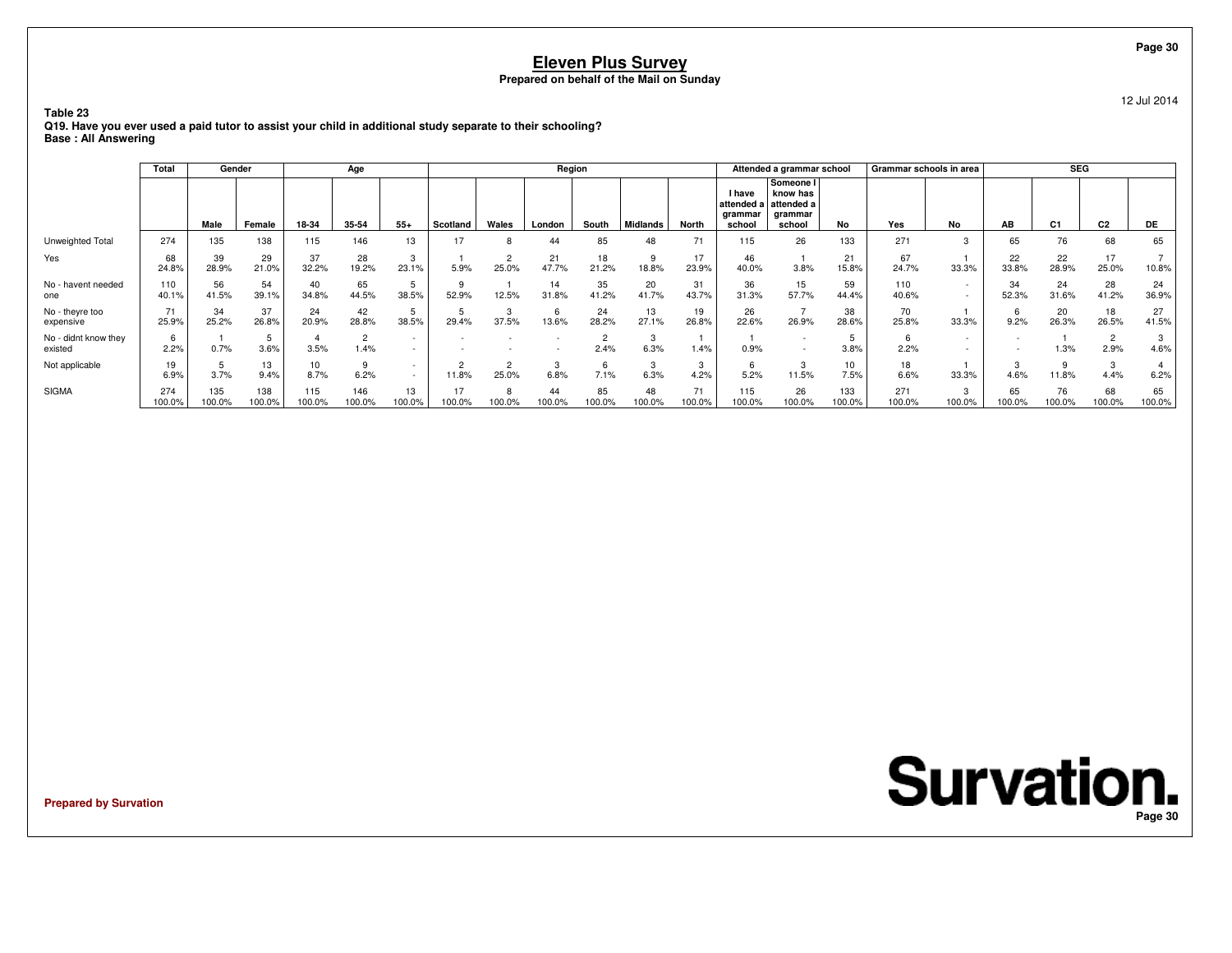12 Jul 2014

**Table 23 Q19. Have you ever used a paid tutor to assist your child in additional study separate to their schooling?Base : All Answering**

|                                 | Total         | Gender        |               |                         | Age                    |                                    |             |                   | Region       |              |                 |              |                                    | Attended a grammar school                                           |               |               | Grammar schools in area |                          | <b>SEG</b>     |                        |              |
|---------------------------------|---------------|---------------|---------------|-------------------------|------------------------|------------------------------------|-------------|-------------------|--------------|--------------|-----------------|--------------|------------------------------------|---------------------------------------------------------------------|---------------|---------------|-------------------------|--------------------------|----------------|------------------------|--------------|
|                                 |               | Male          | Female        | 18-34                   | 35-54                  | $55+$                              | Scotland    | Wales             | London       | South        | <b>Midlands</b> | North        | <b>I</b> have<br>arammar<br>school | Someone I<br>know has<br>attended a attended a<br>grammar<br>school | No            | Yes           | No                      | AB                       | C <sub>1</sub> | C <sub>2</sub>         | <b>DE</b>    |
| Unweighted Total                | 274           | 135           | 138           | 115                     | 146                    | 13                                 | 17          | 8                 | 44           | 85           | 48              | 71           | 115                                | 26                                                                  | 133           | 271           | 3                       | 65                       | 76             | 68                     | 65           |
| Yes                             | 68<br>24.8%   | 39<br>28.9%   | 29<br>21.0%   | 37<br>32.2%             | 28<br>19.2%            | 3<br>23.1%                         | 5.9%        | 25.0%             | 21<br>47.7%  | 18<br>21.2%  | 9<br>18.8%      | 17<br>23.9%  | 46<br>40.0%                        | 3.8%                                                                | 21<br>15.8%   | 67<br>24.7%   | 33.3%                   | 22<br>33.8%              | 22<br>28.9%    | 17<br>25.0%            | 10.8%        |
| No - havent needed<br>one       | 110<br>40.1%  | 56<br>41.5%   | 54<br>39.1%   | 40<br>34.8%             | 65<br>44.5%            | 38.5%                              | 52.9%       | 12.5%             | 14<br>31.8%  | 35<br>41.2%  | 20<br>41.7%     | 31<br>43.7%  | 36<br>31.3%                        | 15<br>57.7%                                                         | 59<br>44.4%   | 110<br>40.6%  |                         | 34<br>52.3%              | 24<br>31.6%    | 28<br>41.2%            | 24<br>36.9%  |
| No - theyre too<br>expensive    | 71<br>25.9%   | 34<br>25.2%   | 37<br>26.8%   | 24<br>20.9%             | 42<br>28.8%            | 5<br>38.5%                         | 29.4%       | 3<br>37.5%        | 13.6%        | 24<br>28.2%  | 13<br>27.1%     | 19<br>26.8%  | 26<br>22.6%                        | 26.9%                                                               | 38<br>28.6%   | 70<br>25.8%   | 33.3%                   | b<br>9.2%                | 20<br>26.3%    | 18<br>26.5%            | 27<br>41.5%  |
| No - didnt know they<br>existed | 2.2%          | 0.7%          | 3.6%          | 3.5%                    | $\overline{2}$<br>1.4% | $\overline{\phantom{a}}$           |             |                   |              | 2.4%         | 3<br>6.3%       | 1.4%         | 0.9%                               | $\overline{\phantom{0}}$                                            | 3.8%          | 2.2%          |                         | $\overline{\phantom{a}}$ | 1.3%           | $\overline{2}$<br>2.9% | 3<br>4.6%    |
| Not applicable                  | 19<br>6.9%    | 3.7%          | 13<br>9.4%    | 10 <sup>1</sup><br>8.7% | 9<br>6.2%              | $\sim$<br>$\overline{\phantom{a}}$ | 11.8%       | $\Omega$<br>25.0% | 3<br>6.8%    | 6<br>7.1%    | 3<br>6.3%       | 3<br>4.2%    | 5.2%                               | 3<br>11.5%                                                          | 10<br>7.5%    | 18<br>6.6%    | 33.3%                   | 3<br>4.6%                | 11.8%          | 3<br>4.4%              | 6.2%         |
| <b>SIGMA</b>                    | 274<br>100.0% | 135<br>100.0% | 138<br>100.0% | 115<br>100.0%           | 146<br>100.0%          | 13<br>100.0%                       | 17<br>00.0% | 8<br>100.0%       | 44<br>100.0% | 85<br>100.0% | 48<br>100.0%    | 71<br>100.0% | 115<br>100.0%                      | 26<br>100.0%                                                        | 133<br>100.0% | 271<br>100.0% | 3<br>100.0%             | 65<br>100.0%             | 76<br>100.0%   | 68<br>100.0%           | 65<br>100.0% |

**Prepared by Survation**

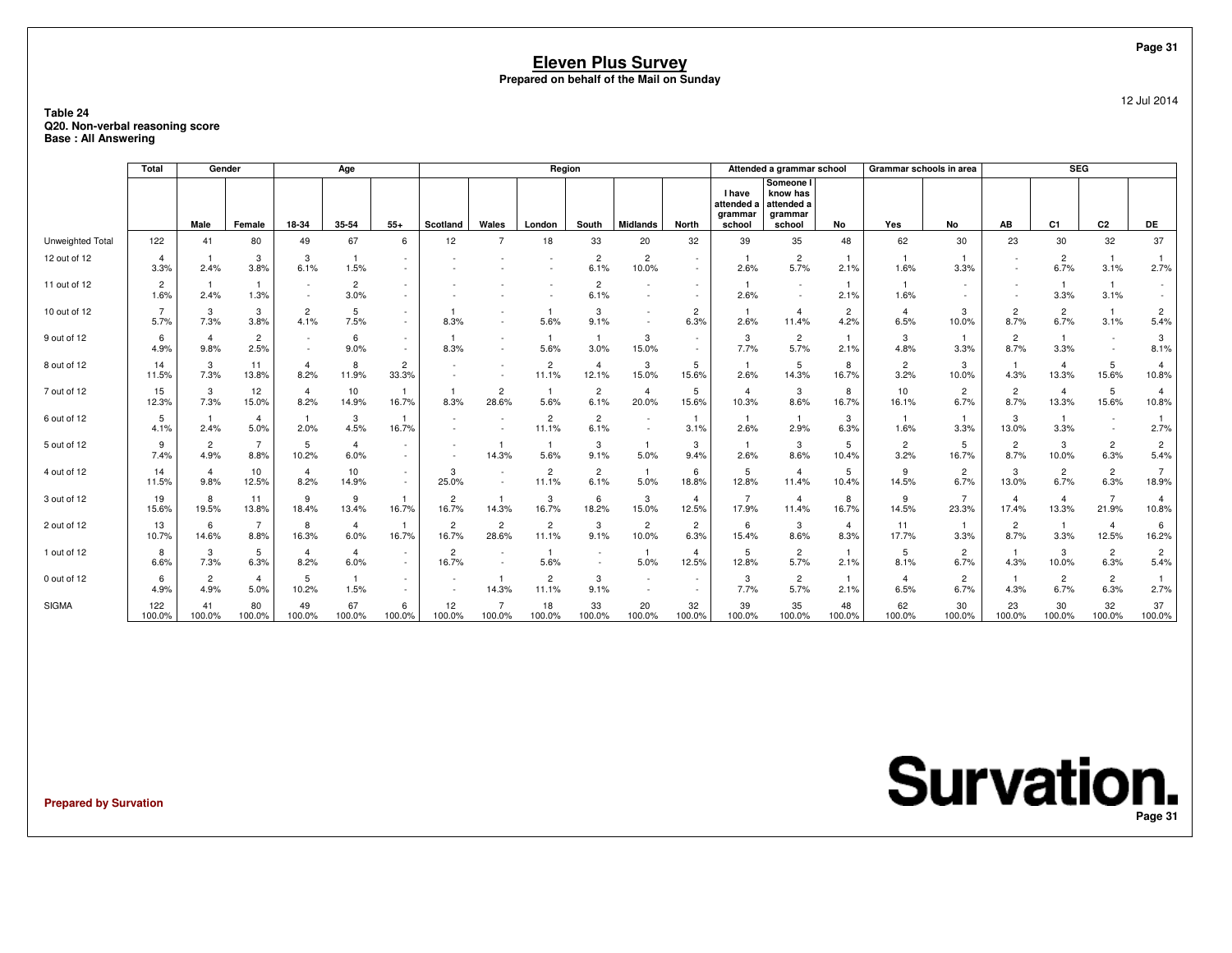### **Table 24 Q20. Non-verbal reasoning scoreBase : All Answering**

|                  | Total                  |                        | Gender                 |                        | Age                       |                         |                          |                                                      | Region                  |                                 |                          |                          |                                         | Attended a grammar school                                |                        | Grammar schools in area |                         |                         | <b>SEG</b>                   |                         |                         |
|------------------|------------------------|------------------------|------------------------|------------------------|---------------------------|-------------------------|--------------------------|------------------------------------------------------|-------------------------|---------------------------------|--------------------------|--------------------------|-----------------------------------------|----------------------------------------------------------|------------------------|-------------------------|-------------------------|-------------------------|------------------------------|-------------------------|-------------------------|
|                  |                        | Male                   | Female                 | 18-34                  | 35-54                     | $55+$                   | Scotland                 | Wales                                                | London                  | South                           | <b>Midlands</b>          | North                    | I have<br>attended<br>grammar<br>school | Someone I<br>know has<br>attended a<br>grammar<br>school | No                     | Yes                     | No                      | AB                      | C <sub>1</sub>               | C2                      | DE                      |
| Unweighted Total | 122                    | 41                     | 80                     | 49                     | 67                        | 6                       | 12                       |                                                      | 18                      | 33                              | 20                       | 32                       | 39                                      | 35                                                       | 48                     | 62                      | 30                      | 23                      | 30                           | 32                      | 37                      |
| 12 out of 12     | $\overline{a}$         |                        | 3                      | 3                      | -1                        |                         |                          |                                                      |                         | $\overline{2}$                  | $\overline{2}$           |                          |                                         | $\overline{2}$                                           |                        |                         |                         |                         | $\overline{2}$               |                         |                         |
|                  | 3.3%                   | 2.4%                   | 3.8%                   | 6.1%                   | 1.5%                      |                         |                          |                                                      |                         | 6.1%                            | 10.0%                    |                          | 2.6%                                    | 5.7%                                                     | 2.1%                   | 1.6%                    | 3.3%                    |                         | 6.7%                         | 3.1%                    | 2.7%                    |
| 11 out of 12     | 2<br>1.6%              | 2.4%                   | -1<br>1.3%             |                        | $\overline{2}$<br>3.0%    |                         |                          |                                                      |                         | $\overline{2}$<br>6.1%          |                          | $\overline{\phantom{a}}$ | $\mathbf{1}$<br>2.6%                    | $\overline{\phantom{a}}$<br>$\sim$                       | -1<br>2.1%             | - 1<br>1.6%             | $\sim$                  |                         | 3.3%                         | -1<br>3.1%              |                         |
| 10 out of 12     | $\overline{7}$<br>5.7% | 3<br>7.3%              | 3<br>3.8%              | $\overline{c}$<br>4.1% | 5<br>7.5%                 |                         | 8.3%                     | $\overline{\phantom{a}}$<br>$\overline{\phantom{a}}$ | 5.6%                    | 3<br>9.1%                       |                          | 2<br>6.3%                | $\overline{\mathbf{1}}$<br>2.6%         | -4<br>11.4%                                              | $\overline{2}$<br>4.2% | $\overline{4}$<br>6.5%  | 3<br>10.0%              | $\overline{c}$<br>8.7%  | $\overline{2}$<br>6.7%       | $\overline{1}$<br>3.1%  | $\overline{2}$<br>5.4%  |
| 9 out of 12      | 6<br>4.9%              | $\overline{4}$<br>9.8% | $\overline{2}$<br>2.5% |                        | 6<br>9.0%                 | $\sim$<br>$\sim$        | 8.3%                     | $\overline{\phantom{a}}$<br>$\sim$                   | -1<br>5.6%              | $\overline{\mathbf{1}}$<br>3.0% | 3<br>15.0%               |                          | 3<br>7.7%                               | $\overline{2}$<br>5.7%                                   | -1<br>2.1%             | 3<br>4.8%               | $\mathbf{1}$<br>3.3%    | $\overline{c}$<br>8.7%  | -1<br>3.3%                   | $\sim$<br>$\sim$        | 3<br>8.1%               |
| 8 out of 12      | 14<br>11.5%            | 3<br>7.3%              | 11<br>13.8%            | $\overline{4}$<br>8.2% | 8<br>11.9%                | $\overline{c}$<br>33.3% |                          | $\overline{\phantom{a}}$                             | $\overline{2}$<br>11.1% | $\overline{4}$<br>12.1%         | 3<br>15.0%               | 5<br>15.6%               | $\overline{1}$<br>2.6%                  | 5<br>14.3%                                               | 8<br>16.7%             | $\overline{c}$<br>3.2%  | 3<br>10.0%              | $\overline{1}$<br>4.3%  | $\overline{4}$<br>13.3%      | 5<br>15.6%              | $\overline{4}$<br>10.8% |
| 7 out of 12      | 15<br>12.3%            | 3<br>7.3%              | 12<br>15.0%            | $\overline{4}$<br>8.2% | 10<br>14.9%               | 16.7%                   | 8.3%                     | $\overline{c}$<br>28.6%                              | -1<br>5.6%              | $\overline{c}$<br>6.1%          | 4<br>20.0%               | 5<br>15.6%               | $\overline{4}$<br>10.3%                 | 3<br>8.6%                                                | 8<br>16.7%             | 10<br>16.1%             | $\overline{c}$<br>6.7%  | $\overline{c}$<br>8.7%  | $\overline{4}$<br>13.3%      | 5<br>15.6%              | 4<br>10.8%              |
| 6 out of 12      | 5<br>4.1%              | 2.4%                   | $\overline{4}$<br>5.0% | 2.0%                   | 3<br>4.5%                 | 16.7%                   |                          |                                                      | 2<br>11.1%              | $\overline{2}$<br>6.1%          |                          | -1<br>3.1%               | $\overline{1}$<br>2.6%                  | 2.9%                                                     | 3<br>6.3%              | - 1<br>1.6%             | -1<br>3.3%              | 3<br>13.0%              | $\mathbf{1}$<br>3.3%         | $\sim$<br>$\sim$        | 2.7%                    |
| 5 out of 12      | 9<br>7.4%              | $\overline{2}$<br>4.9% | $\overline{7}$<br>8.8% | 5<br>10.2%             | $\overline{4}$<br>6.0%    |                         |                          | 14.3%                                                | 5.6%                    | 3<br>9.1%                       | 5.0%                     | 3<br>9.4%                | $\overline{1}$<br>2.6%                  | 3<br>8.6%                                                | 5<br>10.4%             | $\overline{2}$<br>3.2%  | 5<br>16.7%              | $\overline{c}$<br>8.7%  | 3<br>10.0%                   | $\overline{2}$<br>6.3%  | $\overline{2}$<br>5.4%  |
| 4 out of 12      | 14<br>11.5%            | $\overline{4}$<br>9.8% | 10<br>12.5%            | $\overline{4}$<br>8.2% | 10 <sup>10</sup><br>14.9% | $\sim$                  | 3<br>25.0%               | $\overline{\phantom{a}}$<br>$\overline{\phantom{a}}$ | $\overline{2}$<br>11.1% | $\overline{2}$<br>6.1%          | 5.0%                     | 6<br>18.8%               | 5<br>12.8%                              | $\overline{4}$<br>11.4%                                  | 5<br>10.4%             | 9<br>14.5%              | $\overline{c}$<br>6.7%  | 3<br>13.0%              | $\overline{c}$<br>6.7%       | $\overline{2}$<br>6.3%  | 7<br>18.9%              |
| 3 out of 12      | 19<br>15.6%            | 8<br>19.5%             | 11<br>13.8%            | 9<br>18.4%             | 9<br>13.4%                | 16.7%                   | $\overline{2}$<br>16.7%  | $\mathbf{1}$<br>14.3%                                | 3<br>16.7%              | 6<br>18.2%                      | 3<br>15.0%               | $\overline{4}$<br>12.5%  | $\overline{7}$<br>17.9%                 | $\overline{4}$<br>11.4%                                  | 8<br>16.7%             | 9<br>14.5%              | $\overline{7}$<br>23.3% | $\overline{4}$<br>17.4% | $\overline{\bf{4}}$<br>13.3% | $\overline{7}$<br>21.9% | 4<br>10.8%              |
| 2 out of 12      | 13<br>10.7%            | 6<br>14.6%             | $\overline{7}$<br>8.8% | 8<br>16.3%             | $\overline{4}$<br>6.0%    | 16.7%                   | $\overline{c}$<br>16.7%  | $\overline{2}$<br>28.6%                              | 2<br>11.1%              | 3<br>9.1%                       | $\overline{c}$<br>10.0%  | 2<br>6.3%                | 6<br>15.4%                              | 3<br>8.6%                                                | $\overline{4}$<br>8.3% | 11<br>17.7%             | $\mathbf{1}$<br>3.3%    | $\overline{c}$<br>8.7%  | $\mathbf{1}$<br>3.3%         | $\overline{4}$<br>12.5% | 6<br>16.2%              |
| 1 out of 12      | 8<br>6.6%              | 3<br>7.3%              | 5<br>6.3%              | $\overline{4}$<br>8.2% | $\overline{4}$<br>6.0%    | $\sim$                  | $\overline{c}$<br>16.7%  | $\overline{a}$<br>$\overline{\phantom{a}}$           | $\overline{1}$<br>5.6%  |                                 | 5.0%                     | $\overline{4}$<br>12.5%  | 5<br>12.8%                              | $\overline{2}$<br>5.7%                                   | 2.1%                   | 5<br>8.1%               | $\overline{2}$<br>6.7%  | $\mathbf{1}$<br>4.3%    | 3<br>10.0%                   | $\overline{c}$<br>6.3%  | $\overline{2}$<br>5.4%  |
| 0 out of 12      | 6<br>4.9%              | $\overline{2}$<br>4.9% | $\overline{4}$<br>5.0% | -5<br>10.2%            | -1<br>1.5%                |                         | $\overline{\phantom{a}}$ | $\mathbf{1}$<br>14.3%                                | 2<br>11.1%              | 3<br>9.1%                       | $\overline{\phantom{a}}$ | $\sim$                   | 3<br>7.7%                               | $\overline{2}$<br>5.7%                                   | 2.1%                   | $\overline{4}$<br>6.5%  | $\overline{c}$<br>6.7%  | -1<br>4.3%              | $\overline{2}$<br>6.7%       | $\overline{2}$<br>6.3%  | 2.7%                    |
| <b>SIGMA</b>     | 122<br>100.0%          | 41<br>100.0%           | 80<br>100.0%           | 49<br>100.0%           | 67<br>100.0%              | 6<br>100.0%             | 12<br>100.0%             | $\overline{7}$<br>100.0%                             | 18<br>100.0%            | 33<br>100.0%                    | 20<br>100.0%             | 32<br>100.0%             | 39<br>100.0%                            | 35<br>100.0%                                             | 48<br>100.0%           | 62<br>100.0%            | 30<br>100.0%            | 23<br>100.0%            | 30<br>100.0%                 | 32<br>100.0%            | 37<br>100.0%            |

**Prepared by Survation**

**Survation. Page 31**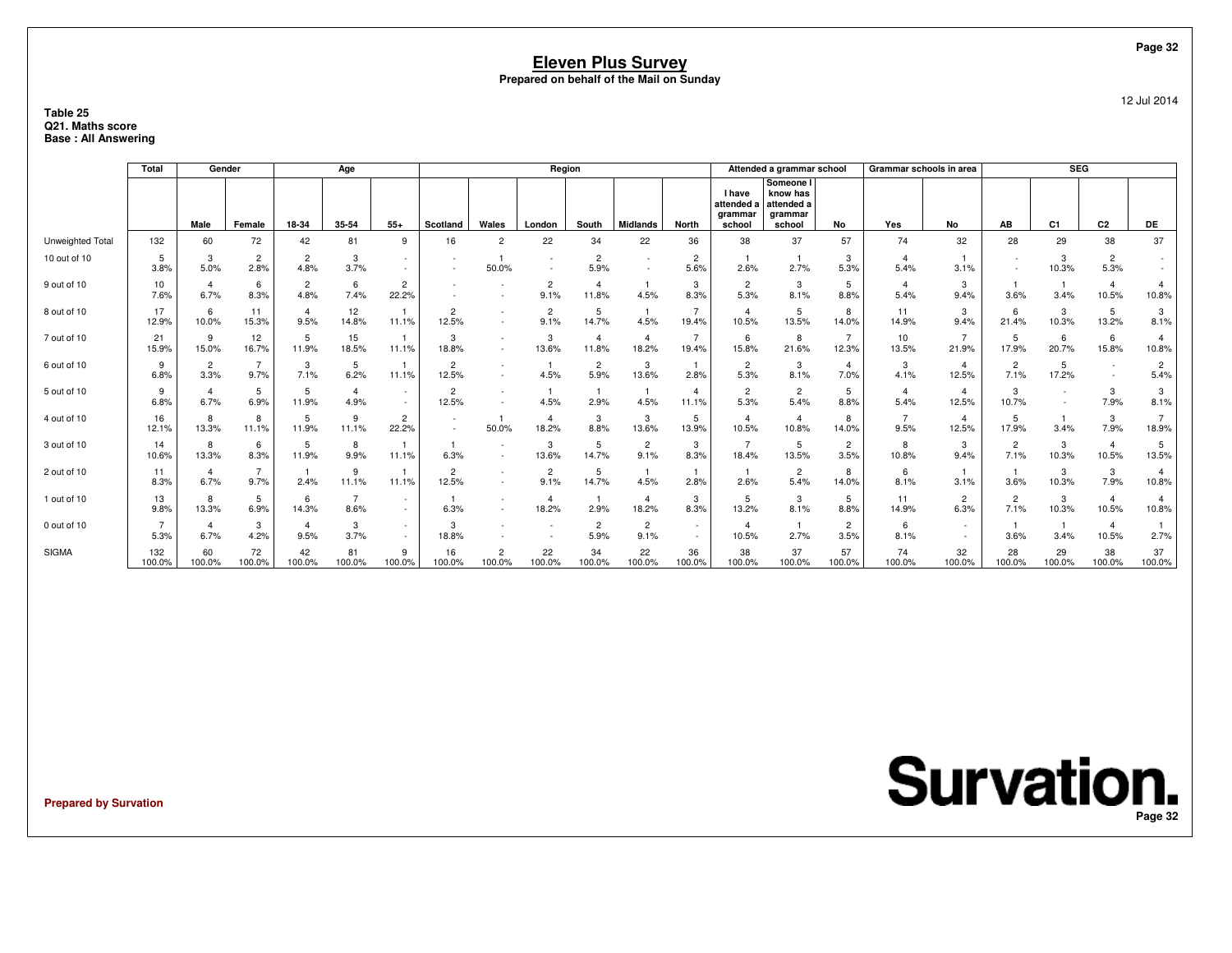### **Table 25 Q21. Maths scoreBase : All Answering**

|                  | <b>Total</b>  | Gender                 |                        |                        | Age                    |                         |                                    |                          | Region                  |                         |                        |                         |                                                  | Attended a grammar school                                |                         | Grammar schools in area |                         |                        | SEG            |                         |                         |
|------------------|---------------|------------------------|------------------------|------------------------|------------------------|-------------------------|------------------------------------|--------------------------|-------------------------|-------------------------|------------------------|-------------------------|--------------------------------------------------|----------------------------------------------------------|-------------------------|-------------------------|-------------------------|------------------------|----------------|-------------------------|-------------------------|
|                  |               | Male                   | Female                 | 18-34                  | 35-54                  | $55+$                   | Scotland                           | Wales                    | London                  | South                   | <b>Midlands</b>        | <b>North</b>            | <b>I</b> have<br>attended a<br>grammar<br>school | Someone I<br>know has<br>attended a<br>grammar<br>school | No                      | Yes                     | No                      | AB                     | C <sub>1</sub> | C <sub>2</sub>          | <b>DE</b>               |
| Unweighted Total | 132           | 60                     | 72                     | 42                     | 81                     | 9                       | 16                                 | $\overline{c}$           | 22                      | 34                      | 22                     | 36                      | 38                                               | 37                                                       | 57                      | 74                      | 32                      | 28                     | 29             | 38                      | 37                      |
| 10 out of 10     | 5<br>3.8%     | 3<br>5.0%              | $\overline{2}$<br>2.8% | $\overline{c}$<br>4.8% | 3<br>3.7%              |                         |                                    | 50.0%                    |                         | $\overline{2}$<br>5.9%  |                        | $\overline{2}$<br>5.6%  | 2.6%                                             | 2.7%                                                     | 3<br>5.3%               | 5.4%                    | 3.1%                    | $\sim$                 | 3<br>10.3%     | $\overline{2}$<br>5.3%  |                         |
| 9 out of 10      | 10<br>7.6%    | $\overline{a}$<br>6.7% | 6<br>8.3%              | $\overline{2}$<br>4.8% | 6<br>7.4%              | $\overline{c}$<br>22.2% |                                    |                          | $\overline{2}$<br>9.1%  | $\overline{4}$<br>11.8% | 4.5%                   | 3<br>8.3%               | $\overline{2}$<br>5.3%                           | 3<br>8.1%                                                | 5<br>8.8%               | 5.4%                    | 3<br>9.4%               | 3.6%                   | 3.4%           | $\overline{4}$<br>10.5% | 10.8%                   |
| 8 out of 10      | 17<br>12.9%   | -6<br>10.0%            | 11<br>15.3%            | $\overline{4}$<br>9.5% | 12<br>14.8%            | 11.1%                   | $\overline{2}$<br>12.5%            | $\sim$                   | $\overline{2}$<br>9.1%  | 5<br>14.7%              | 4.5%                   | 19.4%                   | $\overline{4}$<br>10.5%                          | 5<br>13.5%                                               | 8<br>14.0%              | 11<br>14.9%             | 3<br>9.4%               | 6<br>21.4%             | 3<br>10.3%     | 5<br>13.2%              | 3<br>8.1%               |
| 7 out of 10      | 21<br>15.9%   | 9<br>15.0%             | 12<br>16.7%            | 5<br>11.9%             | 15<br>18.5%            | 11.1%                   | 3<br>18.8%                         | $\sim$<br>$\sim$         | 3<br>13.6%              | $\overline{4}$<br>11.8% | 18.2%                  | $\overline{7}$<br>19.4% | 6<br>15.8%                                       | 8<br>21.6%                                               | $\overline{7}$<br>12.3% | 10<br>13.5%             | $\overline{7}$<br>21.9% | 5<br>17.9%             | 6<br>20.7%     | 6<br>15.8%              | 4<br>10.8%              |
| 6 out of 10      | 9<br>6.8%     | $\overline{2}$<br>3.3% | $\overline{7}$<br>9.7% | 3<br>7.1%              | 5<br>6.2%              | 11.1%                   | $\overline{2}$<br>12.5%            | $\sim$<br>$\sim$         | 4.5%                    | $\overline{2}$<br>5.9%  | 3<br>13.6%             | 2.8%                    | $\overline{2}$<br>5.3%                           | 3<br>8.1%                                                | $\overline{4}$<br>7.0%  | 3<br>4.1%               | $\overline{4}$<br>12.5% | $\overline{2}$<br>7.1% | 5<br>17.2%     | $\sim$                  | $\overline{2}$<br>5.4%  |
| 5 out of 10      | 9<br>6.8%     | $\overline{a}$<br>6.7% | 5<br>6.9%              | 5<br>11.9%             | $\overline{4}$<br>4.9% |                         | $\overline{2}$<br>12.5%            | $\sim$                   | 4.5%                    | 2.9%                    | 4.5%                   | 11.1%                   | $\overline{2}$<br>5.3%                           | $\overline{2}$<br>5.4%                                   | 5<br>8.8%               | 5.4%                    | $\overline{4}$<br>12.5% | 3<br>10.7%             |                | 3<br>7.9%               | 3<br>8.1%               |
| 4 out of 10      | 16<br>12.1%   | 8<br>13.3%             | 8<br>11.1%             | 5<br>11.9%             | 9<br>11.1%             | $\overline{2}$<br>22.2% | $\sim$<br>$\overline{\phantom{a}}$ | $\mathbf{1}$<br>50.0%    | $\overline{4}$<br>18.2% | 3<br>8.8%               | 3<br>13.6%             | 5<br>13.9%              | $\overline{4}$<br>10.5%                          | $\overline{4}$<br>10.8%                                  | 8<br>14.0%              | $\overline{ }$<br>9.5%  | $\overline{4}$<br>12.5% | 5<br>17.9%             | 3.4%           | 3<br>7.9%               | $\overline{7}$<br>18.9% |
| 3 out of 10      | 14<br>10.6%   | 8<br>13.3%             | 6<br>8.3%              | 5<br>11.9%             | 8<br>9.9%              | 11.1%                   | 6.3%                               | $\overline{\phantom{a}}$ | 3<br>13.6%              | 5<br>14.7%              | $\overline{c}$<br>9.1% | 3<br>8.3%               | $\overline{7}$<br>18.4%                          | 5<br>13.5%                                               | $\overline{c}$<br>3.5%  | 8<br>10.8%              | 3<br>9.4%               | $\overline{2}$<br>7.1% | 3<br>10.3%     | $\overline{4}$<br>10.5% | 5<br>13.5%              |
| 2 out of 10      | 11<br>8.3%    | $\overline{a}$<br>6.7% | 7<br>9.7%              | 2.4%                   | 9<br>11.1%             | 11.1%                   | $\overline{2}$<br>12.5%            | $\sim$<br>$\overline{a}$ | $\overline{2}$<br>9.1%  | 5<br>14.7%              | 4.5%                   | 2.8%                    | 2.6%                                             | $\overline{2}$<br>5.4%                                   | 8<br>14.0%              | -6<br>8.1%              | 3.1%                    | 3.6%                   | 3<br>10.3%     | 3<br>7.9%               | 4<br>10.8%              |
| 1 out of 10      | 13<br>9.8%    | 8<br>13.3%             | 5<br>6.9%              | 6<br>14.3%             | $\overline{7}$<br>8.6% | $\sim$<br>$\sim$        | 6.3%                               | $\sim$                   | $\overline{4}$<br>18.2% | 2.9%                    | 4<br>18.2%             | 3<br>8.3%               | 5<br>13.2%                                       | 3<br>8.1%                                                | 5<br>8.8%               | 11<br>14.9%             | 2<br>6.3%               | $\overline{2}$<br>7.1% | 3<br>10.3%     | $\overline{4}$<br>10.5% | $\overline{a}$<br>10.8% |
| 0 out of 10      | 5.3%          | -4<br>6.7%             | 3<br>4.2%              | 4<br>9.5%              | 3<br>3.7%              | $\sim$                  | 3<br>18.8%                         |                          |                         | $\overline{2}$<br>5.9%  | $\overline{2}$<br>9.1% | ٠                       | $\overline{4}$<br>10.5%                          | 2.7%                                                     | $\overline{2}$<br>3.5%  | 6<br>8.1%               |                         | 3.6%                   | -1<br>3.4%     | $\overline{4}$<br>10.5% | 2.7%                    |
| <b>SIGMA</b>     | 132<br>100.0% | 60<br>100.0%           | 72<br>100.0%           | 42<br>100.0%           | 81<br>100.0%           | 9<br>100.0%             | 16<br>100.0%                       | $\overline{c}$<br>100.0% | 22<br>100.0%            | 34<br>100.0%            | 22<br>100.0%           | 36<br>100.0%            | 38<br>100.0%                                     | 37<br>100.0%                                             | 57<br>100.0%            | 74<br>100.0%            | 32<br>100.0%            | 28<br>100.0%           | 29<br>100.0%   | 38<br>100.0%            | 37<br>100.0%            |

**Prepared by Survation**

**Survation. Page 32**

**Page 32**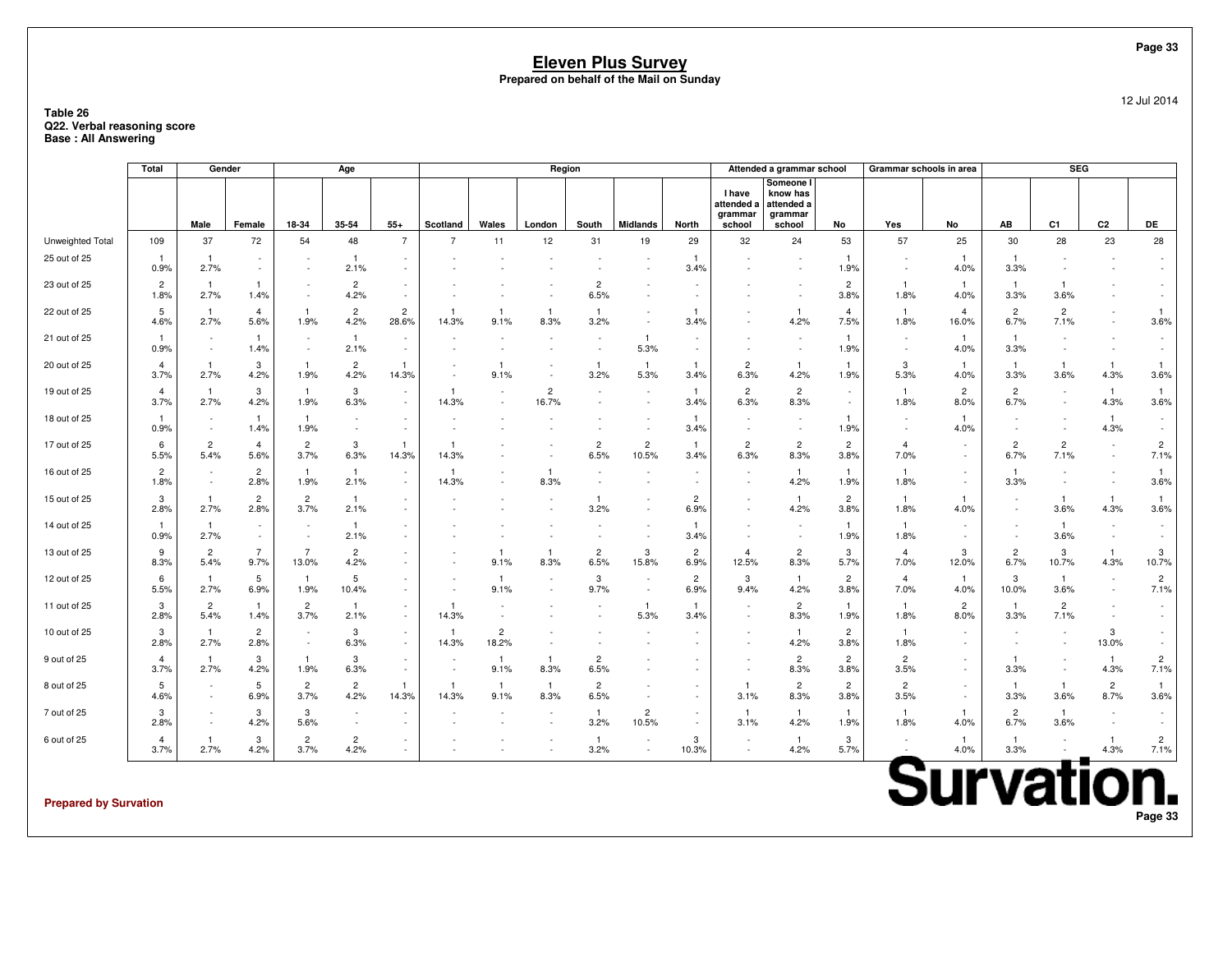### **Table 26 Q22. Verbal reasoning scoreBase : All Answering**

|                              | Total                  | Gender                 |                                                      |                         | Age                    |                                                      |                          |                         | Region                  |                        |                         |                        |                                 | Attended a grammar school                      |                        | Grammar schools in area  |                                 |                          | <b>SEG</b>             |                                                      |                                    |
|------------------------------|------------------------|------------------------|------------------------------------------------------|-------------------------|------------------------|------------------------------------------------------|--------------------------|-------------------------|-------------------------|------------------------|-------------------------|------------------------|---------------------------------|------------------------------------------------|------------------------|--------------------------|---------------------------------|--------------------------|------------------------|------------------------------------------------------|------------------------------------|
|                              |                        | Male                   | Female                                               | 18-34                   | 35-54                  | $55+$                                                | Scotland                 | Wales                   | London                  | South                  | <b>Midlands</b>         |                        | I have<br>attended a<br>grammar | Someone  <br>know has<br>attended a<br>grammar |                        |                          | No                              | AВ                       | C1                     | C2                                                   | DE                                 |
| Unweighted Total             | 109                    | 37                     | 72                                                   | 54                      | 48                     | 7                                                    | $\overline{7}$           | 11                      | 12                      | 31                     | 19                      | North<br>29            | school<br>32                    | school<br>24                                   | No<br>53               | Yes<br>57                | 25                              | 30                       | 28                     | 23                                                   | 28                                 |
| 25 out of 25                 | -1                     | $\mathbf{1}$           |                                                      |                         | $\mathbf{1}$           |                                                      |                          |                         |                         |                        |                         |                        |                                 |                                                | -1                     |                          | $\mathbf{1}$                    |                          |                        |                                                      |                                    |
|                              | 0.9%                   | 2.7%                   | $\overline{\phantom{a}}$                             |                         | 2.1%                   | $\sim$                                               |                          |                         |                         |                        |                         | 3.4%                   |                                 |                                                | 1.9%                   | $\overline{\phantom{a}}$ | 4.0%                            | 3.3%                     |                        |                                                      |                                    |
| 23 out of 25                 | $\overline{2}$<br>1.8% | -1<br>2.7%             | -1<br>1.4%                                           |                         | $\overline{c}$<br>4.2% | $\sim$                                               |                          |                         |                         | $\overline{c}$<br>6.5% |                         |                        |                                 |                                                | $\overline{c}$<br>3.8% | 1.8%                     | -1<br>4.0%                      | -1<br>3.3%               | -1<br>3.6%             |                                                      |                                    |
| 22 out of 25                 | 5<br>4.6%              | -1<br>2.7%             | $\overline{4}$<br>5.6%                               | -1<br>1.9%              | $\overline{c}$<br>4.2% | $\overline{2}$<br>28.6%                              | 14.3%                    | $\mathbf{1}$<br>9.1%    | -1<br>8.3%              | -1<br>3.2%             |                         | 3.4%                   |                                 | -1<br>4.2%                                     | $\overline{4}$<br>7.5% | -1<br>1.8%               | $\overline{4}$<br>16.0%         | $\overline{2}$<br>6.7%   | $\overline{c}$<br>7.1% | $\overline{\phantom{a}}$                             | $\overline{1}$<br>3.6%             |
| 21 out of 25                 | -1<br>0.9%             |                        | $\mathbf{1}$<br>1.4%                                 |                         | $\overline{1}$<br>2.1% | $\overline{\phantom{a}}$                             |                          |                         |                         |                        | $\mathbf{1}$<br>5.3%    |                        |                                 |                                                | $\mathbf{1}$<br>1.9%   |                          | $\overline{1}$<br>4.0%          | $\mathbf{1}$<br>3.3%     |                        |                                                      |                                    |
| 20 out of 25                 | 4<br>3.7%              | -1<br>2.7%             | 3<br>4.2%                                            | -1<br>1.9%              | 2<br>4.2%              | 14.3%                                                | $\overline{\phantom{a}}$ | $\mathbf{1}$<br>9.1%    |                         | -1<br>3.2%             | $\overline{1}$<br>5.3%  | 3.4%                   | $\overline{c}$<br>6.3%          | -1<br>4.2%                                     | -1<br>1.9%             | 3<br>5.3%                | $\mathbf{1}$<br>4.0%            | -1<br>3.3%               | -1<br>3.6%             | $\overline{1}$<br>4.3%                               | $\overline{1}$<br>3.6%             |
| 19 out of 25                 | 4<br>3.7%              | -1<br>2.7%             | 3<br>4.2%                                            | $\mathbf{1}$<br>1.9%    | 3<br>6.3%              | $\overline{\phantom{a}}$<br>$\sim$                   | 14.3%                    |                         | $\overline{2}$<br>16.7% |                        |                         | 3.4%                   | $\overline{2}$<br>6.3%          | $\overline{c}$<br>8.3%                         | $\sim$                 | -1<br>1.8%               | $\overline{c}$<br>8.0%          | $\overline{c}$<br>6.7%   |                        | $\mathbf{1}$<br>4.3%                                 | $\mathbf{1}$<br>3.6%               |
| 18 out of 25                 | 0.9%                   | $\sim$                 | $\overline{1}$<br>1.4%                               | $\mathbf{1}$<br>1.9%    |                        | $\overline{\phantom{a}}$<br>$\sim$                   |                          |                         |                         |                        |                         | 3.4%                   | $\sim$                          |                                                | 1.9%                   | $\overline{\phantom{a}}$ | -1<br>4.0%                      |                          |                        | -1<br>4.3%                                           | $\overline{\phantom{a}}$<br>$\sim$ |
| 17 out of 25                 | 6<br>5.5%              | 2<br>5.4%              | $\overline{4}$<br>5.6%                               | $\overline{2}$<br>3.7%  | 3<br>6.3%              | 14.3%                                                | 14.3%                    |                         |                         | $\overline{c}$<br>6.5% | $\overline{2}$<br>10.5% | 3.4%                   | $\overline{c}$<br>6.3%          | $\overline{c}$<br>8.3%                         | $\overline{c}$<br>3.8% | $\overline{4}$<br>7.0%   |                                 | $\overline{c}$<br>6.7%   | $\overline{c}$<br>7.1% | $\sim$<br>$\sim$                                     | $\overline{c}$<br>7.1%             |
| 16 out of 25                 | $\overline{2}$<br>1.8% | $\sim$                 | $\overline{c}$<br>2.8%                               | -1<br>1.9%              | $\mathbf{1}$<br>2.1%   | $\overline{\phantom{a}}$<br>$\overline{\phantom{a}}$ | 14.3%                    |                         | -1<br>8.3%              |                        |                         | $\sim$                 | $\sim$                          | $\mathbf{1}$<br>4.2%                           | 1<br>1.9%              | -1<br>1.8%               | $\sim$                          | 3.3%                     |                        | $\sim$                                               | $\overline{1}$<br>3.6%             |
| 15 out of 25                 | 3<br>2.8%              | $\overline{1}$<br>2.7% | $\overline{c}$<br>2.8%                               | $\overline{2}$<br>3.7%  | $\overline{1}$<br>2.1% | $\sim$                                               |                          |                         |                         | -1<br>3.2%             |                         | $\overline{c}$<br>6.9% |                                 | $\overline{1}$<br>4.2%                         | $\overline{c}$<br>3.8% | $\mathbf{1}$<br>1.8%     | $\mathbf{1}$<br>4.0%            |                          | $\mathbf{1}$<br>3.6%   | $\overline{1}$<br>4.3%                               | $\overline{1}$<br>3.6%             |
| 14 out of 25                 | -1<br>0.9%             | -1<br>2.7%             | $\overline{\phantom{a}}$<br>$\overline{\phantom{a}}$ |                         | -1<br>2.1%             |                                                      |                          |                         |                         |                        |                         | 1<br>3.4%              |                                 |                                                | 1<br>1.9%              | -1<br>1.8%               | $\sim$                          | $\overline{\phantom{a}}$ | -1<br>3.6%             | $\overline{\phantom{a}}$<br>$\overline{\phantom{a}}$ |                                    |
| 13 out of 25                 | 9<br>8.3%              | $\overline{c}$<br>5.4% | $\overline{7}$<br>9.7%                               | $\overline{7}$<br>13.0% | $\overline{c}$<br>4.2% |                                                      |                          | $\mathbf{1}$<br>9.1%    | -1<br>8.3%              | $\overline{c}$<br>6.5% | 3<br>15.8%              | $\overline{c}$<br>6.9% | $\overline{4}$<br>12.5%         | $\overline{c}$<br>8.3%                         | 3<br>5.7%              | $\overline{4}$<br>7.0%   | 3<br>12.0%                      | $\overline{c}$<br>6.7%   | 3<br>10.7%             | $\overline{1}$<br>4.3%                               | 3<br>10.7%                         |
| 12 out of 25                 | 6<br>5.5%              | -1<br>2.7%             | 5<br>6.9%                                            | $\mathbf{1}$<br>1.9%    | 5<br>10.4%             |                                                      |                          | $\mathbf{1}$<br>9.1%    |                         | 3<br>9.7%              |                         | $\overline{2}$<br>6.9% | 3<br>9.4%                       | $\overline{1}$<br>4.2%                         | $\overline{c}$<br>3.8% | $\overline{4}$<br>7.0%   | $\overline{\mathbf{1}}$<br>4.0% | 3<br>10.0%               | $\mathbf{1}$<br>3.6%   | $\overline{\phantom{a}}$<br>$\overline{\phantom{a}}$ | $\overline{2}$<br>7.1%             |
| 11 out of 25                 | 3<br>2.8%              | $\overline{2}$<br>5.4% | $\mathbf{1}$<br>1.4%                                 | $\overline{2}$<br>3.7%  | -1<br>2.1%             | $\sim$                                               | 14.3%                    |                         |                         |                        | -1<br>5.3%              | 3.4%                   | $\sim$                          | $\overline{2}$<br>8.3%                         | 1<br>1.9%              | -1<br>1.8%               | $\overline{c}$<br>8.0%          | -1<br>3.3%               | $\overline{2}$<br>7.1% | $\overline{\phantom{a}}$<br>$\sim$                   | $\sim$                             |
| 10 out of 25                 | 3<br>2.8%              | $\mathbf{1}$<br>2.7%   | $\overline{c}$<br>2.8%                               |                         | 3<br>6.3%              | $\overline{\phantom{a}}$<br>$\overline{\phantom{a}}$ | 14.3%                    | $\overline{c}$<br>18.2% |                         |                        |                         |                        |                                 | $\mathbf{1}$<br>4.2%                           | $\overline{c}$<br>3.8% | $\mathbf{1}$<br>1.8%     |                                 |                          |                        | 3<br>13.0%                                           |                                    |
| 9 out of 25                  | $\overline{4}$<br>3.7% | $\mathbf{1}$<br>2.7%   | 3<br>4.2%                                            | $\mathbf{1}$<br>1.9%    | 3<br>6.3%              | $\sim$<br>$\sim$                                     | $\overline{\phantom{a}}$ | $\overline{1}$<br>9.1%  | $\overline{1}$<br>8.3%  | $\overline{2}$<br>6.5% |                         |                        |                                 | $\overline{2}$<br>8.3%                         | $\overline{c}$<br>3.8% | $\overline{c}$<br>3.5%   | $\sim$                          | -1<br>3.3%               |                        | $\mathbf{1}$<br>4.3%                                 | $\overline{c}$<br>7.1%             |
| 8 out of 25                  | 5<br>4.6%              |                        | 5<br>6.9%                                            | $\overline{2}$<br>3.7%  | $\overline{c}$<br>4.2% | -1<br>14.3%                                          | 14.3%                    | $\overline{1}$<br>9.1%  | $\overline{1}$<br>8.3%  | $\overline{c}$<br>6.5% |                         |                        | -1<br>3.1%                      | $\overline{c}$<br>8.3%                         | $\overline{c}$<br>3.8% | $\overline{c}$<br>3.5%   | $\sim$                          | -1<br>3.3%               | $\mathbf{1}$<br>3.6%   | $\overline{2}$<br>8.7%                               | $\overline{1}$<br>3.6%             |
| 7 out of 25                  | 3<br>2.8%              |                        | 3<br>4.2%                                            | 3<br>5.6%               |                        |                                                      |                          |                         |                         | -1<br>3.2%             | $\overline{2}$<br>10.5% |                        | -1<br>3.1%                      | -1<br>4.2%                                     | -1<br>1.9%             | 1.8%                     | $\mathbf{1}$<br>4.0%            | $\overline{c}$<br>6.7%   | -1<br>3.6%             |                                                      |                                    |
| 6 out of 25                  | 4<br>3.7%              | -1<br>2.7%             | 3<br>4.2%                                            | $\overline{c}$<br>3.7%  | $\overline{c}$<br>4.2% | $\overline{\phantom{a}}$                             |                          |                         |                         | -1<br>3.2%             |                         | 3<br>10.3%             | $\overline{\phantom{a}}$        | -1<br>4.2%                                     | 3<br>5.7%              |                          | $\mathbf{1}$<br>4.0%            | -1<br>3.3%               |                        | -1<br>4.3%                                           | $\overline{2}$<br>7.1%             |
|                              |                        |                        |                                                      |                         |                        |                                                      |                          |                         |                         |                        |                         |                        |                                 |                                                |                        |                          |                                 |                          |                        |                                                      |                                    |
| <b>Prepared by Survation</b> |                        |                        |                                                      |                         |                        |                                                      |                          |                         |                         |                        |                         |                        |                                 |                                                |                        |                          | <b>Survation.</b>               |                          |                        |                                                      |                                    |

**Prepared by Survation**

12 Jul 2014

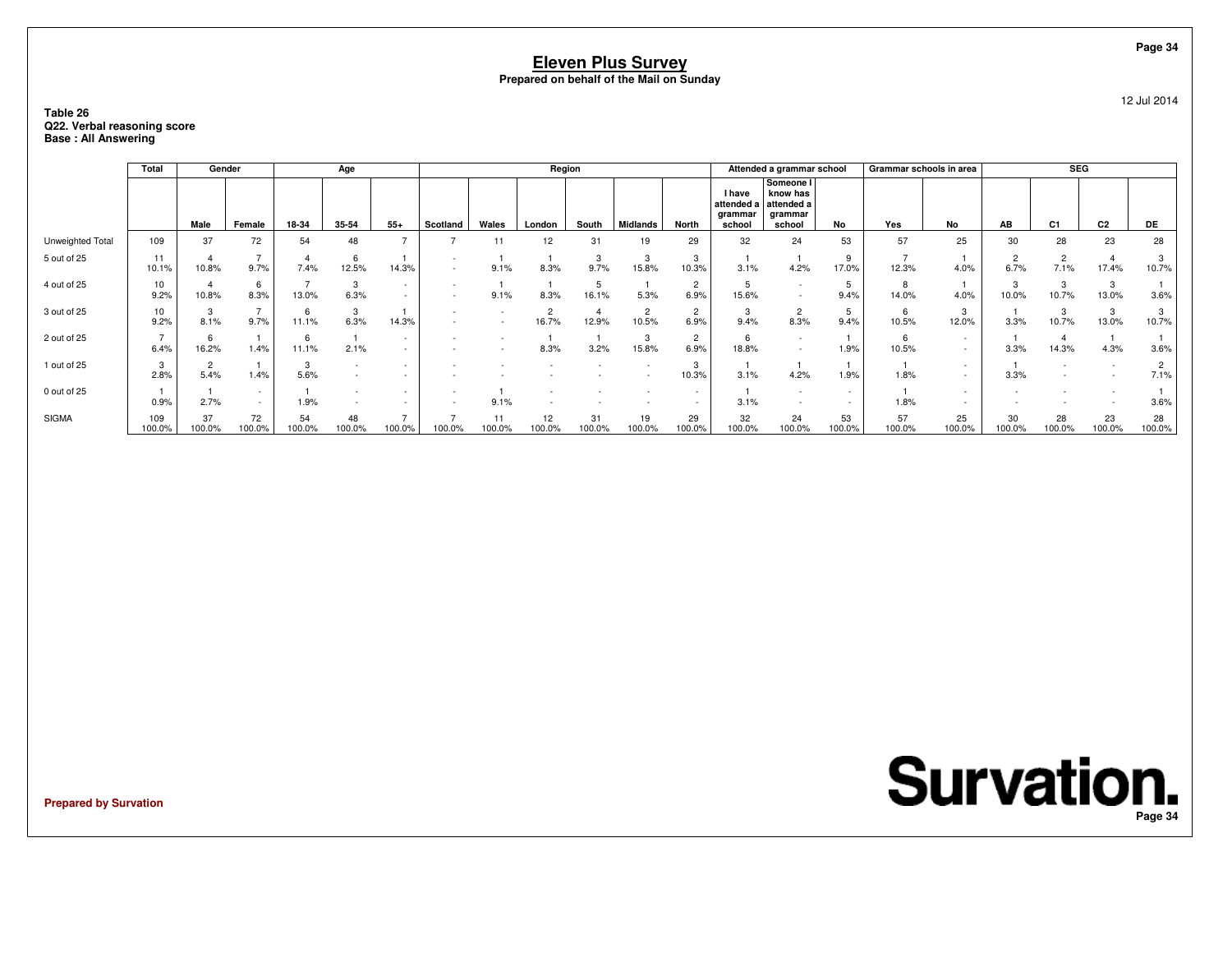### **Table 26 Q22. Verbal reasoning scoreBase : All Answering**

|                  | Total         | Gender             |                        |              | Age          |        |          |              | Region                  |              |                         |                        |                                           | Attended a grammar school                                |              | Grammar schools in area |                  |                        | <b>SEG</b>     |                |                        |
|------------------|---------------|--------------------|------------------------|--------------|--------------|--------|----------|--------------|-------------------------|--------------|-------------------------|------------------------|-------------------------------------------|----------------------------------------------------------|--------------|-------------------------|------------------|------------------------|----------------|----------------|------------------------|
|                  |               | Male               | Female                 | 18-34        | 35-54        | $55+$  | Scotland | Wales        | London                  | South        | <b>Midlands</b>         | North                  | I have<br>attended a<br>grammar<br>school | Someone I<br>know has<br>attended a<br>grammar<br>school | No           | Yes                     | No               | AB                     | C <sub>1</sub> | C <sub>2</sub> | DE                     |
| Unweighted Total | 109           | 37                 | 72                     | 54           | 48           |        |          | 11           | 12                      | 31           | 19                      | 29                     | 32                                        | 24                                                       | 53           | 57                      | 25               | 30                     | 28             | 23             | 28                     |
| 5 out of 25      | 11<br>10.1%   | 10.8%              | -<br>9.7%              | 7.4%         | 6<br>12.5%   | 14.3%  |          | 9.1%         | 8.3%                    | 3<br>9.7%    | 15.8%                   | 3<br>10.3%             | 3.1%                                      | 4.2%                                                     | 17.0%        | 12.3%                   | 4.0%             | $\overline{2}$<br>6.7% | 7.1%           | 17.4%          | 10.7%                  |
| 4 out of 25      | 10<br>9.2%    | 10.8%              | 6<br>8.3%              | 13.0%        | 3<br>6.3%    | $\sim$ |          | 9.1%         | 8.3%                    | 16.1%        | 5.3%                    | $\overline{2}$<br>6.9% | 15.6%                                     |                                                          | 9.4%         | 8<br>14.0%              | 4.0%             | 3<br>10.0%             | 10.7%          | 3<br>13.0%     | 3.6%                   |
| 3 out of 25      | 10<br>9.2%    | 3<br>8.1%          | $\overline{ }$<br>9.7% | ĥ<br>11.1%   | 3<br>6.3%    | 14.3%  |          |              | $\overline{2}$<br>16.7% | 12.9%        | $\overline{2}$<br>10.5% | 2<br>6.9%              | 3<br>9.4%                                 | 2<br>8.3%                                                | 9.4%         | 6<br>10.5%              | 3<br>12.0%       | 3.3%                   | 3<br>10.7%     | 3<br>13.0%     | 3<br>10.7%             |
| 2 out of 25      | 6.4%          | 6<br>16.2%         | 1.4%                   | 6<br>11.1%   | 2.1%         |        |          |              | 8.3%                    | 3.2%         | 15.8%                   | $\overline{2}$<br>6.9% | b<br>18.8%                                |                                                          | 1.9%         | 6<br>10.5%              | $\sim$<br>$\sim$ | 3.3%                   | 14.3%          | 4.3%           | 3.6%                   |
| 1 out of 25      | 2.8%          | $\epsilon$<br>5.4% | 1.4%                   | 3<br>5.6%    |              |        |          |              |                         |              |                         | 10.3%                  | 3.1%                                      | 4.2%                                                     | 1.9%         | 1.8%                    | $\sim$<br>$\sim$ | 3.3%                   |                |                | $\overline{2}$<br>7.1% |
| 0 out of 25      | 0.9%          | 2.7%               | $\sim$<br>$\sim$       | 1.9%         |              |        |          | 9.1%         |                         |              |                         |                        | 3.1%                                      |                                                          |              | 1.8%                    |                  |                        |                |                | 3.6%                   |
| <b>SIGMA</b>     | 109<br>100.0% | 37<br>100.0%       | 72<br>100.0%           | 54<br>100.0% | 48<br>100.0% | 100.0% | 100.0%   | 11<br>100.0% | 12<br>00.0%             | 31<br>100.0% | 19<br>100.0%            | 29<br>100.0%           | 32<br>100.0%                              | 24<br>100.0%                                             | 53<br>100.0% | 57<br>100.0%            | 25<br>100.0%     | 30<br>100.0%           | 28<br>100.0%   | 23<br>100.0%   | 28<br>100.0%           |

**Prepared by Survation**

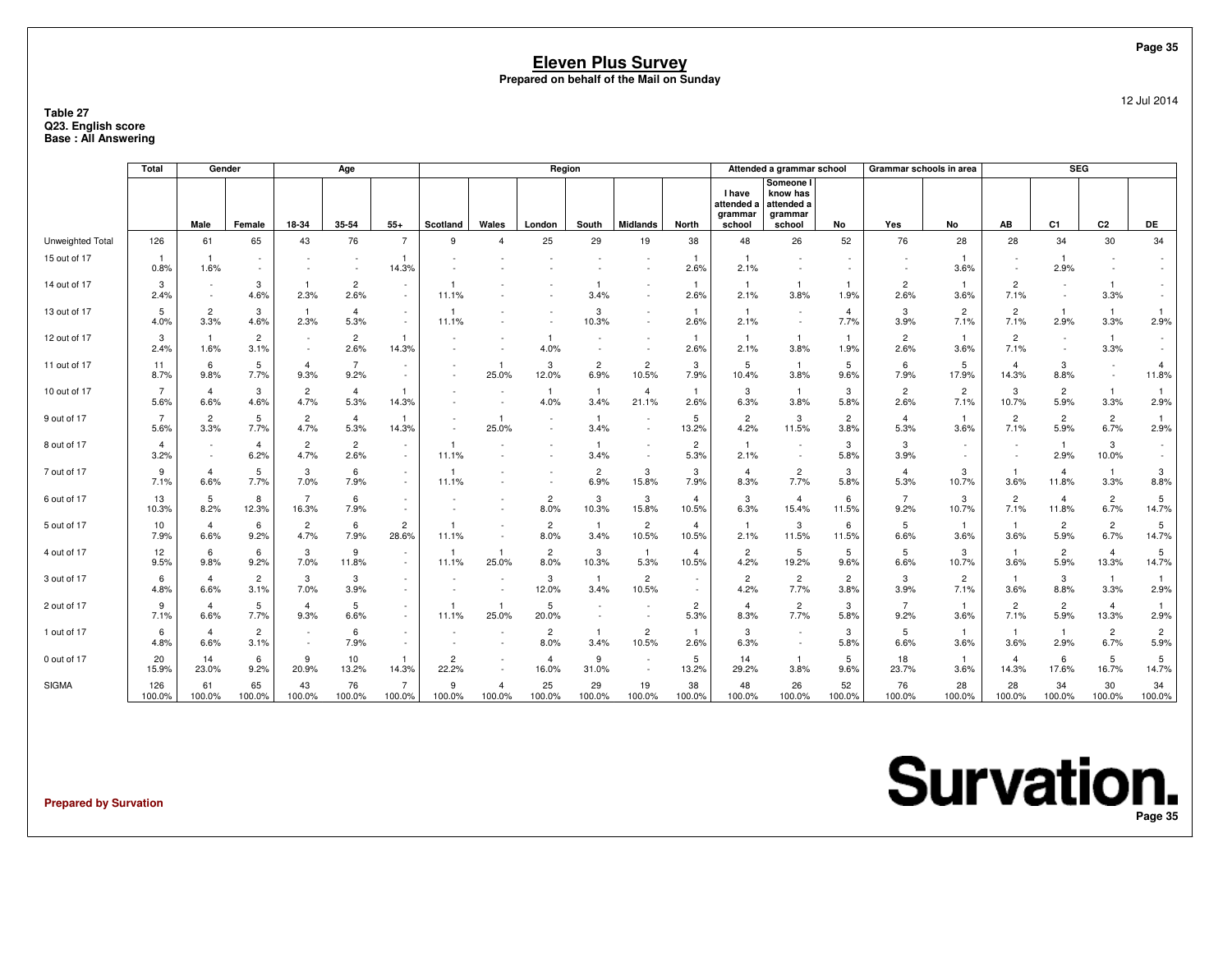### **Table 27 Q23. English scoreBase : All Answering**

|                  | Total                  | Gender                 |                        |                         | Age                    |                                    |                         |                          | Region                   |                        |                         |                         |                                                  | Attended a grammar school                                |                        | Grammar schools in area |                        |                          | SEG                     |                         |                         |
|------------------|------------------------|------------------------|------------------------|-------------------------|------------------------|------------------------------------|-------------------------|--------------------------|--------------------------|------------------------|-------------------------|-------------------------|--------------------------------------------------|----------------------------------------------------------|------------------------|-------------------------|------------------------|--------------------------|-------------------------|-------------------------|-------------------------|
|                  |                        | Male                   | Female                 | 18-34                   | 35-54                  | $55+$                              | Scotland                | Wales                    | London                   | South                  | <b>Midlands</b>         | North                   | <b>I</b> have<br>attended a<br>grammar<br>school | Someone I<br>know has<br>attended a<br>grammar<br>school | No                     | Yes                     | No                     | AB                       | C <sub>1</sub>          | C2                      | DE                      |
| Unweighted Total | 126                    | 61                     | 65                     | 43                      | 76                     |                                    | 9                       | Δ                        | 25                       | 29                     | 19                      | 38                      | 48                                               | 26                                                       | 52                     | 76                      | 28                     | 28                       | 34                      | 30                      | 34                      |
| 15 out of 17     | 0.8%                   | -1<br>1.6%             | $\sim$                 |                         |                        | 14.3%                              |                         |                          |                          |                        |                         | 2.6%                    | 2.1%                                             |                                                          |                        |                         | 3.6%                   | $\overline{\phantom{a}}$ | 2.9%                    |                         |                         |
| 14 out of 17     | 3<br>2.4%              |                        | 3<br>4.6%              | 2.3%                    | $\overline{c}$<br>2.6% |                                    | 11.1%                   |                          |                          | 3.4%                   |                         | 2.6%                    | 2.1%                                             | 3.8%                                                     | 1.9%                   | $\overline{c}$<br>2.6%  | -1<br>3.6%             | $\overline{2}$<br>7.1%   |                         | $\mathbf{1}$<br>3.3%    |                         |
| 13 out of 17     | 5<br>4.0%              | $\overline{2}$<br>3.3% | 3<br>4.6%              | $\mathbf{1}$<br>2.3%    | $\overline{4}$<br>5.3% | $\sim$<br>$\sim$                   | -1<br>11.1%             |                          |                          | 3<br>10.3%             |                         | -1<br>2.6%              | $\overline{1}$<br>2.1%                           |                                                          | $\overline{4}$<br>7.7% | 3<br>3.9%               | $\overline{c}$<br>7.1% | $\overline{2}$<br>7.1%   | $\mathbf{1}$<br>2.9%    | $\overline{1}$<br>3.3%  | 2.9%                    |
| 12 out of 17     | 3<br>2.4%              | $\mathbf{1}$<br>1.6%   | $\overline{2}$<br>3.1% |                         | $\overline{c}$<br>2.6% | 14.3%                              |                         |                          | 4.0%                     |                        |                         | $\mathbf{1}$<br>2.6%    | -1<br>2.1%                                       | $\overline{1}$<br>3.8%                                   | $\mathbf{1}$<br>1.9%   | $\overline{c}$<br>2.6%  | $\mathbf{1}$<br>3.6%   | $\overline{2}$<br>7.1%   |                         | $\overline{1}$<br>3.3%  | $\sim$<br>$\sim$        |
| 11 out of 17     | 11<br>8.7%             | 6<br>9.8%              | 5<br>7.7%              | $\overline{4}$<br>9.3%  | $\overline{7}$<br>9.2% |                                    |                         | $\mathbf{1}$<br>25.0%    | 3<br>12.0%               | $\overline{2}$<br>6.9% | $\overline{c}$<br>10.5% | 3<br>7.9%               | 5<br>10.4%                                       | 3.8%                                                     | 5<br>9.6%              | 6<br>7.9%               | 5<br>17.9%             | $\overline{4}$<br>14.3%  | 3<br>8.8%               |                         | $\overline{4}$<br>11.8% |
| 10 out of 17     | $\overline{7}$<br>5.6% | $\overline{a}$<br>6.6% | 3<br>4.6%              | $\overline{c}$<br>4.7%  | $\overline{4}$<br>5.3% | 14.3%                              |                         |                          | $\mathbf{1}$<br>4.0%     | $\overline{1}$<br>3.4% | $\overline{4}$<br>21.1% | $\mathbf{1}$<br>2.6%    | 3<br>6.3%                                        | $\mathbf{1}$<br>3.8%                                     | 3<br>5.8%              | $\overline{c}$<br>2.6%  | $\overline{c}$<br>7.1% | 3<br>10.7%               | $\overline{2}$<br>5.9%  | $\overline{1}$<br>3.3%  | 2.9%                    |
| 9 out of 17      | $\overline{7}$<br>5.6% | $\overline{2}$<br>3.3% | 5<br>7.7%              | $\overline{c}$<br>4.7%  | $\overline{4}$<br>5.3% | 14.3%                              |                         | $\mathbf{1}$<br>25.0%    | $\overline{\phantom{a}}$ | $\mathbf{1}$<br>3.4%   | $\sim$                  | 5<br>13.2%              | $\overline{c}$<br>4.2%                           | 3<br>11.5%                                               | $\overline{2}$<br>3.8% | 4<br>5.3%               | -1<br>3.6%             | $\overline{c}$<br>7.1%   | $\overline{2}$<br>5.9%  | $\overline{2}$<br>6.7%  | 2.9%                    |
| 8 out of 17      | 4<br>3.2%              |                        | $\overline{4}$<br>6.2% | $\overline{c}$<br>4.7%  | $\overline{c}$<br>2.6% | $\sim$                             | -1<br>11.1%             |                          |                          | 3.4%                   |                         | 2<br>5.3%               | 2.1%                                             |                                                          | 3<br>5.8%              | 3<br>3.9%               |                        | $\overline{\phantom{a}}$ | -1<br>2.9%              | 3<br>10.0%              | $\sim$<br>$\sim$        |
| 7 out of 17      | 9<br>7.1%              | $\overline{a}$<br>6.6% | 5<br>7.7%              | 3<br>7.0%               | 6<br>7.9%              | $\overline{\phantom{a}}$<br>$\sim$ | 11.1%                   |                          |                          | $\overline{c}$<br>6.9% | 3<br>15.8%              | 3<br>7.9%               | $\overline{4}$<br>8.3%                           | $\overline{c}$<br>7.7%                                   | 3<br>5.8%              | $\overline{4}$<br>5.3%  | 3<br>10.7%             | $\mathbf{1}$<br>3.6%     | $\overline{4}$<br>11.8% | $\overline{1}$<br>3.3%  | 3<br>8.8%               |
| 6 out of 17      | 13<br>10.3%            | 5<br>8.2%              | 8<br>12.3%             | $\overline{7}$<br>16.3% | 6<br>7.9%              | $\overline{\phantom{a}}$<br>$\sim$ |                         |                          | $\overline{2}$<br>8.0%   | 3<br>10.3%             | 3<br>15.8%              | $\overline{4}$<br>10.5% | 3<br>6.3%                                        | $\overline{4}$<br>15.4%                                  | 6<br>11.5%             | $\overline{7}$<br>9.2%  | 3<br>10.7%             | $\overline{2}$<br>7.1%   | 4<br>11.8%              | $\overline{c}$<br>6.7%  | 5<br>14.7%              |
| 5 out of 17      | 10<br>7.9%             | $\overline{4}$<br>6.6% | 6<br>9.2%              | $\overline{2}$<br>4.7%  | 6<br>7.9%              | 2<br>28.6%                         | 11.1%                   | $\overline{\phantom{a}}$ | $\overline{c}$<br>8.0%   | $\overline{1}$<br>3.4% | $\overline{2}$<br>10.5% | $\overline{4}$<br>10.5% | $\mathbf{1}$<br>2.1%                             | 3<br>11.5%                                               | 6<br>11.5%             | 5<br>6.6%               | $\overline{1}$<br>3.6% | $\mathbf{1}$<br>3.6%     | $\overline{2}$<br>5.9%  | $\overline{2}$<br>6.7%  | 5<br>14.7%              |
| 4 out of 17      | 12<br>9.5%             | 6<br>9.8%              | 6<br>9.2%              | 3<br>7.0%               | 9<br>11.8%             |                                    | -1<br>11.1%             | $\overline{1}$<br>25.0%  | $\overline{2}$<br>8.0%   | 3<br>10.3%             | $\overline{1}$<br>5.3%  | $\overline{4}$<br>10.5% | $\overline{2}$<br>4.2%                           | 5<br>19.2%                                               | 5<br>9.6%              | 5<br>6.6%               | 3<br>10.7%             | $\mathbf{1}$<br>3.6%     | $\overline{c}$<br>5.9%  | 4<br>13.3%              | 5<br>14.7%              |
| 3 out of 17      | 6<br>4.8%              | $\overline{a}$<br>6.6% | $\overline{c}$<br>3.1% | 3<br>7.0%               | 3<br>3.9%              | $\overline{\phantom{a}}$<br>$\sim$ |                         |                          | 3<br>12.0%               | $\overline{1}$<br>3.4% | $\overline{c}$<br>10.5% |                         | $\overline{c}$<br>4.2%                           | $\overline{2}$<br>7.7%                                   | $\overline{c}$<br>3.8% | 3<br>3.9%               | $\overline{2}$<br>7.1% | $\mathbf{1}$<br>3.6%     | 3<br>8.8%               | $\overline{1}$<br>3.3%  | 2.9%                    |
| 2 out of 17      | 9<br>7.1%              | $\overline{4}$<br>6.6% | 5<br>7.7%              | $\overline{4}$<br>9.3%  | 5<br>6.6%              |                                    | 11.1%                   | $\mathbf{1}$<br>25.0%    | 5<br>20.0%               |                        |                         | $\overline{2}$<br>5.3%  | $\overline{4}$<br>8.3%                           | $\overline{2}$<br>7.7%                                   | 3<br>5.8%              | 9.2%                    | $\mathbf{1}$<br>3.6%   | $\overline{2}$<br>7.1%   | $\overline{2}$<br>5.9%  | $\overline{4}$<br>13.3% | 2.9%                    |
| 1 out of 17      | 6<br>4.8%              | $\overline{a}$<br>6.6% | $\overline{2}$<br>3.1% |                         | 6<br>7.9%              | ٠<br>$\sim$                        |                         |                          | $\overline{2}$<br>8.0%   | -1<br>3.4%             | $\overline{2}$<br>10.5% | $\mathbf{1}$<br>2.6%    | 3<br>6.3%                                        | $\overline{\phantom{a}}$                                 | 3<br>5.8%              | 5<br>6.6%               | $\overline{1}$<br>3.6% | $\mathbf{1}$<br>3.6%     | $\mathbf{1}$<br>2.9%    | $\overline{2}$<br>6.7%  | $\overline{2}$<br>5.9%  |
| 0 out of 17      | 20<br>15.9%            | 14<br>23.0%            | 6<br>9.2%              | 9<br>20.9%              | 10<br>13.2%            | 14.3%                              | $\overline{2}$<br>22.2% | $\overline{\phantom{a}}$ | $\overline{4}$<br>16.0%  | 9<br>31.0%             | $\sim$<br>$\sim$        | 5<br>13.2%              | 14<br>29.2%                                      | $\mathbf{1}$<br>3.8%                                     | 5<br>9.6%              | 18<br>23.7%             | $\mathbf{1}$<br>3.6%   | $\overline{4}$<br>14.3%  | 6<br>17.6%              | 5<br>16.7%              | 5<br>14.7%              |
| <b>SIGMA</b>     | 126<br>100.0%          | 61<br>100.0%           | 65<br>100.0%           | 43<br>100.0%            | 76<br>100.0%           | $\overline{7}$<br>100.0%           | $\mathbf{Q}$<br>100.0%  | $\overline{4}$<br>100.0% | 25<br>100.0%             | 29<br>100.0%           | 19<br>100.0%            | 38<br>100.0%            | 48<br>100.0%                                     | 26<br>100.0%                                             | 52<br>100.0%           | 76<br>100.0%            | 28<br>100.0%           | 28<br>100.0%             | 34<br>100.0%            | 30<br>100.0%            | 34<br>100.0%            |

**Prepared by Survation**

**Survation. Page 35**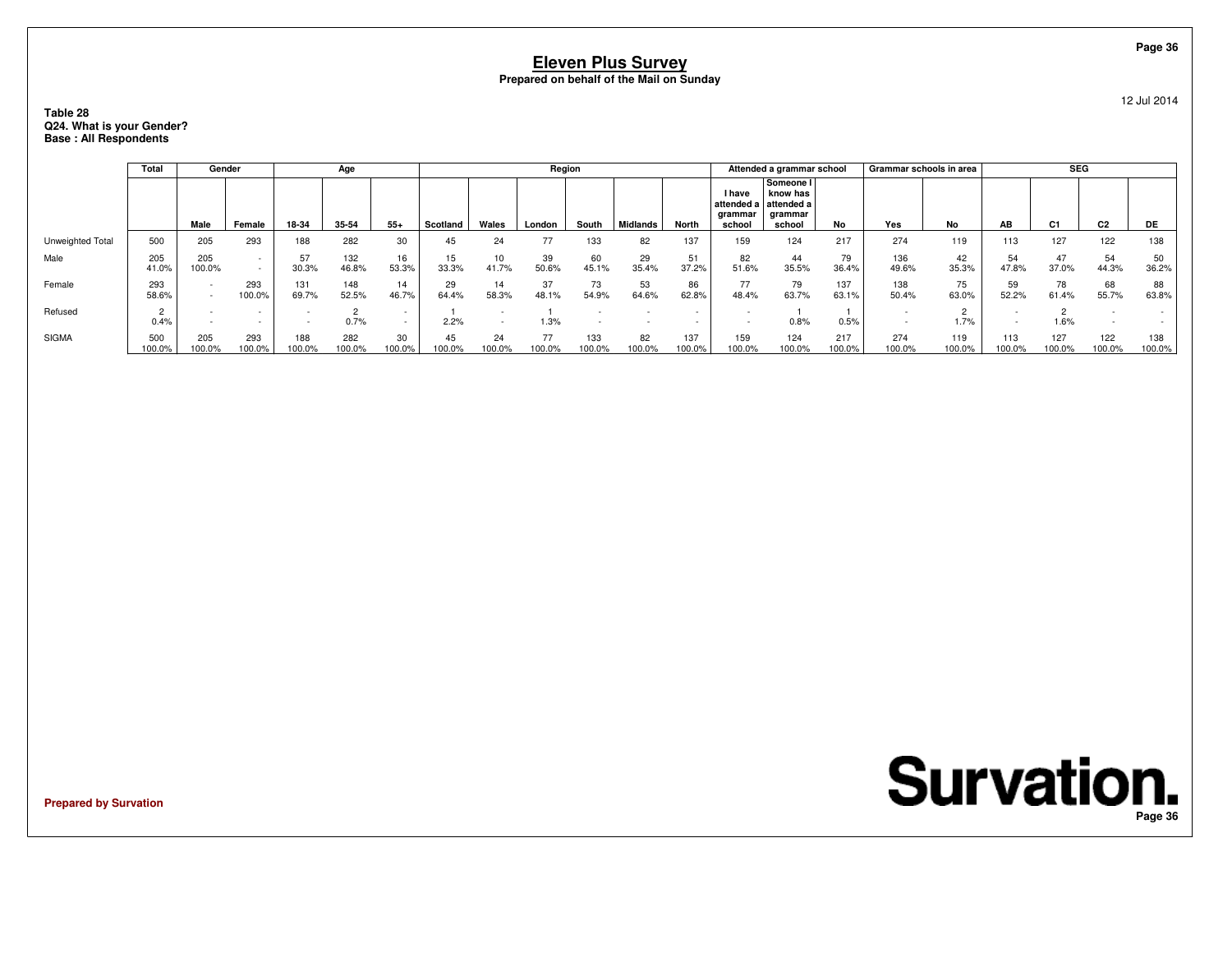### **Table 28 Q24. What is your Gender?Base : All Respondents**

|                  | Total         |               | Gender           |               | Age           |              |              |                | Region       |               |                       |               |                                    | Attended a grammar school                                           |               | Grammar schools in area |               |               | <b>SEG</b>     |                |               |
|------------------|---------------|---------------|------------------|---------------|---------------|--------------|--------------|----------------|--------------|---------------|-----------------------|---------------|------------------------------------|---------------------------------------------------------------------|---------------|-------------------------|---------------|---------------|----------------|----------------|---------------|
|                  |               | Male          | Female           | 18-34         | 35-54         | $55+$        | Scotland     | Wales          | London       | South         | Midlands <sup>'</sup> | North         | <b>I</b> have<br>grammar<br>school | Someone I<br>know has<br>attended a attended a<br>grammar<br>school | No            | Yes                     | No            | AB            | C <sub>1</sub> | C <sub>2</sub> | DE            |
| Unweighted Total | 500           | 205           | 293              | 188           | 282           | 30           | 45           | 24             | 77           | 133           | 82                    | 137           | 159                                | 124                                                                 | 217           | 274                     | 119           | 113           | 127            | 122            | 138           |
| Male             | 205<br>41.0%  | 205<br>100.0% | $\sim$<br>$\sim$ | 57<br>30.3%   | 132<br>46.8%  | 16<br>53.3%  | 15<br>33.3%  | 10<br>41.7%    | 39<br>50.6%  | 60<br>45.1%   | 29<br>35.4%           | 51<br>37.2%   | 82<br>51.6%                        | 44<br>35.5%                                                         | 79<br>36.4%   | 136<br>49.6%            | 42<br>35.3%   | 54<br>47.8%   | 47<br>37.0%    | 54<br>44.3%    | 50<br>36.2%   |
| Female           | 293<br>58.6%  |               | 293<br>100.0%    | 131<br>69.7%  | 148<br>52.5%  | 14<br>46.7%  | 29<br>64.4%  | 14<br>58.3%    | 37<br>48.1%  | 73<br>54.9%   | 53<br>64.6%           | 86<br>62.8%   | 77<br>48.4%                        | 79<br>63.7%                                                         | 137<br>63.1%  | 138<br>50.4%            | 75<br>63.0%   | 59<br>52.2%   | 78<br>61.4%    | 68<br>55.7%    | 88<br>63.8%   |
| Refused          | 0.4%          |               |                  |               | 0.7%          | $\sim$       | 2.2%         | $\overline{a}$ | 1.3%         |               |                       |               |                                    | 0.8%                                                                | 0.5%          |                         | 1.7%          |               | 1.6%           |                |               |
| <b>SIGMA</b>     | 500<br>100.0% | 205<br>00.0%  | 293<br>100.0%    | 188<br>100.0% | 282<br>100.0% | 30<br>100.0% | 45<br>100.0% | 24<br>100.0%   | 77<br>100.0% | 133<br>100.0% | 82<br>100.0%          | 137<br>100.0% | 159<br>100.0%                      | 124<br>100.0%                                                       | 217<br>100.0% | 274<br>100.0%           | 119<br>100.0% | 113<br>100.0% | 127<br>100.0%  | 122<br>100.0%  | 138<br>100.0% |

**Prepared by Survation**

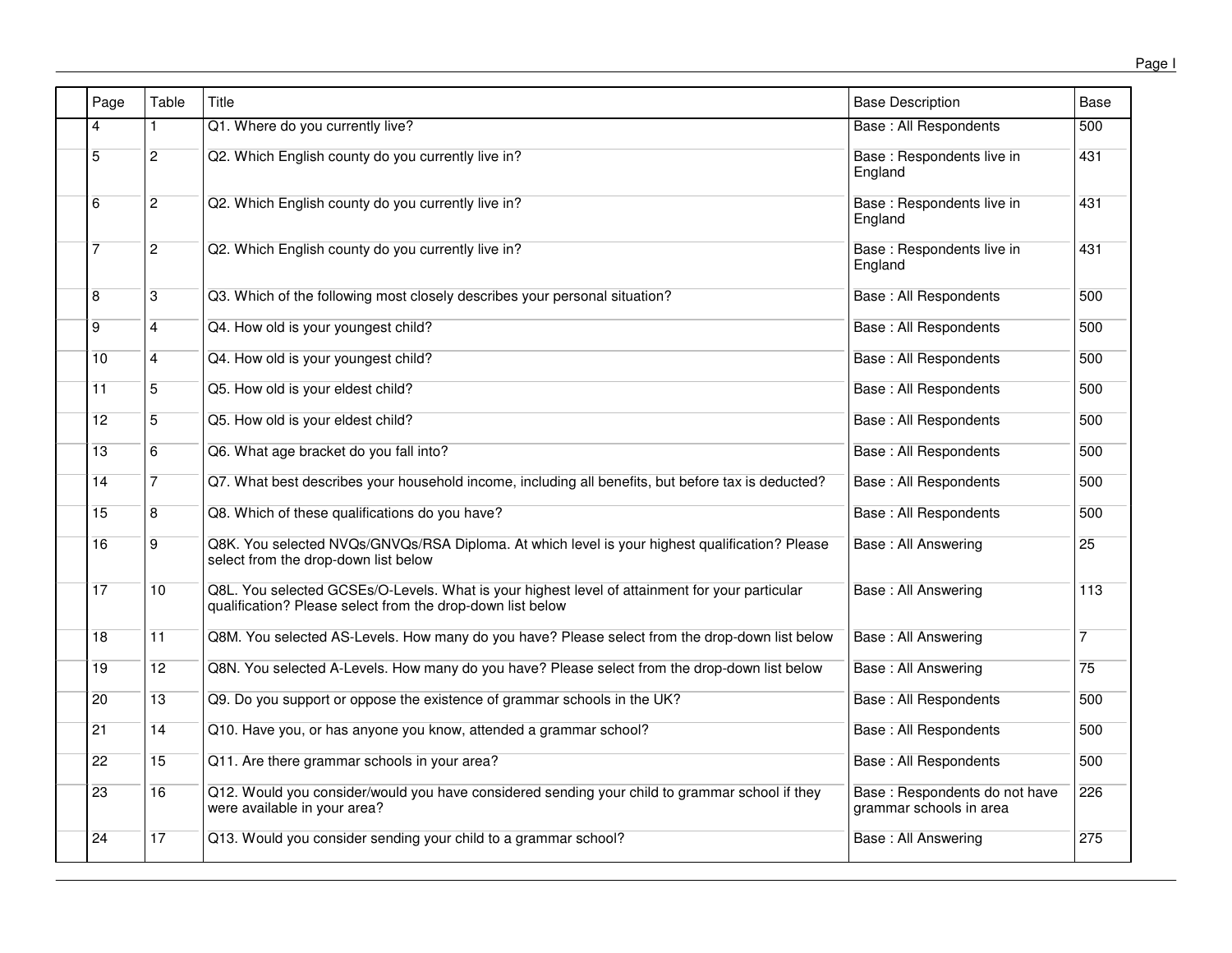| Page            | Table           | Title                                                                                                                                                        | <b>Base Description</b>                                  | Base             |
|-----------------|-----------------|--------------------------------------------------------------------------------------------------------------------------------------------------------------|----------------------------------------------------------|------------------|
| 4               |                 | Q1. Where do you currently live?                                                                                                                             | <b>Base: All Respondents</b>                             | $\overline{500}$ |
| 5               | $\overline{2}$  | Q2. Which English county do you currently live in?                                                                                                           | Base: Respondents live in<br>England                     | 431              |
| 6               | $\overline{c}$  | Q2. Which English county do you currently live in?                                                                                                           | Base : Respondents live in<br>England                    | 431              |
| $\overline{7}$  | $\overline{2}$  | Q2. Which English county do you currently live in?                                                                                                           | Base: Respondents live in<br>England                     | 431              |
| 8               | 3               | Q3. Which of the following most closely describes your personal situation?                                                                                   | Base: All Respondents                                    | 500              |
| 9               | 4               | Q4. How old is your youngest child?                                                                                                                          | <b>Base: All Respondents</b>                             | 500              |
| 10              | $\overline{4}$  | Q4. How old is your youngest child?                                                                                                                          | Base: All Respondents                                    | 500              |
| 11              | 5               | Q5. How old is your eldest child?                                                                                                                            | Base: All Respondents                                    | 500              |
| 12              | 5               | Q5. How old is your eldest child?                                                                                                                            | Base: All Respondents                                    | 500              |
| 13              | 6               | Q6. What age bracket do you fall into?                                                                                                                       | Base: All Respondents                                    | 500              |
| 14              |                 | Q7. What best describes your household income, including all benefits, but before tax is deducted?                                                           | <b>Base: All Respondents</b>                             | 500              |
| 15              | 8               | Q8. Which of these qualifications do you have?                                                                                                               | Base: All Respondents                                    | 500              |
| 16              | 9               | Q8K. You selected NVQs/GNVQs/RSA Diploma. At which level is your highest qualification? Please<br>select from the drop-down list below                       | Base: All Answering                                      | 25               |
| $\overline{17}$ | $\overline{10}$ | Q8L. You selected GCSEs/O-Levels. What is your highest level of attainment for your particular<br>qualification? Please select from the drop-down list below | Base: All Answering                                      | 113              |
| 18              | 11              | Q8M. You selected AS-Levels. How many do you have? Please select from the drop-down list below                                                               | <b>Base: All Answering</b>                               |                  |
| 19              | 12              | Q8N. You selected A-Levels. How many do you have? Please select from the drop-down list below                                                                | Base: All Answering                                      | 75               |
| 20              | 13              | Q9. Do you support or oppose the existence of grammar schools in the UK?                                                                                     | Base : All Respondents                                   | 500              |
| 21              | 14              | Q10. Have you, or has anyone you know, attended a grammar school?                                                                                            | Base: All Respondents                                    | 500              |
| 22              | 15              | Q11. Are there grammar schools in your area?                                                                                                                 | Base: All Respondents                                    | 500              |
| 23              | 16              | Q12. Would you consider/would you have considered sending your child to grammar school if they<br>were available in your area?                               | Base: Respondents do not have<br>grammar schools in area | 226              |
| 24              | 17              | Q13. Would you consider sending your child to a grammar school?                                                                                              | <b>Base: All Answering</b>                               | 275              |